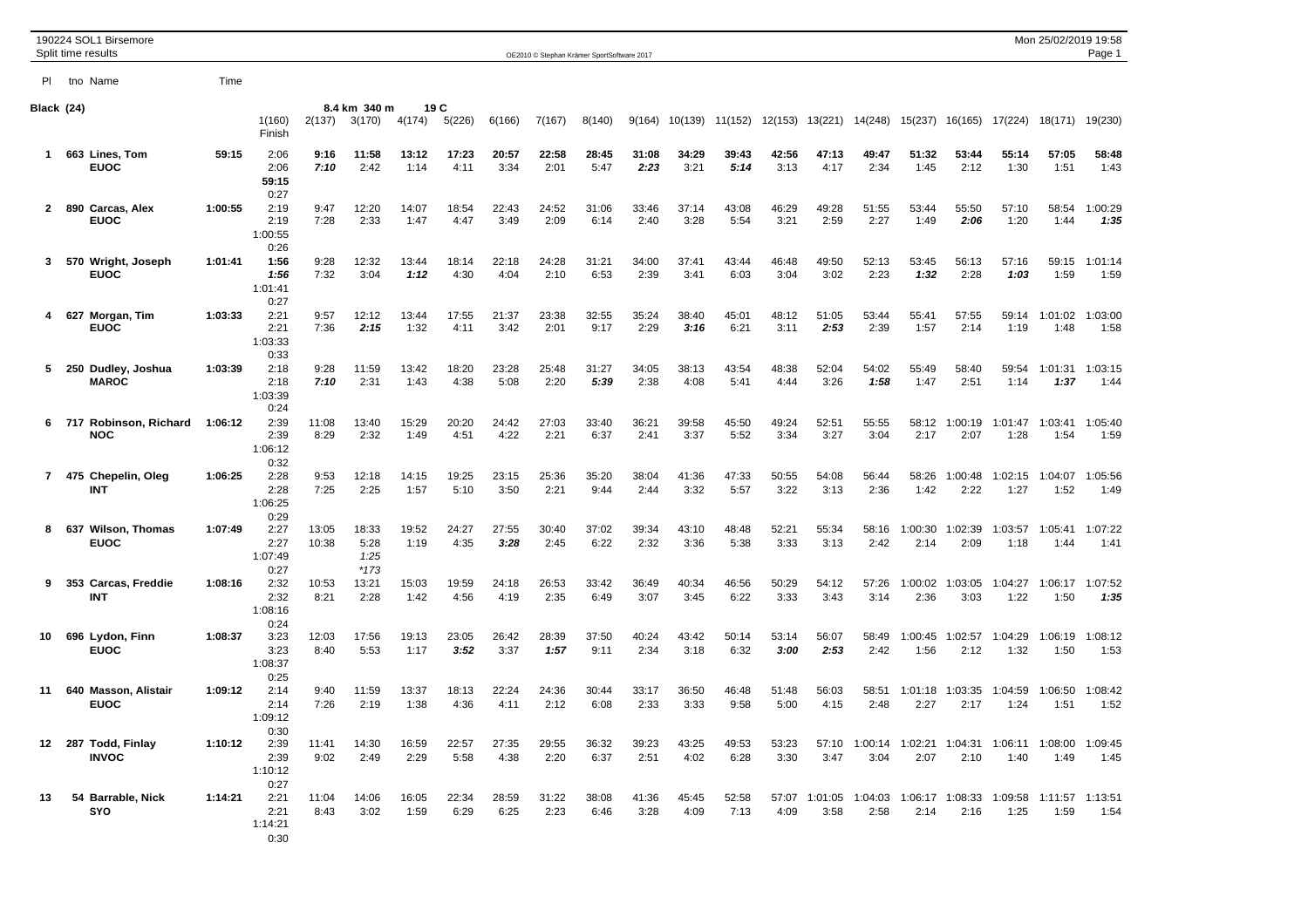|                |     | 190224 SOL1 Birsemore<br>Split time results |         |                                 |                |                                 |               |                |               | OE2010 © Stephan Krämer SportSoftware 2017 |               |               |               |               |               |                 |                 |                 |                 |                 | Mon 25/02/2019 19:58 | Page 1          |
|----------------|-----|---------------------------------------------|---------|---------------------------------|----------------|---------------------------------|---------------|----------------|---------------|--------------------------------------------|---------------|---------------|---------------|---------------|---------------|-----------------|-----------------|-----------------|-----------------|-----------------|----------------------|-----------------|
| PL.            |     | tno Name                                    | Time    |                                 |                |                                 |               |                |               |                                            |               |               |               |               |               |                 |                 |                 |                 |                 |                      |                 |
|                |     |                                             |         |                                 |                |                                 |               |                |               |                                            |               |               |               |               |               |                 |                 |                 |                 |                 |                      |                 |
| Black (24)     |     |                                             |         | 1(160)<br>Finish                | 2(137)         | 8.4 km 340 m<br>3(170)          | 4(174)        | 19 C<br>5(226) | 6(166)        | 7(167)                                     | 8(140)        | 9(164)        | 10(139)       | 11(152)       | 12(153)       | 13(221)         | 14(248)         | 15(237)         | 16(165)         | 17(224)         | 18(171)              | 19(230)         |
| -1             |     | 663 Lines, Tom<br><b>EUOC</b>               | 59:15   | 2:06<br>2:06<br>59:15<br>0:27   | 9:16<br>7:10   | 11:58<br>2:42                   | 13:12<br>1:14 | 17:23<br>4:11  | 20:57<br>3:34 | 22:58<br>2:01                              | 28:45<br>5:47 | 31:08<br>2:23 | 34:29<br>3:21 | 39:43<br>5:14 | 42:56<br>3:13 | 47:13<br>4:17   | 49:47<br>2:34   | 51:32<br>1:45   | 53:44<br>2:12   | 55:14<br>1:30   | 57:05<br>1:51        | 58:48<br>1:43   |
| $\mathbf{2}$   | 890 | Carcas, Alex<br><b>EUOC</b>                 | 1:00:55 | 2:19<br>2:19<br>1:00:55<br>0:26 | 9:47<br>7:28   | 12:20<br>2:33                   | 14:07<br>1:47 | 18:54<br>4:47  | 22:43<br>3:49 | 24:52<br>2:09                              | 31:06<br>6:14 | 33:46<br>2:40 | 37:14<br>3:28 | 43:08<br>5:54 | 46:29<br>3:21 | 49:28<br>2:59   | 51:55<br>2:27   | 53:44<br>1:49   | 55:50<br>2:06   | 57:10<br>1:20   | 58:54<br>1:44        | 1:00:29<br>1:35 |
| 3              |     | 570 Wright, Joseph<br><b>EUOC</b>           | 1:01:41 | 1:56<br>1:56<br>1:01:41<br>0:27 | 9:28<br>7:32   | 12:32<br>3:04                   | 13:44<br>1:12 | 18:14<br>4:30  | 22:18<br>4:04 | 24:28<br>2:10                              | 31:21<br>6:53 | 34:00<br>2:39 | 37:41<br>3:41 | 43:44<br>6:03 | 46:48<br>3:04 | 49:50<br>3:02   | 52:13<br>2:23   | 53:45<br>1:32   | 56:13<br>2:28   | 57:16<br>1:03   | 59:15<br>1:59        | 1:01:14<br>1:59 |
| 4              | 627 | Morgan, Tim<br><b>EUOC</b>                  | 1:03:33 | 2:21<br>2:21<br>1:03:33<br>0:33 | 9:57<br>7:36   | 12:12<br>2:15                   | 13:44<br>1:32 | 17:55<br>4:11  | 21:37<br>3:42 | 23:38<br>2:01                              | 32:55<br>9:17 | 35:24<br>2:29 | 38:40<br>3:16 | 45:01<br>6:21 | 48:12<br>3:11 | 51:05<br>2:53   | 53:44<br>2:39   | 55:41<br>1:57   | 57:55<br>2:14   | 59:14<br>1:19   | 1:01:02<br>1:48      | 1:03:00<br>1:58 |
| 5              |     | 250 Dudley, Joshua<br><b>MAROC</b>          | 1:03:39 | 2:18<br>2:18<br>1:03:39<br>0:24 | 9:28<br>7:10   | 11:59<br>2:31                   | 13:42<br>1:43 | 18:20<br>4:38  | 23:28<br>5:08 | 25:48<br>2:20                              | 31:27<br>5:39 | 34:05<br>2:38 | 38:13<br>4:08 | 43:54<br>5:41 | 48:38<br>4:44 | 52:04<br>3:26   | 54:02<br>1:58   | 55:49<br>1:47   | 58:40<br>2:51   | 59:54<br>1:14   | 1:01:31<br>1:37      | 1:03:15<br>1:44 |
| 6              |     | 717 Robinson, Richard<br><b>NOC</b>         | 1:06:12 | 2:39<br>2:39<br>1:06:12<br>0:32 | 11:08<br>8:29  | 13:40<br>2:32                   | 15:29<br>1:49 | 20:20<br>4:51  | 24:42<br>4:22 | 27:03<br>2:21                              | 33:40<br>6:37 | 36:21<br>2:41 | 39:58<br>3:37 | 45:50<br>5:52 | 49:24<br>3:34 | 52:51<br>3:27   | 55:55<br>3:04   | 58:12<br>2:17   | 1:00:19<br>2:07 | 1:01:47<br>1:28 | 1:03:41<br>1:54      | 1:05:40<br>1:59 |
| $\overline{7}$ | 475 | Chepelin, Oleg<br><b>INT</b>                | 1:06:25 | 2:28<br>2:28<br>1:06:25<br>0:29 | 9:53<br>7:25   | 12:18<br>2:25                   | 14:15<br>1:57 | 19:25<br>5:10  | 23:15<br>3:50 | 25:36<br>2:21                              | 35:20<br>9:44 | 38:04<br>2:44 | 41:36<br>3:32 | 47:33<br>5:57 | 50:55<br>3:22 | 54:08<br>3:13   | 56:44<br>2:36   | 58:26<br>1:42   | 1:00:48<br>2:22 | 1:02:15<br>1:27 | 1:04:07<br>1:52      | 1:05:56<br>1:49 |
| 8              | 637 | <b>Wilson, Thomas</b><br><b>EUOC</b>        | 1:07:49 | 2:27<br>2:27<br>1:07:49<br>0:27 | 13:05<br>10:38 | 18:33<br>5:28<br>1:25<br>$*173$ | 19:52<br>1:19 | 24:27<br>4:35  | 27:55<br>3:28 | 30:40<br>2:45                              | 37:02<br>6:22 | 39:34<br>2:32 | 43:10<br>3:36 | 48:48<br>5:38 | 52:21<br>3:33 | 55:34<br>3:13   | 58:16<br>2:42   | 1:00:30<br>2:14 | 1:02:39<br>2:09 | 1:03:57<br>1:18 | 1:05:41<br>1:44      | 1:07:22<br>1:41 |
| 9              |     | 353 Carcas, Freddie<br><b>INT</b>           | 1:08:16 | 2:32<br>2:32<br>1:08:16<br>0:24 | 10:53<br>8:21  | 13:21<br>2:28                   | 15:03<br>1:42 | 19:59<br>4:56  | 24:18<br>4:19 | 26:53<br>2:35                              | 33:42<br>6:49 | 36:49<br>3:07 | 40:34<br>3:45 | 46:56<br>6:22 | 50:29<br>3:33 | 54:12<br>3:43   | 57:26<br>3:14   | 1:00:02<br>2:36 | 1:03:05<br>3:03 | 1:04:27<br>1:22 | 1:06:17<br>1:50      | 1:07:52<br>1:35 |
| 10             |     | 696 Lydon, Finn<br><b>EUOC</b>              | 1:08:37 | 3:23<br>3:23<br>1:08:37<br>0:25 | 12:03<br>8:40  | 17:56<br>5:53                   | 19:13<br>1:17 | 23:05<br>3:52  | 26:42<br>3:37 | 28:39<br>1:57                              | 37:50<br>9:11 | 40:24<br>2:34 | 43:42<br>3:18 | 50:14<br>6:32 | 53:14<br>3:00 | 56:07<br>2:53   | 58:49<br>2:42   | 1:00:45<br>1:56 | 1:02:57<br>2:12 | 1:04:29<br>1:32 | 1:06:19<br>1:50      | 1:08:12<br>1:53 |
| 11             |     | 640 Masson, Alistair<br><b>EUOC</b>         | 1:09:12 | 2:14<br>2:14<br>1:09:12<br>0:30 | 9:40<br>7:26   | 11:59<br>2:19                   | 13:37<br>1:38 | 18:13<br>4:36  | 22:24<br>4:11 | 24:36<br>2:12                              | 30:44<br>6:08 | 33:17<br>2:33 | 36:50<br>3:33 | 46:48<br>9:58 | 51:48<br>5:00 | 56:03<br>4:15   | 58:51<br>2:48   | 1:01:18<br>2:27 | 1:03:35<br>2:17 | 1:04:59<br>1:24 | 1:06:50<br>1:51      | 1:08:42<br>1:52 |
| 12             |     | 287 Todd, Finlay<br><b>INVOC</b>            | 1:10:12 | 2:39<br>2:39<br>1:10:12<br>0:27 | 11:41<br>9:02  | 14:30<br>2:49                   | 16:59<br>2:29 | 22:57<br>5:58  | 27:35<br>4:38 | 29:55<br>2:20                              | 36:32<br>6:37 | 39:23<br>2:51 | 43:25<br>4:02 | 49:53<br>6:28 | 53:23<br>3:30 | 57:10<br>3:47   | 1:00:14<br>3:04 | 1:02:21<br>2:07 | 1:04:31<br>2:10 | 1:06:11<br>1:40 | 1:08:00<br>1:49      | 1:09:45<br>1:45 |
| 13             |     | 54 Barrable, Nick<br><b>SYO</b>             | 1:14:21 | 2:21<br>2:21<br>1:14:21<br>0:30 | 11:04<br>8:43  | 14:06<br>3:02                   | 16:05<br>1:59 | 22:34<br>6:29  | 28:59<br>6:25 | 31:22<br>2:23                              | 38:08<br>6:46 | 41:36<br>3:28 | 45:45<br>4:09 | 52:58<br>7:13 | 57:07<br>4:09 | 1:01:05<br>3:58 | 1:04:03<br>2:58 | 1:06:17<br>2:14 | 1:08:33<br>2:16 | 1:09:58<br>1:25 | 1:11:57<br>1:59      | 1:13:51<br>1:54 |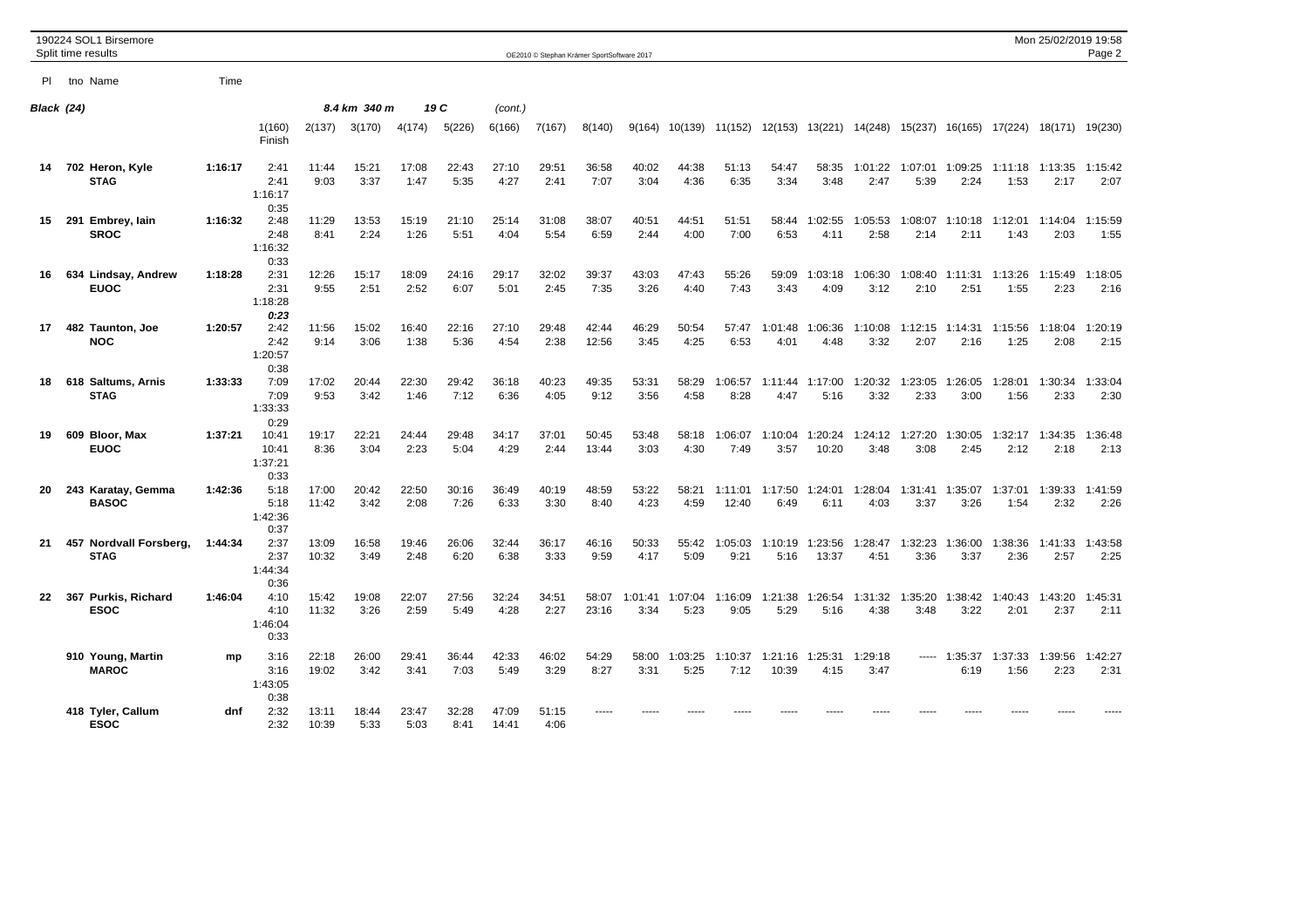|            | 190224 SOL1 Birsemore<br>Split time results |         |                                   |                |               |               |               |                | OE2010 © Stephan Krämer SportSoftware 2017 |                |                 |                 |                  |                  |                         |                      |                 |                 |                 | Mon 25/02/2019 19:58            | Page 2          |
|------------|---------------------------------------------|---------|-----------------------------------|----------------|---------------|---------------|---------------|----------------|--------------------------------------------|----------------|-----------------|-----------------|------------------|------------------|-------------------------|----------------------|-----------------|-----------------|-----------------|---------------------------------|-----------------|
| PI.        | tno Name                                    | Time    |                                   |                |               |               |               |                |                                            |                |                 |                 |                  |                  |                         |                      |                 |                 |                 |                                 |                 |
| Black (24) |                                             |         |                                   |                | 8.4 km 340 m  |               | 19 C          | (cont.)        |                                            |                |                 |                 |                  |                  |                         |                      |                 |                 |                 |                                 |                 |
|            |                                             |         | 1(160)<br>Finish                  | 2(137)         | 3(170)        | 4(174)        | 5(226)        | 6(166)         | 7(167)                                     | 8(140)         | 9(164)          |                 | 10(139) 11(152)  |                  | 12(153) 13(221) 14(248) |                      | 15(237)         |                 |                 | 16(165) 17(224) 18(171) 19(230) |                 |
| 14         | 702 Heron, Kyle<br><b>STAG</b>              | 1:16:17 | 2:41<br>2:41<br>1:16:17<br>0:35   | 11:44<br>9:03  | 15:21<br>3:37 | 17:08<br>1:47 | 22:43<br>5:35 | 27:10<br>4:27  | 29:51<br>2:41                              | 36:58<br>7:07  | 40:02<br>3:04   | 44:38<br>4:36   | 51:13<br>6:35    | 54:47<br>3:34    | 58:35<br>3:48           | 1:01:22<br>2:47      | 1:07:01<br>5:39 | 1:09:25<br>2:24 | 1:11:18<br>1:53 | 1:13:35<br>2:17                 | 1:15:42<br>2:07 |
| 15         | 291 Embrey, lain<br><b>SROC</b>             | 1:16:32 | 2:48<br>2:48<br>1:16:32<br>0:33   | 11:29<br>8:41  | 13:53<br>2:24 | 15:19<br>1:26 | 21:10<br>5:51 | 25:14<br>4:04  | 31:08<br>5:54                              | 38:07<br>6:59  | 40:51<br>2:44   | 44:51<br>4:00   | 51:51<br>7:00    | 58:44<br>6:53    | 1:02:55<br>4:11         | :05:53<br>2:58       | 1:08:07<br>2:14 | 1:10:18<br>2:11 | 1:12:01<br>1:43 | 1:14:04<br>2:03                 | 1:15:59<br>1:55 |
| 16         | 634 Lindsay, Andrew<br><b>EUOC</b>          | 1:18:28 | 2:31<br>2:31<br>1:18:28<br>0:23   | 12:26<br>9:55  | 15:17<br>2:51 | 18:09<br>2:52 | 24:16<br>6:07 | 29:17<br>5:01  | 32:02<br>2:45                              | 39:37<br>7:35  | 43:03<br>3:26   | 47:43<br>4:40   | 55:26<br>7:43    | 59:09<br>3:43    | 1:03:18<br>4:09         | 1:06:30<br>3:12      | 1:08:40<br>2:10 | 1:11:31<br>2:51 | 1:13:26<br>1:55 | 1:15:49<br>2:23                 | 1:18:05<br>2:16 |
| 17         | 482 Taunton, Joe<br><b>NOC</b>              | 1:20:57 | 2:42<br>2:42<br>1:20:57<br>0:38   | 11:56<br>9:14  | 15:02<br>3:06 | 16:40<br>1:38 | 22:16<br>5:36 | 27:10<br>4:54  | 29:48<br>2:38                              | 42:44<br>12:56 | 46:29<br>3:45   | 50:54<br>4:25   | 57:47<br>6:53    | 1:01:48<br>4:01  | 1:06:36<br>4:48         | 1:10:08<br>3:32      | 1:12:15<br>2:07 | 1:14:31<br>2:16 | 1:15:56<br>1:25 | 1:18:04<br>2:08                 | 1:20:19<br>2:15 |
| 18         | 618 Saltums, Arnis<br><b>STAG</b>           | 1:33:33 | 7:09<br>7:09<br>1:33:33<br>0:29   | 17:02<br>9:53  | 20:44<br>3:42 | 22:30<br>1:46 | 29:42<br>7:12 | 36:18<br>6:36  | 40:23<br>4:05                              | 49:35<br>9:12  | 53:31<br>3:56   | 58:29<br>4:58   | 1:06:57<br>8:28  | 1:11:44<br>4:47  | 1:17:00<br>5:16         | 1:20:32<br>3:32      | 1:23:05<br>2:33 | 1:26:05<br>3:00 | 1:28:01<br>1:56 | 1:30:34<br>2:33                 | 1:33:04<br>2:30 |
| 19         | 609 Bloor, Max<br><b>EUOC</b>               | 1:37:21 | 10:41<br>10:41<br>1:37:21<br>0:33 | 19:17<br>8:36  | 22:21<br>3:04 | 24:44<br>2:23 | 29:48<br>5:04 | 34:17<br>4:29  | 37:01<br>2:44                              | 50:45<br>13:44 | 53:48<br>3:03   | 58:18<br>4:30   | 1:06:07<br>7:49  | 1:10:04<br>3:57  | 1:20:24<br>10:20        | 1:24:12<br>3:48      | 1:27:20<br>3:08 | 1:30:05<br>2:45 | 1:32:17<br>2:12 | 1:34:35<br>2:18                 | 1:36:48<br>2:13 |
| 20         | 243 Karatay, Gemma<br><b>BASOC</b>          | 1:42:36 | 5:18<br>5:18<br>1:42:36<br>0:37   | 17:00<br>11:42 | 20:42<br>3:42 | 22:50<br>2:08 | 30:16<br>7:26 | 36:49<br>6:33  | 40:19<br>3:30                              | 48:59<br>8:40  | 53:22<br>4:23   | 58:21<br>4:59   | 1:11:01<br>12:40 | 1:17:50<br>6:49  | 1:24:01<br>6:11         | 1:28:04<br>4:03      | 1:31:41<br>3:37 | 1:35:07<br>3:26 | 1:37:01<br>1:54 | 1:39:33<br>2:32                 | 1:41:59<br>2:26 |
| 21         | 457 Nordvall Forsberg,<br><b>STAG</b>       | 1:44:34 | 2:37<br>2:37<br>1:44:34<br>0:36   | 13:09<br>10:32 | 16:58<br>3:49 | 19:46<br>2:48 | 26:06<br>6:20 | 32:44<br>6:38  | 36:17<br>3:33                              | 46:16<br>9:59  | 50:33<br>4:17   | 55:42<br>5:09   | 1:05:03<br>9:21  | 1:10:19<br>5:16  | 1:23:56<br>13:37        | 1:28:47<br>4:51      | 1:32:23<br>3:36 | 1:36:00<br>3:37 | 1:38:36<br>2:36 | 1:41:33<br>2:57                 | 1:43:58<br>2:25 |
| 22         | 367 Purkis, Richard<br><b>ESOC</b>          | 1:46:04 | 4:10<br>4:10<br>1:46:04<br>0:33   | 15:42<br>11:32 | 19:08<br>3:26 | 22:07<br>2:59 | 27:56<br>5:49 | 32:24<br>4:28  | 34:51<br>2:27                              | 58:07<br>23:16 | 1:01:41<br>3:34 | 1:07:04<br>5:23 | 1:16:09<br>9:05  | 1:21:38<br>5:29  | 1:26:54<br>5:16         | :31:32<br>-1<br>4:38 | 1:35:20<br>3:48 | 1:38:42<br>3:22 | 1:40:43<br>2:01 | 1:43:20<br>2:37                 | 1:45:31<br>2:11 |
|            | 910 Young, Martin<br><b>MAROC</b>           | mp      | 3:16<br>3:16<br>1:43:05<br>0:38   | 22:18<br>19:02 | 26:00<br>3:42 | 29:41<br>3:41 | 36:44<br>7:03 | 42:33<br>5:49  | 46:02<br>3:29                              | 54:29<br>8:27  | 58:00<br>3:31   | 1:03:25<br>5:25 | 1:10:37<br>7:12  | 1:21:16<br>10:39 | 1:25:31<br>4:15         | :29:18<br>-1<br>3:47 | -----           | 1:35:37<br>6:19 | 1:37:33<br>1:56 | 1:39:56<br>2:23                 | 1:42:27<br>2:31 |
|            | 418 Tyler, Callum<br><b>ESOC</b>            | dnf     | 2:32<br>2:32                      | 13:11<br>10:39 | 18:44<br>5:33 | 23:47<br>5:03 | 32:28<br>8:41 | 47:09<br>14:41 | 51:15<br>4:06                              |                |                 |                 |                  |                  |                         |                      |                 |                 |                 |                                 |                 |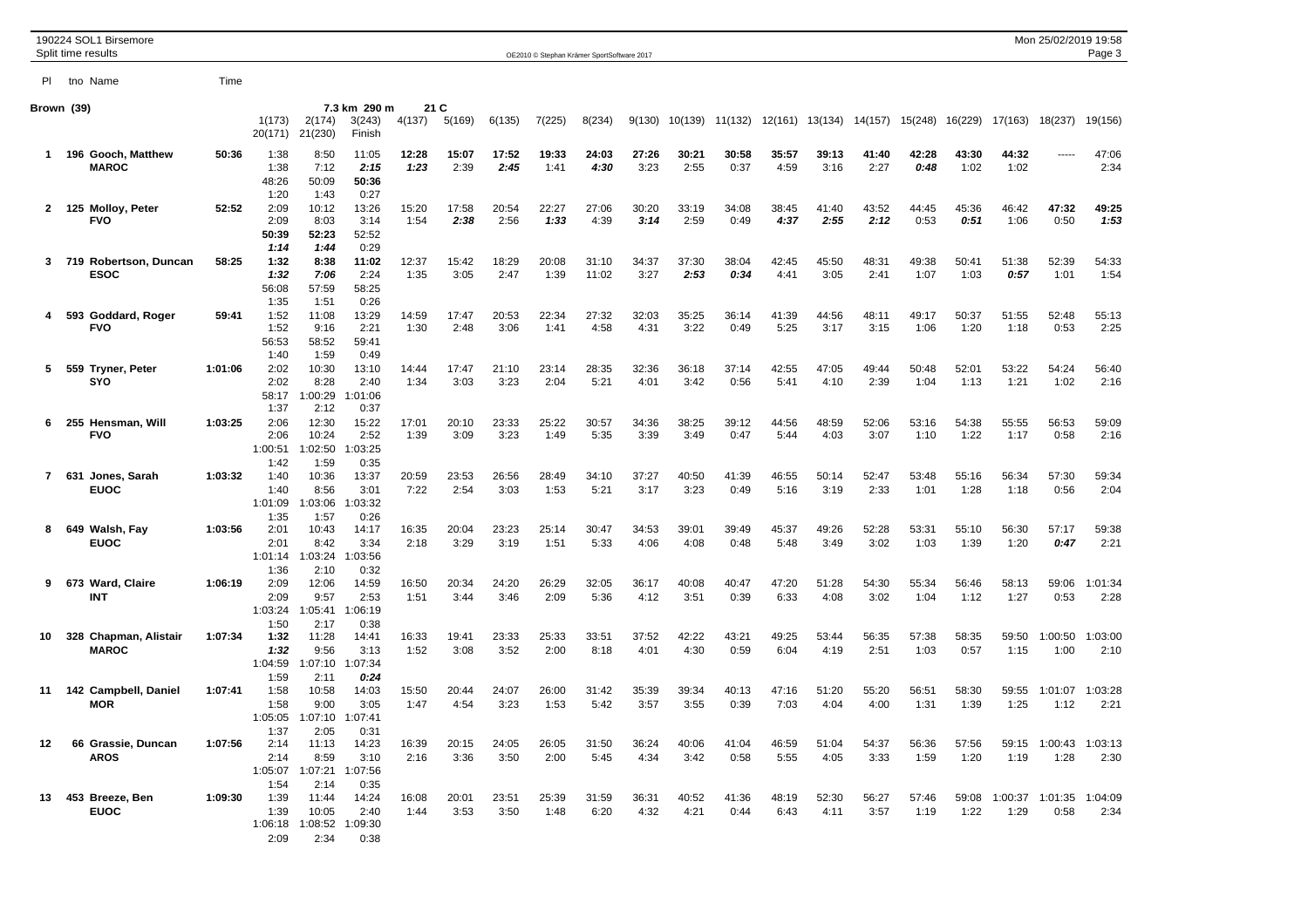|              |     | 190224 SOL1 Birsemore<br>Split time results |         |                   |                   |                  |               |               |               |               | OE2010 © Stephan Krämer SportSoftware 2017 |               |               |               |               |               |               |               |               |                 | Mon 25/02/2019 19:58 | Page 3          |
|--------------|-----|---------------------------------------------|---------|-------------------|-------------------|------------------|---------------|---------------|---------------|---------------|--------------------------------------------|---------------|---------------|---------------|---------------|---------------|---------------|---------------|---------------|-----------------|----------------------|-----------------|
| PI.          |     | tno Name                                    | Time    |                   |                   |                  |               |               |               |               |                                            |               |               |               |               |               |               |               |               |                 |                      |                 |
| Brown (39)   |     |                                             |         |                   |                   | 7.3 km 290 m     |               | 21 C          |               |               |                                            |               |               |               |               |               |               |               |               |                 |                      |                 |
|              |     |                                             |         | 1(173)<br>20(171) | 2(174)<br>21(230) | 3(243)<br>Finish | 4(137)        | 5(169)        | 6(135)        | 7(225)        | 8(234)                                     | 9(130)        | 10(139)       | 11(132)       | 12(161)       | 13(134)       | 14(157)       | 15(248)       | 16(229)       | 17(163)         | 18(237)              | 19(156)         |
| 1.           |     | 196 Gooch, Matthew                          | 50:36   | 1:38              | 8:50              | 11:05            | 12:28         | 15:07         | 17:52         | 19:33         | 24:03                                      | 27:26         | 30:21         | 30:58         | 35:57         | 39:13         | 41:40         | 42:28         | 43:30         | 44:32           | -----                | 47:06           |
|              |     | <b>MAROC</b>                                |         | 1:38              | 7:12              | 2:15             | 1:23          | 2:39          | 2:45          | 1:41          | 4:30                                       | 3:23          | 2:55          | 0:37          | 4:59          | 3:16          | 2:27          | 0:48          | 1:02          | 1:02            |                      | 2:34            |
|              |     |                                             |         | 48:26<br>1:20     | 50:09<br>1:43     | 50:36<br>0:27    |               |               |               |               |                                            |               |               |               |               |               |               |               |               |                 |                      |                 |
| $\mathbf{2}$ |     | 125 Molloy, Peter                           | 52:52   | 2:09              | 10:12             | 13:26            | 15:20         | 17:58         | 20:54         | 22:27         | 27:06                                      | 30:20         | 33:19         | 34:08         | 38:45         | 41:40         | 43:52         | 44:45         | 45:36         | 46:42           | 47:32                | 49:25           |
|              |     | <b>FVO</b>                                  |         | 2:09              | 8:03              | 3:14             | 1:54          | 2:38          | 2:56          | 1:33          | 4:39                                       | 3:14          | 2:59          | 0:49          | 4:37          | 2:55          | 2:12          | 0:53          | 0:51          | 1:06            | 0:50                 | 1:53            |
|              |     |                                             |         | 50:39<br>1:14     | 52:23<br>1:44     | 52:52<br>0:29    |               |               |               |               |                                            |               |               |               |               |               |               |               |               |                 |                      |                 |
| 3            |     | 719 Robertson, Duncan                       | 58:25   | 1:32              | 8:38              | 11:02            | 12:37         | 15:42         | 18:29         | 20:08         | 31:10                                      | 34:37         | 37:30         | 38:04         | 42:45         | 45:50         | 48:31         | 49:38         | 50:41         | 51:38           | 52:39                | 54:33           |
|              |     | <b>ESOC</b>                                 |         | 1:32              | 7:06              | 2:24             | 1:35          | 3:05          | 2:47          | 1:39          | 11:02                                      | 3:27          | 2:53          | 0:34          | 4:41          | 3:05          | 2:41          | 1:07          | 1:03          | 0:57            | 1:01                 | 1:54            |
|              |     |                                             |         | 56:08             | 57:59             | 58:25            |               |               |               |               |                                            |               |               |               |               |               |               |               |               |                 |                      |                 |
| 4            |     | 593 Goddard, Roger                          | 59:41   | 1:35<br>1:52      | 1:51<br>11:08     | 0:26<br>13:29    | 14:59         | 17:47         | 20:53         | 22:34         | 27:32                                      | 32:03         | 35:25         | 36:14         | 41:39         | 44:56         | 48:11         | 49:17         | 50:37         | 51:55           | 52:48                | 55:13           |
|              |     | <b>FVO</b>                                  |         | 1:52              | 9:16              | 2:21             | 1:30          | 2:48          | 3:06          | 1:41          | 4:58                                       | 4:31          | 3:22          | 0:49          | 5:25          | 3:17          | 3:15          | 1:06          | 1:20          | 1:18            | 0:53                 | 2:25            |
|              |     |                                             |         | 56:53             | 58:52             | 59:41            |               |               |               |               |                                            |               |               |               |               |               |               |               |               |                 |                      |                 |
|              |     |                                             |         | 1:40              | 1:59              | 0:49             |               |               |               | 23:14         | 28:35                                      | 32:36         | 36:18         | 37:14         | 42:55         |               | 49:44         |               |               | 53:22           |                      |                 |
| 5            | 559 | <b>Tryner, Peter</b><br>SYO                 | 1:01:06 | 2:02<br>2:02      | 10:30<br>8:28     | 13:10<br>2:40    | 14:44<br>1:34 | 17:47<br>3:03 | 21:10<br>3:23 | 2:04          | 5:21                                       | 4:01          | 3:42          | 0:56          | 5:41          | 47:05<br>4:10 | 2:39          | 50:48<br>1:04 | 52:01<br>1:13 | 1:21            | 54:24<br>1:02        | 56:40<br>2:16   |
|              |     |                                             |         | 58:17             | 1:00:29           | :01:06           |               |               |               |               |                                            |               |               |               |               |               |               |               |               |                 |                      |                 |
|              |     |                                             |         | 1:37              | 2:12              | 0:37             |               |               |               |               |                                            |               |               |               |               |               |               |               |               |                 |                      |                 |
| 6            |     | 255 Hensman, Will<br><b>FVO</b>             | 1:03:25 | 2:06<br>2:06      | 12:30<br>10:24    | 15:22<br>2:52    | 17:01<br>1:39 | 20:10<br>3:09 | 23:33<br>3:23 | 25:22<br>1:49 | 30:57<br>5:35                              | 34:36<br>3:39 | 38:25<br>3:49 | 39:12<br>0:47 | 44:56<br>5:44 | 48:59<br>4:03 | 52:06<br>3:07 | 53:16<br>1:10 | 54:38<br>1:22 | 55:55<br>1:17   | 56:53<br>0:58        | 59:09<br>2:16   |
|              |     |                                             |         | 1:00:51           | 1:02:50           | :03:25           |               |               |               |               |                                            |               |               |               |               |               |               |               |               |                 |                      |                 |
|              |     |                                             |         | 1:42              | 1:59              | 0:35             |               |               |               |               |                                            |               |               |               |               |               |               |               |               |                 |                      |                 |
| $\mathbf{7}$ | 631 | Jones, Sarah                                | 1:03:32 | 1:40              | 10:36             | 13:37            | 20:59         | 23:53         | 26:56         | 28:49         | 34:10                                      | 37:27         | 40:50         | 41:39         | 46:55         | 50:14         | 52:47         | 53:48         | 55:16         | 56:34           | 57:30                | 59:34           |
|              |     | <b>EUOC</b>                                 |         | 1:40<br>1:01:09   | 8:56<br>1:03:06   | 3:01<br>:03:32   | 7:22          | 2:54          | 3:03          | 1:53          | 5:21                                       | 3:17          | 3:23          | 0:49          | 5:16          | 3:19          | 2:33          | 1:01          | 1:28          | 1:18            | 0:56                 | 2:04            |
|              |     |                                             |         | 1:35              | 1:57              | 0:26             |               |               |               |               |                                            |               |               |               |               |               |               |               |               |                 |                      |                 |
| 8            |     | 649 Walsh, Fay                              | 1:03:56 | 2:01              | 10:43             | 14:17            | 16:35         | 20:04         | 23:23         | 25:14         | 30:47                                      | 34:53         | 39:01         | 39:49         | 45:37         | 49:26         | 52:28         | 53:31         | 55:10         | 56:30           | 57:17                | 59:38           |
|              |     | <b>EUOC</b>                                 |         | 2:01<br>1:01:14   | 8:42<br>:03:24    | 3:34<br>:03:56   | 2:18          | 3:29          | 3:19          | 1:51          | 5:33                                       | 4:06          | 4:08          | 0:48          | 5:48          | 3:49          | 3:02          | 1:03          | 1:39          | 1:20            | 0:47                 | 2:21            |
|              |     |                                             |         | 1:36              | 2:10              | 0:32             |               |               |               |               |                                            |               |               |               |               |               |               |               |               |                 |                      |                 |
| 9            |     | 673 Ward, Claire                            | 1:06:19 | 2:09              | 12:06             | 14:59            | 16:50         | 20:34         | 24:20         | 26:29         | 32:05                                      | 36:17         | 40:08         | 40:47         | 47:20         | 51:28         | 54:30         | 55:34         | 56:46         | 58:13           | 59:06                | 1:01:34         |
|              |     | <b>INT</b>                                  |         | 2:09              | 9:57              | 2:53             | 1:51          | 3:44          | 3:46          | 2:09          | 5:36                                       | 4:12          | 3:51          | 0:39          | 6:33          | 4:08          | 3:02          | 1:04          | 1:12          | 1:27            | 0:53                 | 2:28            |
|              |     |                                             |         | 1:03:24<br>1:50   | 1:05:41<br>2:17   | :06:19<br>0:38   |               |               |               |               |                                            |               |               |               |               |               |               |               |               |                 |                      |                 |
| 10           |     | 328 Chapman, Alistair                       | 1:07:34 | 1:32              | 11:28             | 14:41            | 16:33         | 19:41         | 23:33         | 25:33         | 33:51                                      | 37:52         | 42:22         | 43:21         | 49:25         | 53:44         | 56:35         | 57:38         | 58:35         | 59:50           | 1:00:50              | 1:03:00         |
|              |     | <b>MAROC</b>                                |         | 1:32              | 9:56              | 3:13             | 1:52          | 3:08          | 3:52          | 2:00          | 8:18                                       | 4:01          | 4:30          | 0:59          | 6:04          | 4:19          | 2:51          | 1:03          | 0:57          | 1:15            | 1:00                 | 2:10            |
|              |     |                                             |         | 1:04:59           | 1:07:10           | :07:34           |               |               |               |               |                                            |               |               |               |               |               |               |               |               |                 |                      |                 |
| 11           |     | 142 Campbell, Daniel                        | 1:07:41 | 1:59<br>1:58      | 2:11<br>10:58     | 0:24<br>14:03    | 15:50         | 20:44         | 24:07         | 26:00         | 31:42                                      | 35:39         | 39:34         | 40:13         | 47:16         | 51:20         | 55:20         | 56:51         | 58:30         | 59:55           | 1:01:07              | 1:03:28         |
|              |     | <b>MOR</b>                                  |         | 1:58              | 9:00              | 3:05             | 1:47          | 4:54          | 3:23          | 1:53          | 5:42                                       | 3:57          | 3:55          | 0:39          | 7:03          | 4:04          | 4:00          | 1:31          | 1:39          | 1:25            | 1:12                 | 2:21            |
|              |     |                                             |         | 1:05:05           | 1:07:10           | :07:41           |               |               |               |               |                                            |               |               |               |               |               |               |               |               |                 |                      |                 |
| 12           |     | 66 Grassie, Duncan                          | 1:07:56 | 1:37<br>2:14      | 2:05<br>11:13     | 0:31<br>14:23    | 16:39         | 20:15         | 24:05         | 26:05         | 31:50                                      | 36:24         | 40:06         | 41:04         | 46:59         | 51:04         | 54:37         | 56:36         | 57:56         | 59:15           | 1:00:43              | 1:03:13         |
|              |     | <b>AROS</b>                                 |         | 2:14              | 8:59              | 3:10             | 2:16          | 3:36          | 3:50          | 2:00          | 5:45                                       | 4:34          | 3:42          | 0:58          | 5:55          | 4:05          | 3:33          | 1:59          | 1:20          | 1:19            | 1:28                 | 2:30            |
|              |     |                                             |         | 1:05:07           | 1:07:21           | :07:56           |               |               |               |               |                                            |               |               |               |               |               |               |               |               |                 |                      |                 |
|              |     |                                             |         | 1:54              | 2:14              | 0:35             |               |               |               |               |                                            |               |               |               |               |               |               |               |               |                 |                      |                 |
| 13           |     | 453 Breeze, Ben<br><b>EUOC</b>              | 1:09:30 | 1:39<br>1:39      | 11:44<br>10:05    | 14:24<br>2:40    | 16:08<br>1:44 | 20:01<br>3:53 | 23:51<br>3:50 | 25:39<br>1:48 | 31:59<br>6:20                              | 36:31<br>4:32 | 40:52<br>4:21 | 41:36<br>0:44 | 48:19<br>6:43 | 52:30<br>4:11 | 56:27<br>3:57 | 57:46<br>1:19 | 59:08<br>1:22 | 1:00:37<br>1:29 | 1:01:35<br>0:58      | 1:04:09<br>2:34 |
|              |     |                                             |         | 1:06:18           | 1:08:52           | 1:09:30          |               |               |               |               |                                            |               |               |               |               |               |               |               |               |                 |                      |                 |
|              |     |                                             |         | 2:09              | 2:34              | 0:38             |               |               |               |               |                                            |               |               |               |               |               |               |               |               |                 |                      |                 |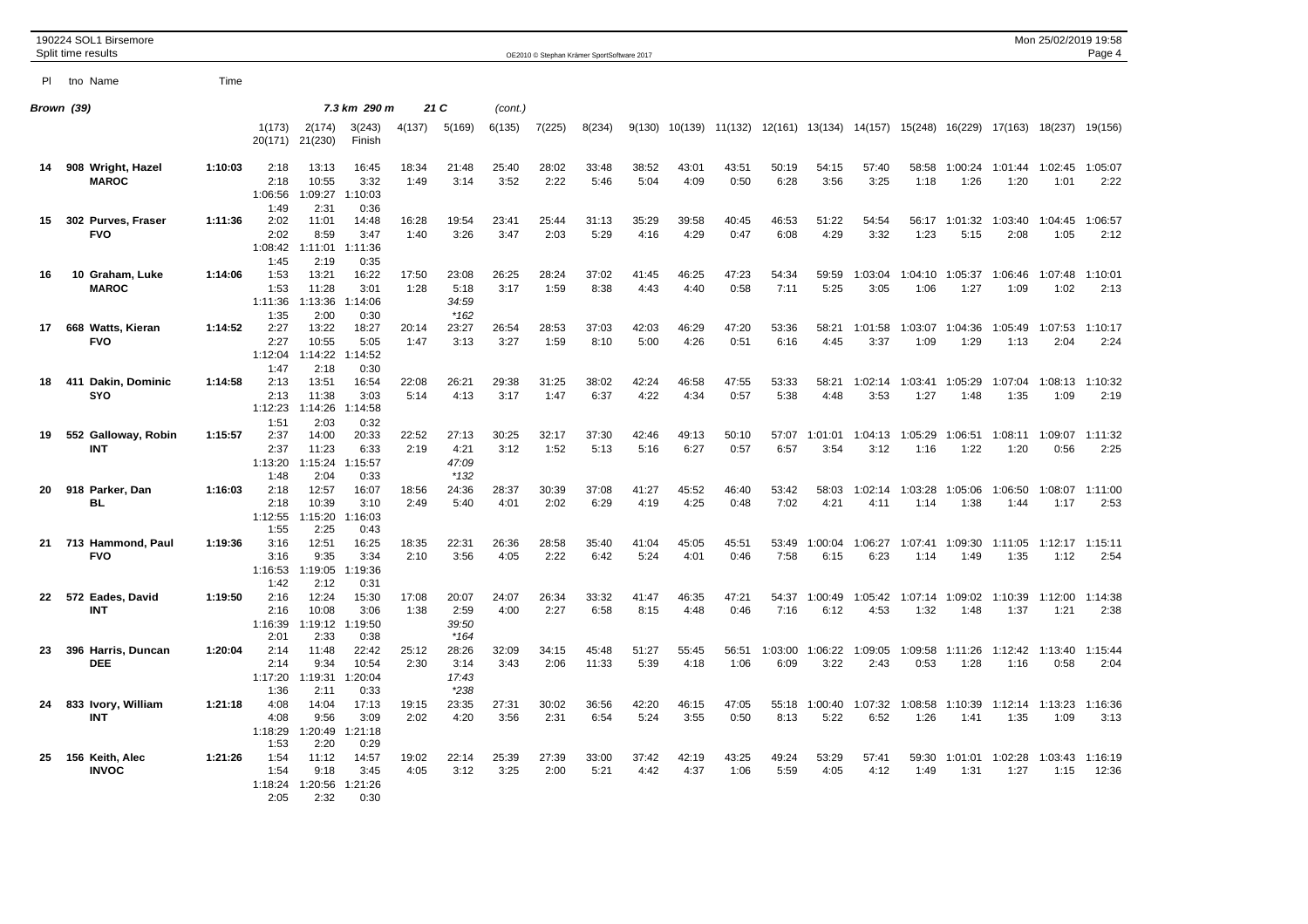|     |            | 190224 SOL1 Birsemore<br>Split time results |         |                                 |                                   |                                  |               |                                  |               |               | OE2010 © Stephan Krämer SportSoftware 2017 |               |               |               |                 |                 |                 |                 |                 |                 | Mon 25/02/2019 19:58 | Page 4           |
|-----|------------|---------------------------------------------|---------|---------------------------------|-----------------------------------|----------------------------------|---------------|----------------------------------|---------------|---------------|--------------------------------------------|---------------|---------------|---------------|-----------------|-----------------|-----------------|-----------------|-----------------|-----------------|----------------------|------------------|
| PI. |            | tno Name                                    | Time    |                                 |                                   |                                  |               |                                  |               |               |                                            |               |               |               |                 |                 |                 |                 |                 |                 |                      |                  |
|     | Brown (39) |                                             |         |                                 |                                   | 7.3 km 290 m                     |               | 21 C                             | (cont.)       |               |                                            |               |               |               |                 |                 |                 |                 |                 |                 |                      |                  |
|     |            |                                             |         | 1(173)<br>20(171)               | 2(174)<br>21(230)                 | 3(243)<br>Finish                 | 4(137)        | 5(169)                           | 6(135)        | 7(225)        | 8(234)                                     | 9(130)        | 10(139)       | 11(132)       | 12(161)         | 13(134)         | 14(157)         | 15(248)         | 16(229)         | 17(163)         | 18(237)              | 19(156)          |
| 14  |            | 908 Wright, Hazel<br><b>MAROC</b>           | 1:10:03 | 2:18<br>2:18<br>1:06:56<br>1:49 | 13:13<br>10:55<br>1:09:27<br>2:31 | 16:45<br>3:32<br>1:10:03<br>0:36 | 18:34<br>1:49 | 21:48<br>3:14                    | 25:40<br>3:52 | 28:02<br>2:22 | 33:48<br>5:46                              | 38:52<br>5:04 | 43:01<br>4:09 | 43:51<br>0:50 | 50:19<br>6:28   | 54:15<br>3:56   | 57:40<br>3:25   | 58:58<br>1:18   | 1:00:24<br>1:26 | 1:01:44<br>1:20 | 1:02:45<br>1:01      | :05:07<br>2:22   |
| 15  |            | 302 Purves, Fraser<br><b>FVO</b>            | 1:11:36 | 2:02<br>2:02<br>1:08:42<br>1:45 | 11:01<br>8:59<br>1:11:01<br>2:19  | 14:48<br>3:47<br>1:11:36<br>0:35 | 16:28<br>1:40 | 19:54<br>3:26                    | 23:41<br>3:47 | 25:44<br>2:03 | 31:13<br>5:29                              | 35:29<br>4:16 | 39:58<br>4:29 | 40:45<br>0:47 | 46:53<br>6:08   | 51:22<br>4:29   | 54:54<br>3:32   | 56:17<br>1:23   | 1:01:32<br>5:15 | 1:03:40<br>2:08 | 1:04:45<br>1:05      | 1:06:57<br>2:12  |
| 16  |            | 10 Graham, Luke<br><b>MAROC</b>             | 1:14:06 | 1:53<br>1:53<br>1:11:36<br>1:35 | 13:21<br>11:28<br>1:13:36<br>2:00 | 16:22<br>3:01<br>:14:06<br>0:30  | 17:50<br>1:28 | 23:08<br>5:18<br>34:59<br>$*162$ | 26:25<br>3:17 | 28:24<br>1:59 | 37:02<br>8:38                              | 41:45<br>4:43 | 46:25<br>4:40 | 47:23<br>0:58 | 54:34<br>7:11   | 59:59<br>5:25   | 1:03:04<br>3:05 | 1:04:10<br>1:06 | 1:05:37<br>1:27 | 1:06:46<br>1:09 | 1:07:48<br>1:02      | 1:10:01<br>2:13  |
| 17  |            | 668 Watts, Kieran<br><b>FVO</b>             | 1:14:52 | 2:27<br>2:27<br>1:12:04<br>1:47 | 13:22<br>10:55<br>1:14:22<br>2:18 | 18:27<br>5:05<br>1:14:52<br>0:30 | 20:14<br>1:47 | 23:27<br>3:13                    | 26:54<br>3:27 | 28:53<br>1:59 | 37:03<br>8:10                              | 42:03<br>5:00 | 46:29<br>4:26 | 47:20<br>0:51 | 53:36<br>6:16   | 58:21<br>4:45   | 1:01:58<br>3:37 | 1:03:07<br>1:09 | 1:04:36<br>1:29 | 1:05:49<br>1:13 | 1:07:53<br>2:04      | 1:10:17<br>2:24  |
| 18  |            | 411 Dakin, Dominic<br><b>SYO</b>            | 1:14:58 | 2:13<br>2:13<br>1:12:23<br>1:51 | 13:51<br>11:38<br>1:14:26<br>2:03 | 16:54<br>3:03<br>1:14:58<br>0:32 | 22:08<br>5:14 | 26:21<br>4:13                    | 29:38<br>3:17 | 31:25<br>1:47 | 38:02<br>6:37                              | 42:24<br>4:22 | 46:58<br>4:34 | 47:55<br>0:57 | 53:33<br>5:38   | 58:21<br>4:48   | 1:02:14<br>3:53 | 1:03:41<br>1:27 | 1:05:29<br>1:48 | 1:07:04<br>1:35 | 1:08:13<br>1:09      | 1:10:32<br>2:19  |
| 19  |            | 552 Galloway, Robin<br>INT                  | 1:15:57 | 2:37<br>2:37<br>1:13:20<br>1:48 | 14:00<br>11:23<br>1:15:24<br>2:04 | 20:33<br>6:33<br>1:15:57<br>0:33 | 22:52<br>2:19 | 27:13<br>4:21<br>47:09<br>$*132$ | 30:25<br>3:12 | 32:17<br>1:52 | 37:30<br>5:13                              | 42:46<br>5:16 | 49:13<br>6:27 | 50:10<br>0:57 | 57:07<br>6:57   | 1:01:01<br>3:54 | 1:04:13<br>3:12 | 1:05:29<br>1:16 | 1:06:51<br>1:22 | 1:08:11<br>1:20 | 1:09:07<br>0:56      | 1:11:32<br>2:25  |
| 20  |            | 918 Parker, Dan<br>BL.                      | 1:16:03 | 2:18<br>2:18<br>1:12:55<br>1:55 | 12:57<br>10:39<br>1:15:20<br>2:25 | 16:07<br>3:10<br>:16:03<br>0:43  | 18:56<br>2:49 | 24:36<br>5:40                    | 28:37<br>4:01 | 30:39<br>2:02 | 37:08<br>6:29                              | 41:27<br>4:19 | 45:52<br>4:25 | 46:40<br>0:48 | 53:42<br>7:02   | 58:03<br>4:21   | 1:02:14<br>4:11 | 1:03:28<br>1:14 | 1:05:06<br>1:38 | 1:06:50<br>1:44 | 1:08:07<br>1:17      | 1:11:00<br>2:53  |
| 21  |            | 713 Hammond, Paul<br><b>FVO</b>             | 1:19:36 | 3:16<br>3:16<br>1:16:53<br>1:42 | 12:51<br>9:35<br>1:19:05<br>2:12  | 16:25<br>3:34<br>:19:36<br>0:31  | 18:35<br>2:10 | 22:31<br>3:56                    | 26:36<br>4:05 | 28:58<br>2:22 | 35:40<br>6:42                              | 41:04<br>5:24 | 45:05<br>4:01 | 45:51<br>0:46 | 53:49<br>7:58   | 1:00:04<br>6:15 | 1:06:27<br>6:23 | 1:07:41<br>1:14 | 1:09:30<br>1:49 | 1:11:05<br>1:35 | 1:12:17<br>1:12      | 1:15:11<br>2:54  |
| 22  |            | 572 Eades, David<br><b>INT</b>              | 1:19:50 | 2:16<br>2:16<br>1:16:39<br>2:01 | 12:24<br>10:08<br>1:19:12<br>2:33 | 15:30<br>3:06<br>1:19:50<br>0:38 | 17:08<br>1:38 | 20:07<br>2:59<br>39:50<br>$*164$ | 24:07<br>4:00 | 26:34<br>2:27 | 33:32<br>6:58                              | 41:47<br>8:15 | 46:35<br>4:48 | 47:21<br>0:46 | 54:37<br>7:16   | 1:00:49<br>6:12 | 1:05:42<br>4:53 | 1:07:14<br>1:32 | 1:09:02<br>1:48 | 1:10:39<br>1:37 | 1:12:00<br>1:21      | 1:14:38<br>2:38  |
| 23  |            | 396 Harris, Duncan<br><b>DEE</b>            | 1:20:04 | 2:14<br>2:14<br>1:17:20<br>1:36 | 11:48<br>9:34<br>1:19:31<br>2:11  | 22:42<br>10:54<br>:20:04<br>0:33 | 25:12<br>2:30 | 28:26<br>3:14<br>17:43<br>$*238$ | 32:09<br>3:43 | 34:15<br>2:06 | 45:48<br>11:33                             | 51:27<br>5:39 | 55:45<br>4:18 | 56:51<br>1:06 | 1:03:00<br>6:09 | 1:06:22<br>3:22 | 1:09:05<br>2:43 | 1:09:58<br>0:53 | 1:11:26<br>1:28 | 1:12:42<br>1:16 | 1:13:40<br>0:58      | 1:15:44<br>2:04  |
| 24  |            | 833 Ivory, William<br><b>INT</b>            | 1:21:18 | 4:08<br>4:08<br>1:18:29<br>1:53 | 14:04<br>9:56<br>1:20:49<br>2:20  | 17:13<br>3:09<br>:21:18<br>0:29  | 19:15<br>2:02 | 23:35<br>4:20                    | 27:31<br>3:56 | 30:02<br>2:31 | 36:56<br>6:54                              | 42:20<br>5:24 | 46:15<br>3:55 | 47:05<br>0:50 | 55:18<br>8:13   | 1:00:40<br>5:22 | 1:07:32<br>6:52 | 1:08:58<br>1:26 | 1:10:39<br>1:41 | 1:12:14<br>1:35 | 1:13:23<br>1:09      | 1:16:36<br>3:13  |
| 25  |            | 156 Keith, Alec<br><b>INVOC</b>             | 1:21:26 | 1:54<br>1:54<br>1:18:24<br>2:05 | 11:12<br>9:18<br>1:20:56<br>2:32  | 14:57<br>3:45<br>1:21:26<br>0:30 | 19:02<br>4:05 | 22:14<br>3:12                    | 25:39<br>3:25 | 27:39<br>2:00 | 33:00<br>5:21                              | 37:42<br>4:42 | 42:19<br>4:37 | 43:25<br>1:06 | 49:24<br>5:59   | 53:29<br>4:05   | 57:41<br>4:12   | 59:30<br>1:49   | 1:01:01<br>1:31 | 1:02:28<br>1:27 | 1:03:43<br>1:15      | 1:16:19<br>12:36 |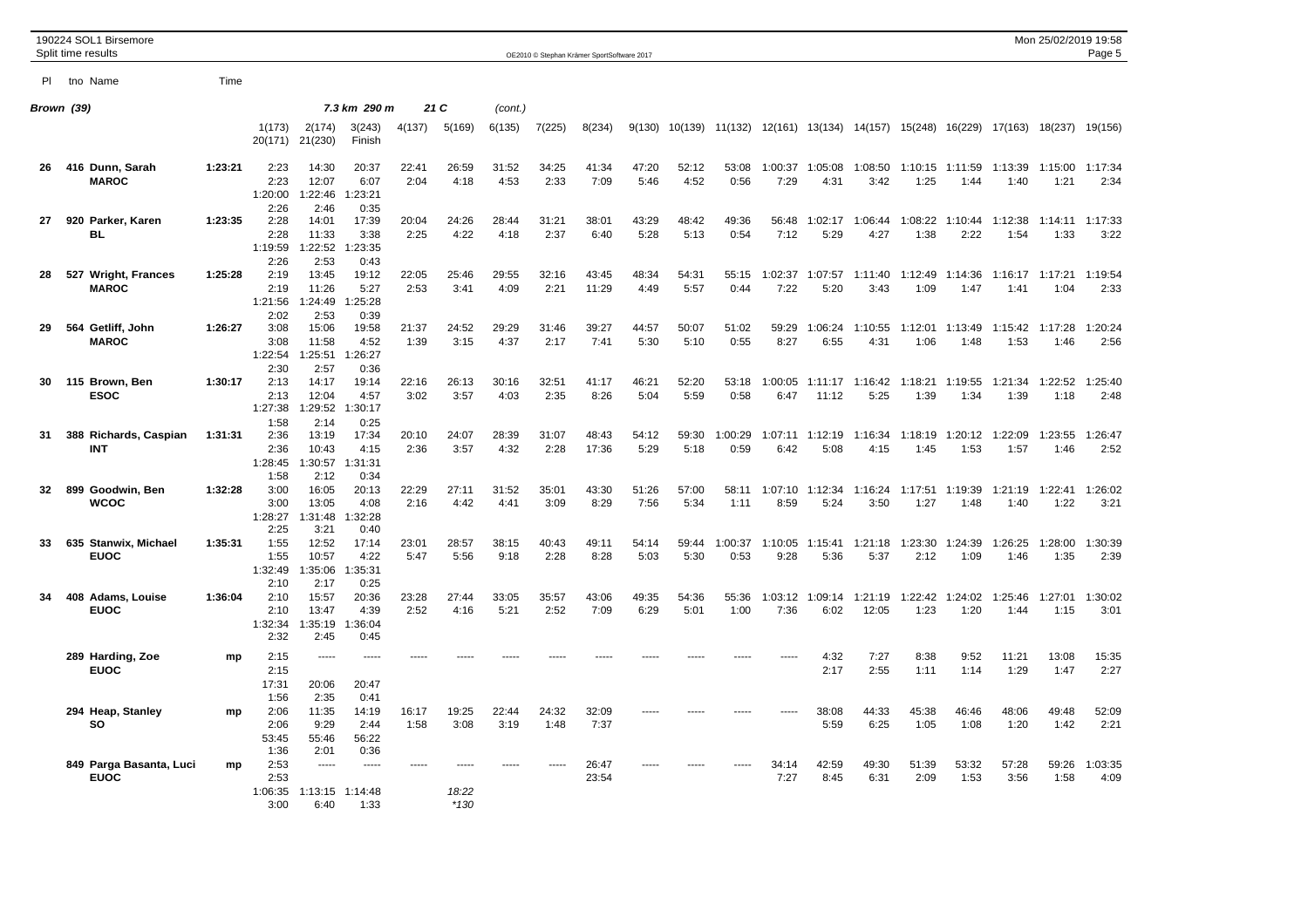|            |     | 190224 SOL1 Birsemore<br>Split time results |         |                                 |                                   |                                  |               |                        |               |               | OE2010 © Stephan Krämer SportSoftware 2017 |               |               |                 |                     |                  |                  |                 |                 |                     | Mon 25/02/2019 19:58 | Page 5          |
|------------|-----|---------------------------------------------|---------|---------------------------------|-----------------------------------|----------------------------------|---------------|------------------------|---------------|---------------|--------------------------------------------|---------------|---------------|-----------------|---------------------|------------------|------------------|-----------------|-----------------|---------------------|----------------------|-----------------|
| PL         |     | tno Name                                    | Time    |                                 |                                   |                                  |               |                        |               |               |                                            |               |               |                 |                     |                  |                  |                 |                 |                     |                      |                 |
| Brown (39) |     |                                             |         |                                 |                                   | 7.3 km 290 m                     |               | 21 C                   | (cont.)       |               |                                            |               |               |                 |                     |                  |                  |                 |                 |                     |                      |                 |
|            |     |                                             |         | 1(173)<br>20(171)               | 2(174)<br>21(230)                 | 3(243)<br>Finish                 | 4(137)        | 5(169)                 | 6(135)        | 7(225)        | 8(234)                                     | 9(130)        | 10(139)       | 11(132)         | 12(161)             | 13(134)          | 14(157)          | 15(248)         | 16(229)         | 17(163)             | 18(237)              | 19(156)         |
| 26         |     | 416 Dunn, Sarah<br><b>MAROC</b>             | 1:23:21 | 2:23<br>2:23<br>1:20:00<br>2:26 | 14:30<br>12:07<br>1:22:46<br>2:46 | 20:37<br>6:07<br>1:23:21<br>0:35 | 22:41<br>2:04 | 26:59<br>4:18          | 31:52<br>4:53 | 34:25<br>2:33 | 41:34<br>7:09                              | 47:20<br>5:46 | 52:12<br>4:52 | 53:08<br>0:56   | 1:00:37<br>7:29     | 1:05:08<br>4:31  | 1:08:50<br>3:42  | 1:10:15<br>1:25 | 1:11:59<br>1:44 | 1:13:39<br>1:40     | 1:15:00<br>1:21      | 1:17:34<br>2:34 |
| 27         |     | 920 Parker, Karen<br>BL                     | 1:23:35 | 2:28<br>2:28<br>1:19:59<br>2:26 | 14:01<br>11:33<br>1:22:52<br>2:53 | 17:39<br>3:38<br>:23:35<br>0:43  | 20:04<br>2:25 | 24:26<br>4:22          | 28:44<br>4:18 | 31:21<br>2:37 | 38:01<br>6:40                              | 43:29<br>5:28 | 48:42<br>5:13 | 49:36<br>0:54   | 56:48<br>7:12       | 1:02:17<br>5:29  | 1:06:44<br>4:27  | 1:08:22<br>1:38 | 1:10:44<br>2:22 | 1:12:38<br>1:54     | 1:14:11<br>1:33      | 1:17:33<br>3:22 |
| 28         |     | 527 Wright, Frances<br><b>MAROC</b>         | 1:25:28 | 2:19<br>2:19<br>1:21:56<br>2:02 | 13:45<br>11:26<br>1:24:49<br>2:53 | 19:12<br>5:27<br>:25:28<br>0:39  | 22:05<br>2:53 | 25:46<br>3:41          | 29:55<br>4:09 | 32:16<br>2:21 | 43:45<br>11:29                             | 48:34<br>4:49 | 54:31<br>5:57 | 55:15<br>0:44   | :02:37<br>1<br>7:22 | 1:07:57<br>5:20  | 1:11:40<br>3:43  | 1:12:49<br>1:09 | 1:14:36<br>1:47 | 1:16:17<br>1:41     | 1:17:21<br>1:04      | 1:19:54<br>2:33 |
| 29         |     | 564 Getliff, John<br><b>MAROC</b>           | 1:26:27 | 3:08<br>3:08<br>1:22:54<br>2:30 | 15:06<br>11:58<br>1:25:51<br>2:57 | 19:58<br>4:52<br>:26:27<br>0:36  | 21:37<br>1:39 | 24:52<br>3:15          | 29:29<br>4:37 | 31:46<br>2:17 | 39:27<br>7:41                              | 44:57<br>5:30 | 50:07<br>5:10 | 51:02<br>0:55   | 59:29<br>8:27       | 1:06:24<br>6:55  | 1:10:55<br>4:31  | 1:12:01<br>1:06 | 1:13:49<br>1:48 | 1:15:42<br>1:53     | 1:17:28<br>1:46      | 1:20:24<br>2:56 |
| 30         |     | 115 Brown, Ben<br><b>ESOC</b>               | 1:30:17 | 2:13<br>2:13<br>1:27:38<br>1:58 | 14:17<br>12:04<br>:29:52<br>2:14  | 19:14<br>4:57<br>:30:17<br>0:25  | 22:16<br>3:02 | 26:13<br>3:57          | 30:16<br>4:03 | 32:51<br>2:35 | 41:17<br>8:26                              | 46:21<br>5:04 | 52:20<br>5:59 | 53:18<br>0:58   | 1:00:05<br>6:47     | 1:11:17<br>11:12 | 1:16:42<br>5:25  | 1:18:21<br>1:39 | 1:19:55<br>1:34 | 1:21:34<br>1:39     | 1:22:52<br>1:18      | 1:25:40<br>2:48 |
| 31         |     | 388 Richards, Caspian<br><b>INT</b>         | 1:31:31 | 2:36<br>2:36<br>1:28:45<br>1:58 | 13:19<br>10:43<br>1:30:57<br>2:12 | 17:34<br>4:15<br>:31:31<br>0:34  | 20:10<br>2:36 | 24:07<br>3:57          | 28:39<br>4:32 | 31:07<br>2:28 | 48:43<br>17:36                             | 54:12<br>5:29 | 59:30<br>5:18 | :00:29<br>0:59  | :07:11<br>1<br>6:42 | 1:12:19<br>5:08  | 1:16:34<br>4:15  | 1:18:19<br>1:45 | 1:20:12<br>1:53 | :22:09<br>1<br>1:57 | 1:23:55<br>1:46      | 1:26:47<br>2:52 |
| 32         |     | 899 Goodwin, Ben<br><b>WCOC</b>             | 1:32:28 | 3:00<br>3:00<br>1:28:27<br>2:25 | 16:05<br>13:05<br>1:31:48<br>3:21 | 20:13<br>4:08<br>:32:28<br>0:40  | 22:29<br>2:16 | 27:11<br>4:42          | 31:52<br>4:41 | 35:01<br>3:09 | 43:30<br>8:29                              | 51:26<br>7:56 | 57:00<br>5:34 | 58:11<br>1:11   | 1:07:10<br>8:59     | 1:12:34<br>5:24  | 1:16:24<br>3:50  | 1:17:51<br>1:27 | 1:19:39<br>1:48 | 1:21:19<br>1:40     | 1:22:41<br>1:22      | 1:26:02<br>3:21 |
| 33         |     | 635 Stanwix, Michael<br><b>EUOC</b>         | 1:35:31 | 1:55<br>1:55<br>1:32:49<br>2:10 | 12:52<br>10:57<br>1:35:06<br>2:17 | 17:14<br>4:22<br>:35:31<br>0:25  | 23:01<br>5:47 | 28:57<br>5:56          | 38:15<br>9:18 | 40:43<br>2:28 | 49:11<br>8:28                              | 54:14<br>5:03 | 59:44<br>5:30 | 1:00:37<br>0:53 | 1:10:05<br>9:28     | 1:15:41<br>5:36  | 1:21:18<br>5:37  | 1:23:30<br>2:12 | 1:24:39<br>1:09 | 1:26:25<br>1:46     | 1:28:00<br>1:35      | 1:30:39<br>2:39 |
| 34         | 408 | Adams, Louise<br><b>EUOC</b>                | 1:36:04 | 2:10<br>2:10<br>1:32:34<br>2:32 | 15:57<br>13:47<br>1:35:19<br>2:45 | 20:36<br>4:39<br>36:04<br>0:45   | 23:28<br>2:52 | 27:44<br>4:16          | 33:05<br>5:21 | 35:57<br>2:52 | 43:06<br>7:09                              | 49:35<br>6:29 | 54:36<br>5:01 | 55:36<br>1:00   | :03:12<br>1<br>7:36 | 1:09:14<br>6:02  | 1:21:19<br>12:05 | :22:42<br>1:23  | 1:24:02<br>1:20 | :25:46<br>1<br>1:44 | 1:27:01<br>1:15      | 1:30:02<br>3:01 |
|            |     | 289 Harding, Zoe<br><b>EUOC</b>             | mp      | 2:15<br>2:15<br>17:31<br>1:56   | $- - - - -$<br>20:06<br>2:35      | -----<br>20:47<br>0:41           | -----         |                        |               |               |                                            |               |               |                 |                     | 4:32<br>2:17     | 7:27<br>2:55     | 8:38<br>1:11    | 9:52<br>1:14    | 11:21<br>1:29       | 13:08<br>1:47        | 15:35<br>2:27   |
|            |     | 294 Heap, Stanley<br><b>SO</b>              | mp      | 2:06<br>2:06<br>53:45<br>1:36   | 11:35<br>9:29<br>55:46<br>2:01    | 14:19<br>2:44<br>56:22<br>0:36   | 16:17<br>1:58 | 19:25<br>3:08          | 22:44<br>3:19 | 24:32<br>1:48 | 32:09<br>7:37                              |               |               |                 |                     | 38:08<br>5:59    | 44:33<br>6:25    | 45:38<br>1:05   | 46:46<br>1:08   | 48:06<br>1:20       | 49:48<br>1:42        | 52:09<br>2:21   |
|            |     | 849 Parga Basanta, Luci<br><b>EUOC</b>      | mp      | 2:53<br>2:53<br>1:06:35<br>3:00 | 1.1.1.1<br>1:13:15<br>6:40        | -----<br>1:14:48<br>1:33         | -----         | -----<br>18:22<br>*130 |               |               | 26:47<br>23:54                             |               |               | -----           | 34:14<br>7:27       | 42:59<br>8:45    | 49:30<br>6:31    | 51:39<br>2:09   | 53:32<br>1:53   | 57:28<br>3:56       | 59:26<br>1:58        | 1:03:35<br>4:09 |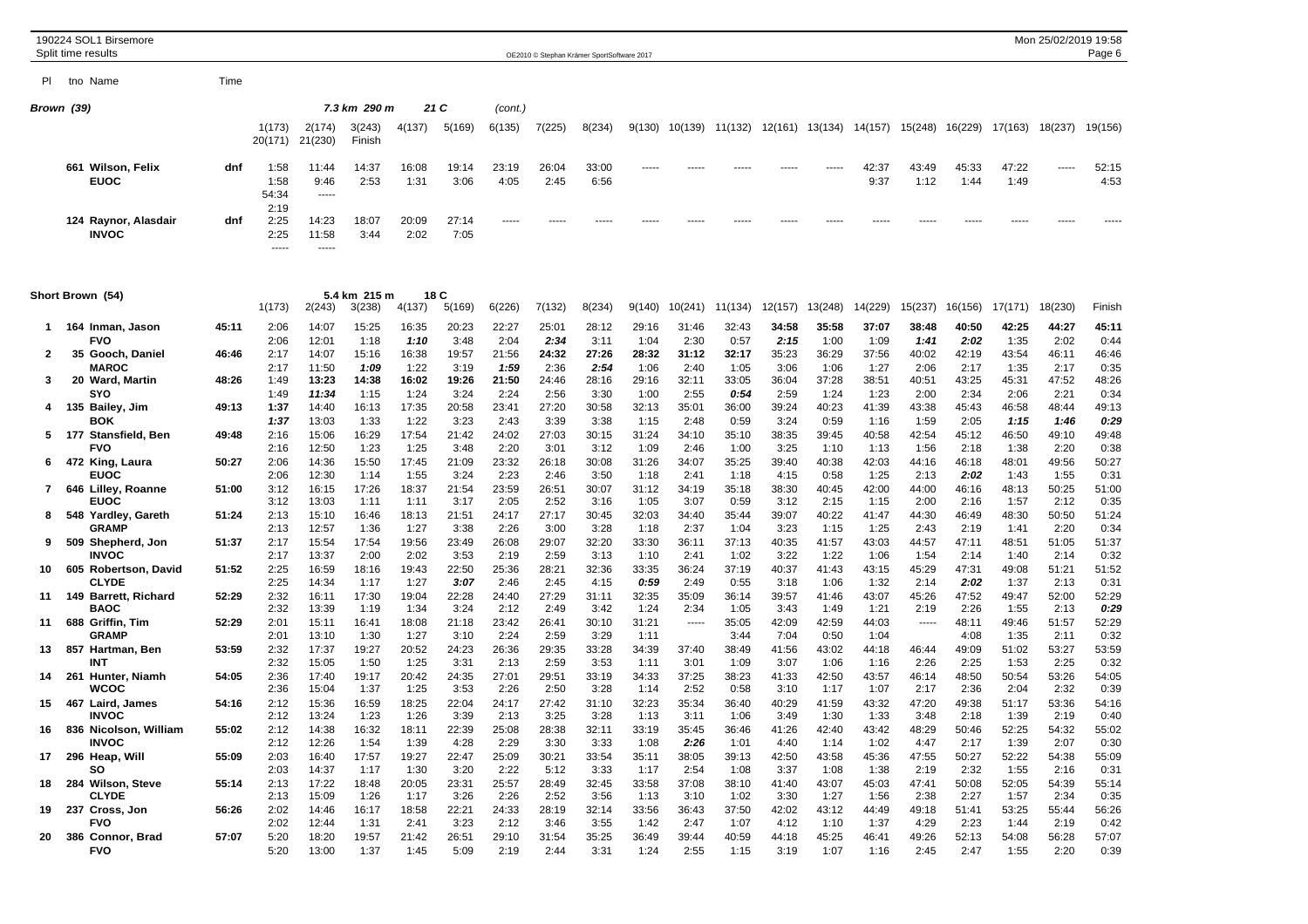|            | 190224 SOL1 Birsemore<br>Split time results |      |                               |                         |                  |               |               |               |               | OE2010 © Stephan Krämer SportSoftware 2017 |       |                |         |         |         |               |               |               |               | Mon 25/02/2019 19:58 | Page 6        |
|------------|---------------------------------------------|------|-------------------------------|-------------------------|------------------|---------------|---------------|---------------|---------------|--------------------------------------------|-------|----------------|---------|---------|---------|---------------|---------------|---------------|---------------|----------------------|---------------|
| PI.        | tno Name                                    | Time |                               |                         |                  |               |               |               |               |                                            |       |                |         |         |         |               |               |               |               |                      |               |
| Brown (39) |                                             |      |                               |                         | 7.3 km 290 m     |               | 21 C          | (cont.)       |               |                                            |       |                |         |         |         |               |               |               |               |                      |               |
|            |                                             |      | 1(173)<br>20(171)             | 2(174)<br>21(230)       | 3(243)<br>Finish | 4(137)        | 5(169)        | 6(135)        | 7(225)        | 8(234)                                     |       | 9(130) 10(139) | 11(132) | 12(161) | 13(134) | 14(157)       | 15(248)       | 16(229)       | 17(163)       | 18(237)              | 19(156)       |
|            | 661 Wilson, Felix<br><b>EUOC</b>            | dnf  | 1:58<br>1:58<br>54:34<br>2:19 | 11:44<br>9:46           | 14:37<br>2:53    | 16:08<br>1:31 | 19:14<br>3:06 | 23:19<br>4:05 | 26:04<br>2:45 | 33:00<br>6:56                              | ----- | -----          | -----   | -----   | -----   | 42:37<br>9:37 | 43:49<br>1:12 | 45:33<br>1:44 | 47:22<br>1:49 | $- - - - -$          | 52:15<br>4:53 |
|            | 124 Raynor, Alasdair<br><b>INVOC</b>        | dnf  | 2:25<br>2:25<br>$- - - - -$   | 14:23<br>11:58<br>----- | 18:07<br>3:44    | 20:09<br>2:02 | 27:14<br>7:05 | -----         | -----         | -----                                      | ----  |                | ----    |         |         | -----         | ----          | ----          | -----         |                      |               |

|     | Short Brown (54)                 |       |              |                | 5.4 km 215 m  | 18 C          |               |               |               |               |               |               |               |               |               |               |               |               |               |               |               |
|-----|----------------------------------|-------|--------------|----------------|---------------|---------------|---------------|---------------|---------------|---------------|---------------|---------------|---------------|---------------|---------------|---------------|---------------|---------------|---------------|---------------|---------------|
|     |                                  |       | 1(173)       | 2(243)         | 3(238)        | 4(137)        | 5(169)        | 6(226)        | 7(132)        | 8(234)        | 9(140)        | 10(241)       | 11(134)       | 12(157)       | 13(248)       | 14(229)       | 15(237)       | 16(156)       | 17(171)       | 18(230)       | Finish        |
| 1   | 164 Inman, Jason                 | 45:11 | 2:06         | 14:07          | 15:25         | 16:35         | 20:23         | 22:27         | 25:01         | 28:12         | 29:16         | 31:46         | 32:43         | 34:58         | 35:58         | 37:07         | 38:48         | 40:50         | 42:25         | 44:27         | 45:11         |
|     | <b>FVO</b>                       |       | 2:06         | 12:01          | 1:18          | 1:10          | 3:48          | 2:04          | 2:34          | 3:11          | 1:04          | 2:30          | 0:57          | 2:15          | 1:00          | 1:09          | 1:41          | 2:02          | 1:35          | 2:02          | 0:44          |
| 2   | 35 Gooch, Daniel                 | 46:46 | 2:17         | 14:07          | 15:16         | 16:38         | 19:57         | 21:56         | 24:32         | 27:26         | 28:32         | 31:12         | 32:17         | 35:23         | 36:29         | 37:56         | 40:02         | 42:19         | 43:54         | 46:11         | 46:46         |
|     | <b>MAROC</b>                     |       | 2:17         | 11:50          | 1:09          | 1:22          | 3:19          | 1:59          | 2:36          | 2:54          | 1:06          | 2:40          | 1:05          | 3:06          | 1:06          | 1:27          | 2:06          | 2:17          | 1:35          | 2:17          | 0:35          |
| 3   | 20 Ward, Martin                  | 48:26 | 1:49         | 13:23          | 14:38         | 16:02         | 19:26         | 21:50         | 24:46         | 28:16         | 29:16         | 32:11         | 33:05         | 36:04         | 37:28         | 38:51         | 40:51         | 43:25         | 45:31         | 47:52         | 48:26         |
|     | <b>SYO</b>                       |       | 1:49         | 11:34          | 1:15          | 1:24          | 3:24          | 2:24          | 2:56          | 3:30          | 1:00          | 2:55          | 0:54          | 2:59          | 1:24          | 1:23          | 2:00          | 2:34          | 2:06          | 2:21          | 0:34          |
| 4   | 135 Bailey, Jim                  | 49:13 | 1:37         | 14:40          | 16:13         | 17:35         | 20:58         | 23:41         | 27:20         | 30:58         | 32:13         | 35:01         | 36:00         | 39:24         | 40:23         | 41:39         | 43:38         | 45:43         | 46:58         | 48:44         | 49:13         |
|     | <b>BOK</b>                       |       | 1:37         | 13:03          | 1:33          | 1:22          | 3:23          | 2:43          | 3:39          | 3:38          | 1:15          | 2:48          | 0:59          | 3:24          | 0:59          | 1:16          | 1:59          | 2:05          | 1:15          | 1:46          | 0:29          |
|     | 5 177 Stansfield, Ben            | 49:48 | 2:16         | 15:06          | 16:29         | 17:54         | 21:42         | 24:02         | 27:03         | 30:15         | 31:24         | 34:10         | 35:10         | 38:35         | 39:45         | 40:58         | 42:54         | 45:12         | 46:50         | 49:10         | 49:48         |
|     | <b>FVO</b>                       |       | 2:16         | 12:50          | 1:23          | 1:25          | 3:48          | 2:20          | 3:01          | 3:12          | 1:09          | 2:46          | 1:00          | 3:25          | 1:10          | 1:13          | 1:56          | 2:18          | 1:38          | 2:20          | 0:38          |
| 6   | 472 King, Laura                  | 50:27 | 2:06         | 14:36          | 15:50         | 17:45         | 21:09         | 23:32         | 26:18         | 30:08         | 31:26         | 34:07         | 35:25         | 39:40         | 40:38         | 42:03         | 44:16         | 46:18         | 48:01         | 49:56         | 50:27         |
|     | <b>EUOC</b>                      |       | 2:06         | 12:30          | 1:14          | 1:55          | 3:24          | 2:23          | 2:46          | 3:50          | 1:18          | 2:41          | 1:18          | 4:15          | 0:58          | 1:25          | 2:13          | 2:02          | 1:43          | 1:55          | 0:31          |
| 7   | 646 Lilley, Roanne               | 51:00 | 3:12         | 16:15          | 17:26         | 18:37         | 21:54         | 23:59         | 26:51         | 30:07         | 31:12         | 34:19         | 35:18         | 38:30         | 40:45         | 42:00         | 44:00         | 46:16         | 48:13         | 50:25         | 51:00         |
|     | <b>EUOC</b>                      |       | 3:12         | 13:03          | 1:11          | 1:11          | 3:17          | 2:05          | 2:52          | 3:16          | 1:05          | 3:07          | 0:59          | 3:12          | 2:15          | 1:15          | 2:00          | 2:16          | 1:57          | 2:12          | 0:35          |
| 8   | 548 Yardley, Gareth              | 51:24 | 2:13         | 15:10          | 16:46         | 18:13         | 21:51         | 24:17         | 27:17         | 30:45         | 32:03         | 34:40         | 35:44         | 39:07         | 40:22         | 41:47         | 44:30         | 46:49         | 48:30         | 50:50         | 51:24         |
|     | <b>GRAMP</b>                     |       | 2:13         | 12:57          | 1:36          | 1:27          | 3:38          | 2:26          | 3:00          | 3:28          | 1:18          | 2:37          | 1:04          | 3:23          | 1:15          | 1:25          | 2:43          | 2:19          | 1:41          | 2:20          | 0:34          |
| 9   | 509 Shepherd, Jon                | 51:37 | 2:17         | 15:54          | 17:54         | 19:56         | 23:49         | 26:08         | 29:07         | 32:20         | 33:30         | 36:11         | 37:13         | 40:35         | 41:57         | 43:03         | 44:57         | 47:11         | 48:51         | 51:05         | 51:37         |
|     | <b>INVOC</b>                     |       | 2:17         | 13:37          | 2:00          | 2:02          | 3:53          | 2:19          | 2:59          | 3:13          | 1:10          | 2:41          | 1:02          | 3:22          | 1:22          | 1:06          | 1:54          | 2:14          | 1:40          | 2:14          | 0:32          |
| 10  | 605 Robertson, David             | 51:52 | 2:25         | 16:59          | 18:16         | 19:43         | 22:50         | 25:36         | 28:21         | 32:36         | 33:35         | 36:24         | 37:19         | 40:37         | 41:43         | 43:15         | 45:29         | 47:31         | 49:08         | 51:21         | 51:52         |
|     | <b>CLYDE</b>                     |       | 2:25         | 14:34          | 1:17          | 1:27          | 3:07          | 2:46          | 2:45          | 4:15          | 0:59          | 2:49          | 0:55          | 3:18          | 1:06          | 1:32          | 2:14          | 2:02          | 1:37          | 2:13          | 0:31          |
| 11  | 149 Barrett, Richard             | 52:29 | 2:32         | 16:11          | 17:30         | 19:04         | 22:28         | 24:40         | 27:29         | 31:11         | 32:35         | 35:09         | 36:14         | 39:57         | 41:46         | 43:07         | 45:26         | 47:52         | 49:47         | 52:00         | 52:29         |
|     | <b>BAOC</b>                      |       | 2:32         | 13:39          | 1:19          | 1:34          | 3:24          | 2:12          | 2:49          | 3:42          | 1:24          | 2:34          | 1:05          | 3:43          | 1:49          | 1:21          | 2:19          | 2:26          | 1:55          | 2:13          | 0:29          |
| 11  | 688 Griffin, Tim                 | 52:29 | 2:01         | 15:11          | 16:41         | 18:08         | 21:18         | 23:42         | 26:41         | 30:10         | 31:21         | $- - - - -$   | 35:05         | 42:09         | 42:59         | 44:03         | -----         | 48:11         | 49:46         | 51:57         | 52:29         |
|     | <b>GRAMP</b>                     |       | 2:01         | 13:10          | 1:30          | 1:27          | 3:10          | 2:24          | 2:59          | 3:29          | 1:11          |               | 3:44          | 7:04          | 0:50          | 1:04          |               | 4:08          | 1:35          | 2:11          | 0:32          |
| 13  | 857 Hartman, Ben                 | 53:59 | 2:32         | 17:37          | 19:27         | 20:52         | 24:23         | 26:36         | 29:35         | 33:28         | 34:39         | 37:40         | 38:49         | 41:56         | 43:02         | 44:18         | 46:44         | 49:09         | 51:02         | 53:27         | 53:59         |
|     | INT                              |       | 2:32         | 15:05          | 1:50          | 1:25          | 3:31          | 2:13          | 2:59          | 3:53          | 1:11          | 3:01          | 1:09          | 3:07          | 1:06          | 1:16          | 2:26          | 2:25          | 1:53          | 2:25          | 0:32          |
| 14  | 261 Hunter, Niamh<br><b>WCOC</b> | 54:05 | 2:36<br>2:36 | 17:40<br>15:04 | 19:17<br>1:37 | 20:42<br>1:25 | 24:35<br>3:53 | 27:01<br>2:26 | 29:51<br>2:50 | 33:19<br>3:28 | 34:33         | 37:25<br>2:52 | 38:23<br>0:58 | 41:33<br>3:10 | 42:50<br>1:17 | 43:57<br>1:07 | 46:14<br>2:17 | 48:50<br>2:36 | 50:54<br>2:04 | 53:26<br>2:32 | 54:05<br>0:39 |
| 15  | 467 Laird, James                 |       |              |                | 16:59         | 18:25         | 22:04         | 24:17         | 27:42         | 31:10         | 1:14<br>32:23 | 35:34         |               |               | 41:59         | 43:32         | 47:20         | 49:38         | 51:17         | 53:36         | 54:16         |
|     | <b>INVOC</b>                     | 54:16 | 2:12<br>2:12 | 15:36<br>13:24 | 1:23          | 1:26          | 3:39          | 2:13          | 3:25          | 3:28          | 1:13          | 3:11          | 36:40<br>1:06 | 40:29<br>3:49 | 1:30          | 1:33          | 3:48          | 2:18          | 1:39          | 2:19          | 0:40          |
| 16. | 836 Nicolson, William            | 55:02 | 2:12         | 14:38          | 16:32         | 18:11         | 22:39         | 25:08         | 28:38         | 32:11         | 33:19         | 35:45         | 36:46         | 41:26         | 42:40         | 43:42         | 48:29         | 50:46         | 52:25         | 54:32         | 55:02         |
|     | <b>INVOC</b>                     |       | 2:12         | 12:26          | 1:54          | 1:39          | 4:28          | 2:29          | 3:30          | 3:33          | 1:08          | 2:26          | 1:01          | 4:40          | 1:14          | 1:02          | 4:47          | 2:17          | 1:39          | 2:07          | 0:30          |
| 17  | 296 Heap, Will                   | 55:09 | 2:03         | 16:40          | 17:57         | 19:27         | 22:47         | 25:09         | 30:21         | 33:54         | 35:11         | 38:05         | 39:13         | 42:50         | 43:58         | 45:36         | 47:55         | 50:27         | 52:22         | 54:38         | 55:09         |
|     | so                               |       | 2:03         | 14:37          | 1:17          | 1:30          | 3:20          | 2:22          | 5:12          | 3:33          | 1:17          | 2:54          | 1:08          | 3:37          | 1:08          | 1:38          | 2:19          | 2:32          | 1:55          | 2:16          | 0:31          |
| 18  | 284 Wilson, Steve                | 55:14 | 2:13         | 17:22          | 18:48         | 20:05         | 23:31         | 25:57         | 28:49         | 32:45         | 33:58         | 37:08         | 38:10         | 41:40         | 43:07         | 45:03         | 47:41         | 50:08         | 52:05         | 54:39         | 55:14         |
|     | <b>CLYDE</b>                     |       | 2:13         | 15:09          | 1:26          | 1:17          | 3:26          | 2:26          | 2:52          | 3:56          | 1:13          | 3:10          | 1:02          | 3:30          | 1:27          | 1:56          | 2:38          | 2:27          | 1:57          | 2:34          | 0:35          |
| 19  | 237 Cross, Jon                   | 56:26 | 2:02         | 14:46          | 16:17         | 18:58         | 22:21         | 24:33         | 28:19         | 32:14         | 33:56         | 36:43         | 37:50         | 42:02         | 43:12         | 44:49         | 49:18         | 51:41         | 53:25         | 55:44         | 56:26         |
|     | <b>FVO</b>                       |       | 2:02         | 12:44          | 1:31          | 2:41          | 3:23          | 2:12          | 3:46          | 3:55          | 1:42          | 2:47          | 1:07          | 4:12          | 1:10          | 1:37          | 4:29          | 2:23          | 1:44          | 2:19          | 0:42          |
| 20  | 386 Connor, Brad                 | 57:07 | 5:20         | 18:20          | 19:57         | 21:42         | 26:51         | 29:10         | 31:54         | 35:25         | 36:49         | 39:44         | 40:59         | 44:18         | 45:25         | 46:41         | 49:26         | 52:13         | 54:08         | 56:28         | 57:07         |
|     | <b>FVO</b>                       |       | 5:20         | 13:00          | 1:37          | 1:45          | 5:09          | 2:19          | 2:44          | 3:31          | 1:24          | 2:55          | 1:15          | 3:19          | 1:07          | 1:16          | 2:45          | 2:47          | 1:55          | 2:20          | 0:39          |
|     |                                  |       |              |                |               |               |               |               |               |               |               |               |               |               |               |               |               |               |               |               |               |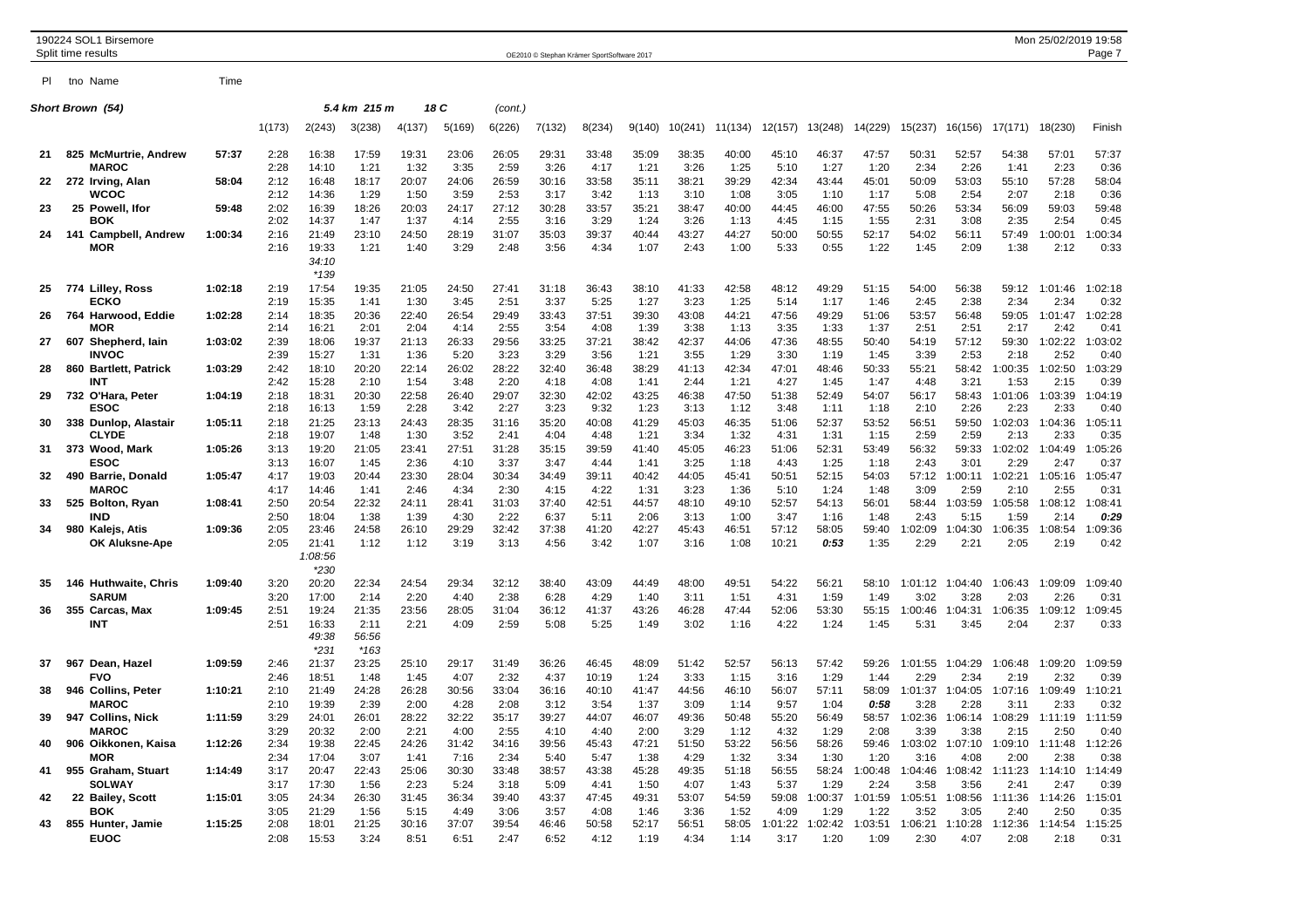| 190224 SOL1 Birsemore | Mon 25/02/2019 19:58 |
|-----------------------|----------------------|

| PL  |     | tno Name                              | Time    |              |                                 |                         |               |               |               |               |               |               |               |               |               |               |               |                 |                 |                 |                 |                 |
|-----|-----|---------------------------------------|---------|--------------|---------------------------------|-------------------------|---------------|---------------|---------------|---------------|---------------|---------------|---------------|---------------|---------------|---------------|---------------|-----------------|-----------------|-----------------|-----------------|-----------------|
|     |     | <b>Short Brown (54)</b>               |         |              |                                 | 5.4 km 215 m            |               | 18 C          | (cont.)       |               |               |               |               |               |               |               |               |                 |                 |                 |                 |                 |
|     |     |                                       |         | 1(173)       | 2(243)                          | 3(238)                  | 4(137)        | 5(169)        | 6(226)        | 7(132)        | 8(234)        | 9(140)        | 10(241)       | 11(134)       | 12(157)       | 13(248)       | 14(229)       | 15(237)         | 16(156)         | 17(171)         | 18(230)         | Finish          |
| -21 |     | 825 McMurtrie, Andrew<br><b>MAROC</b> | 57:37   | 2:28<br>2:28 | 16:38<br>14:10                  | 17:59<br>1:21           | 19:31<br>1:32 | 23:06<br>3:35 | 26:05<br>2:59 | 29:31<br>3:26 | 33:48<br>4:17 | 35:09<br>1:21 | 38:35<br>3:26 | 40:00<br>1:25 | 45:10<br>5:10 | 46:37<br>1:27 | 47:57<br>1:20 | 50:31<br>2:34   | 52:57<br>2:26   | 54:38<br>1:41   | 57:01<br>2:23   | 57:37<br>0:36   |
| 22  |     | 272 Irving, Alan                      | 58:04   | 2:12         | 16:48                           | 18:17                   | 20:07         | 24:06         | 26:59         | 30:16<br>3:17 | 33:58         | 35:11         | 38:21<br>3:10 | 39:29         | 42:34         | 43:44         | 45:01         | 50:09           | 53:03           | 55:10           | 57:28           | 58:04<br>0:36   |
| 23  |     | <b>WCOC</b><br>25 Powell, Ifor        | 59:48   | 2:12<br>2:02 | 14:36<br>16:39                  | 1:29<br>18:26           | 1:50<br>20:03 | 3:59<br>24:17 | 2:53<br>27:12 | 30:28         | 3:42<br>33:57 | 1:13<br>35:21 | 38:47         | 1:08<br>40:00 | 3:05<br>44:45 | 1:10<br>46:00 | 1:17<br>47:55 | 5:08<br>50:26   | 2:54<br>53:34   | 2:07<br>56:09   | 2:18<br>59:03   | 59:48           |
|     |     | <b>BOK</b>                            |         | 2:02         | 14:37                           | 1:47                    | 1:37          | 4:14          | 2:55          | 3:16          | 3:29          | 1:24          | 3:26          | 1:13          | 4:45          | 1:15          | 1:55          | 2:31            | 3:08            | 2:35            | 2:54            | 0:45            |
| 24  | 141 | <b>Campbell, Andrew</b><br><b>MOR</b> | 1:00:34 | 2:16<br>2:16 | 21:49<br>19:33<br>34:10<br>*139 | 23:10<br>1:21           | 24:50<br>1:40 | 28:19<br>3:29 | 31:07<br>2:48 | 35:03<br>3:56 | 39:37<br>4:34 | 40:44<br>1:07 | 43:27<br>2:43 | 44:27<br>1:00 | 50:00<br>5:33 | 50:55<br>0:55 | 52:17<br>1:22 | 54:02<br>1:45   | 56:11<br>2:09   | 57:49<br>1:38   | 1:00:01<br>2:12 | :00:34<br>0:33  |
| 25  |     | 774 Lilley, Ross<br><b>ECKO</b>       | 1:02:18 | 2:19<br>2:19 | 17:54<br>15:35                  | 19:35<br>1:41           | 21:05<br>1:30 | 24:50<br>3:45 | 27:41<br>2:51 | 31:18<br>3:37 | 36:43<br>5:25 | 38:10<br>1:27 | 41:33<br>3:23 | 42:58<br>1:25 | 48:12<br>5:14 | 49:29<br>1:17 | 51:15<br>1:46 | 54:00<br>2:45   | 56:38<br>2:38   | 59:12<br>2:34   | 1:01:46<br>2:34 | 1:02:18<br>0:32 |
| 26  |     | 764 Harwood, Eddie                    | 1:02:28 | 2:14         | 18:35                           | 20:36                   | 22:40         | 26:54         | 29:49         | 33:43         | 37:51         | 39:30         | 43:08         | 44:21         | 47:56         | 49:29         | 51:06         | 53:57           | 56:48           | 59:05           | 1:01:47         | 1:02:28         |
|     |     | <b>MOR</b>                            |         | 2:14         | 16:21                           | 2:01                    | 2:04          | 4:14          | 2:55          | 3:54          | 4:08          | 1:39          | 3:38          | 1:13          | 3:35          | 1:33          | 1:37          | 2:51            | 2:51            | 2:17            | 2:42            | 0:41            |
| 27  |     | 607 Shepherd, lain<br><b>INVOC</b>    | 1:03:02 | 2:39<br>2:39 | 18:06<br>15:27                  | 19:37<br>1:31           | 21:13<br>1:36 | 26:33<br>5:20 | 29:56<br>3:23 | 33:25<br>3:29 | 37:21<br>3:56 | 38:42<br>1:21 | 42:37<br>3:55 | 44:06<br>1:29 | 47:36<br>3:30 | 48:55<br>1:19 | 50:40<br>1:45 | 54:19<br>3:39   | 57:12<br>2:53   | 59:30<br>2:18   | 1:02:22<br>2:52 | :03:02<br>0:40  |
| 28  |     | 860 Bartlett, Patrick                 | 1:03:29 | 2:42         | 18:10                           | 20:20                   | 22:14         | 26:02         | 28:22         | 32:40         | 36:48         | 38:29         | 41:13         | 42:34         | 47:01         | 48:46         | 50:33         | 55:21           | 58:42           | :00:35          | 1:02:50         | :03:29          |
|     |     | <b>INT</b>                            |         | 2:42         | 15:28                           | 2:10                    | 1:54          | 3:48          | 2:20          | 4:18          | 4:08          | 1:41          | 2:44          | 1:21          | 4:27          | 1:45          | 1:47          | 4:48            | 3:21            | 1:53            | 2:15            | 0:39            |
| 29  |     | 732 O'Hara, Peter                     | 1:04:19 | 2:18         | 18:31                           | 20:30                   | 22:58         | 26:40         | 29:07         | 32:30         | 42:02         | 43:25         | 46:38         | 47:50         | 51:38         | 52:49         | 54:07         | 56:17           | 58:43           | 1:01:06         | 1:03:39         | :04:19          |
|     |     | <b>ESOC</b>                           |         | 2:18         | 16:13<br>21:25                  | 1:59                    | 2:28          | 3:42          | 2:27          | 3:23          | 9:32          | 1:23          | 3:13          | 1:12          | 3:48          | 1:11          | 1:18          | 2:10            | 2:26<br>59:50   | 2:23<br>1:02:03 | 2:33            | 0:40            |
| 30  |     | 338 Dunlop, Alastair<br><b>CLYDE</b>  | 1:05:11 | 2:18<br>2:18 | 19:07                           | 23:13<br>1:48           | 24:43<br>1:30 | 28:35<br>3:52 | 31:16<br>2:41 | 35:20<br>4:04 | 40:08<br>4:48 | 41:29<br>1:21 | 45:03<br>3:34 | 46:35<br>1:32 | 51:06<br>4:31 | 52:37<br>1:31 | 53:52<br>1:15 | 56:51<br>2:59   | 2:59            | 2:13            | 1:04:36<br>2:33 | 1:05:11<br>0:35 |
| 31  |     | 373 Wood, Mark                        | 1:05:26 | 3:13         | 19:20                           | 21:05                   | 23:41         | 27:51         | 31:28         | 35:15         | 39:59         | 41:40         | 45:05         | 46:23         | 51:06         | 52:31         | 53:49         | 56:32           | 59:33           | 1:02:02         | 1:04:49         | 1:05:26         |
|     |     | <b>ESOC</b>                           |         | 3:13         | 16:07                           | 1:45                    | 2:36          | 4:10          | 3:37          | 3:47          | 4:44          | 1:41          | 3:25          | 1:18          | 4:43          | 1:25          | 1:18          | 2:43            | 3:01            | 2:29            | 2:47            | 0:37            |
| 32  |     | 490 Barrie, Donald                    | 1:05:47 | 4:17         | 19:03                           | 20:44                   | 23:30         | 28:04         | 30:34         | 34:49         | 39:11         | 40:42         | 44:05         | 45:41         | 50:51         | 52:15         | 54:03         | 57:12           | 1:00:11         | 1:02:21         | 1:05:16         | :05:47          |
|     |     | <b>MAROC</b>                          |         | 4:17         | 14:46                           | 1:41                    | 2:46          | 4:34          | 2:30          | 4:15          | 4:22          | 1:31          | 3:23          | 1:36          | 5:10          | 1:24          | 1:48          | 3:09            | 2:59            | 2:10            | 2:55            | 0:31            |
| 33  |     | 525 Bolton, Ryan                      | 1:08:41 | 2:50         | 20:54                           | 22:32                   | 24:11         | 28:41         | 31:03         | 37:40         | 42:51         | 44:57         | 48:10         | 49:10         | 52:57         | 54:13         | 56:01         | 58:44           | :03:59          | :05:58          | 1:08:12         | :08:41          |
|     |     | <b>IND</b>                            |         | 2:50         | 18:04                           | 1:38                    | 1:39          | 4:30          | 2:22          | 6:37          | 5:11          | 2:06          | 3:13          | 1:00          | 3:47          | 1:16          | 1:48          | 2:43            | 5:15            | 1:59            | 2:14            | 0:29            |
| 34  |     | 980 Kalejs, Atis                      | 1:09:36 | 2:05         | 23:46                           | 24:58<br>1:12           | 26:10         | 29:29         | 32:42         | 37:38         | 41:20         | 42:27         | 45:43         | 46:51         | 57:12         | 58:05         | 59:40         | :02:09<br>2:29  | 1:04:30         | 1:06:35         | 1:08:54         | 1:09:36         |
|     |     | OK Aluksne-Ape                        |         | 2:05         | 21:41<br>1:08:56<br>$*230$      |                         | 1:12          | 3:19          | 3:13          | 4:56          | 3:42          | 1:07          | 3:16          | 1:08          | 10:21         | 0:53          | 1:35          |                 | 2:21            | 2:05            | 2:19            | 0:42            |
| 35  |     | 146 Huthwaite, Chris                  | 1:09:40 | 3:20         | 20:20                           | 22:34                   | 24:54         | 29:34         | 32:12         | 38:40         | 43:09         | 44:49         | 48:00         | 49:51         | 54:22         | 56:21         | 58:10         | 1:01:12         | 1:04:40         | 1:06:43         | 1:09:09         | 1:09:40         |
|     |     | <b>SARUM</b>                          |         | 3:20         | 17:00                           | 2:14                    | 2:20          | 4:40          | 2:38          | 6:28          | 4:29          | 1:40          | 3:11          | 1:51          | 4:31          | 1:59          | 1:49          | 3:02            | 3:28            | 2:03            | 2:26            | 0:31            |
| 36  |     | 355 Carcas, Max                       | 1:09:45 | 2:51         | 19:24                           | 21:35                   | 23:56         | 28:05         | 31:04         | 36:12         | 41:37         | 43:26         | 46:28         | 47:44         | 52:06         | 53:30         | 55:15         | 1:00:46         | :04:31          | 1:06:35         | 1:09:12         | 1:09:45         |
|     |     | <b>INT</b>                            |         | 2:51         | 16:33<br>49:38<br>$*231$        | 2:11<br>56:56<br>$*163$ | 2:21          | 4:09          | 2:59          | 5:08          | 5:25          | 1:49          | 3:02          | 1:16          | 4:22          | 1:24          | 1:45          | 5:31            | 3:45            | 2:04            | 2:37            | 0:33            |
| 37  |     | 967 Dean, Hazel                       | 1:09:59 | 2:46         | 21:37                           | 23:25                   | 25:10         | 29:17         | 31:49         | 36:26         | 46:45         | 48:09         | 51:42         | 52:57         | 56:13         | 57:42         | 59:26         | 1:01:55         | 1:04:29         | 1:06:48         | 1:09:20         | 1:09:59         |
|     |     | <b>FVO</b>                            |         | 2:46         | 18:51                           | 1:48                    | 1:45          | 4:07          | 2:32          | 4:37          | 10:19         | 1:24          | 3:33          | 1:15          | 3:16          | 1:29          | 1:44          | 2:29            | 2:34            | 2:19            | 2:32            | 0:39            |
| 38  |     | 946 Collins, Peter                    | 1:10:21 | 2:10         | 21:49                           | 24:28                   | 26:28         | 30:56         | 33:04         | 36:16         | 40:10         | 41:47         | 44:56         | 46:10         | 56:07         | 57:11         | 58:09         | 1:01:37         | :04:05          | 1:07:16         | 1:09:49         | 1:10:21         |
|     |     | <b>MAROC</b>                          |         | 2:10         | 19:39                           | 2:39                    | 2:00          | 4:28          | 2:08          | 3:12          | 3:54          | 1:37          | 3:09          | 1:14          | 9:57          | 1:04          | 0:58          | 3:28            | 2:28            | 3:11            | 2:33            | 0:32            |
| 39  |     | 947 Collins, Nick                     | 1:11:59 | 3:29         | 24:01                           | 26:01                   | 28:22         | 32:22         | 35:17         | 39:27         | 44:07         | 46:07         | 49:36         | 50:48         | 55:20         | 56:49         | 58:57         | :02:36          | 1:06:14         | 1:08:29         | 1:11:19         | 1:11:59         |
| 40  |     | <b>MAROC</b>                          | 1:12:26 | 3:29         | 20:32<br>19:38                  | 2:00<br>22:45           | 2:21          | 4:00<br>31:42 | 2:55          | 4:10          | 4:40<br>45:43 | 2:00          | 3:29<br>51:50 | 1:12          | 4:32<br>56:56 | 1:29<br>58:26 | 2:08<br>59:46 | 3:39<br>1:03:02 | 3:38<br>1:07:10 | 2:15<br>1:09:10 | 2:50<br>1:11:48 | 0:40<br>1:12:26 |
|     |     | 906 Oikkonen, Kaisa<br><b>MOR</b>     |         | 2:34<br>2:34 | 17:04                           | 3:07                    | 24:26<br>1:41 | 7:16          | 34:16<br>2:34 | 39:56<br>5:40 | 5:47          | 47:21<br>1:38 | 4:29          | 53:22<br>1:32 | 3:34          | 1:30          | 1:20          | 3:16            | 4:08            | 2:00            | 2:38            | 0:38            |
| 41  |     | 955 Graham, Stuart                    | 1:14:49 | 3:17         | 20:47                           | 22:43                   | 25:06         | 30:30         | 33:48         | 38:57         | 43:38         | 45:28         | 49:35         | 51:18         | 56:55         | 58:24         | 1:00:48       | :04:46          | 1:08:42         | 1:11:23         | 1:14:10         | :14:49          |
|     |     | <b>SOLWAY</b>                         |         | 3:17         | 17:30                           | 1:56                    | 2:23          | 5:24          | 3:18          | 5:09          | 4:41          | 1:50          | 4:07          | 1:43          | 5:37          | 1:29          | 2:24          | 3:58            | 3:56            | 2:4'            | 2:47            | 0:39            |
| 42  |     | 22 Bailey, Scott                      | 1:15:01 | 3:05         | 24:34                           | 26:30                   | 31:45         | 36:34         | 39:40         | 43:37         | 47:45         | 49:31         | 53:07         | 54:59         | 59:08         | :00:37        | 1:01:59       | 1:05:51         | 1:08:56         | 1:11:36         | 1:14:26         | 1:15:01         |
|     |     | <b>BOK</b>                            |         | 3:05         | 21:29                           | 1:56                    | 5:15          | 4:49          | 3:06          | 3:57          | 4:08          | 1:46          | 3:36          | 1:52          | 4:09          | 1:29          | 1:22          | 3:52            | 3:05            | 2:40            | 2:50            | 0:35            |
| 43  |     | 855 Hunter, Jamie                     | 1:15:25 | 2:08         | 18:01                           | 21:25                   | 30:16         | 37:07         | 39:54         | 46:46         | 50:58         | 52:17         | 56:51         | 58:05         | :01:22        | 1:02:42       | 1:03:51       | 1:06:21         | 1:10:28         | 1:12:36         | 1:14:54         | 1:15:25         |
|     |     | <b>EUOC</b>                           |         | 2:08         | 15:53                           | 3:24                    | 8:51          | 6:51          | 2:47          | 6:52          | 4:12          | 1:19          | 4:34          | 1:14          | 3:17          | 1:20          | 1:09          | 2:30            | 4:07            | 2:08            | 2:18            | 0:31            |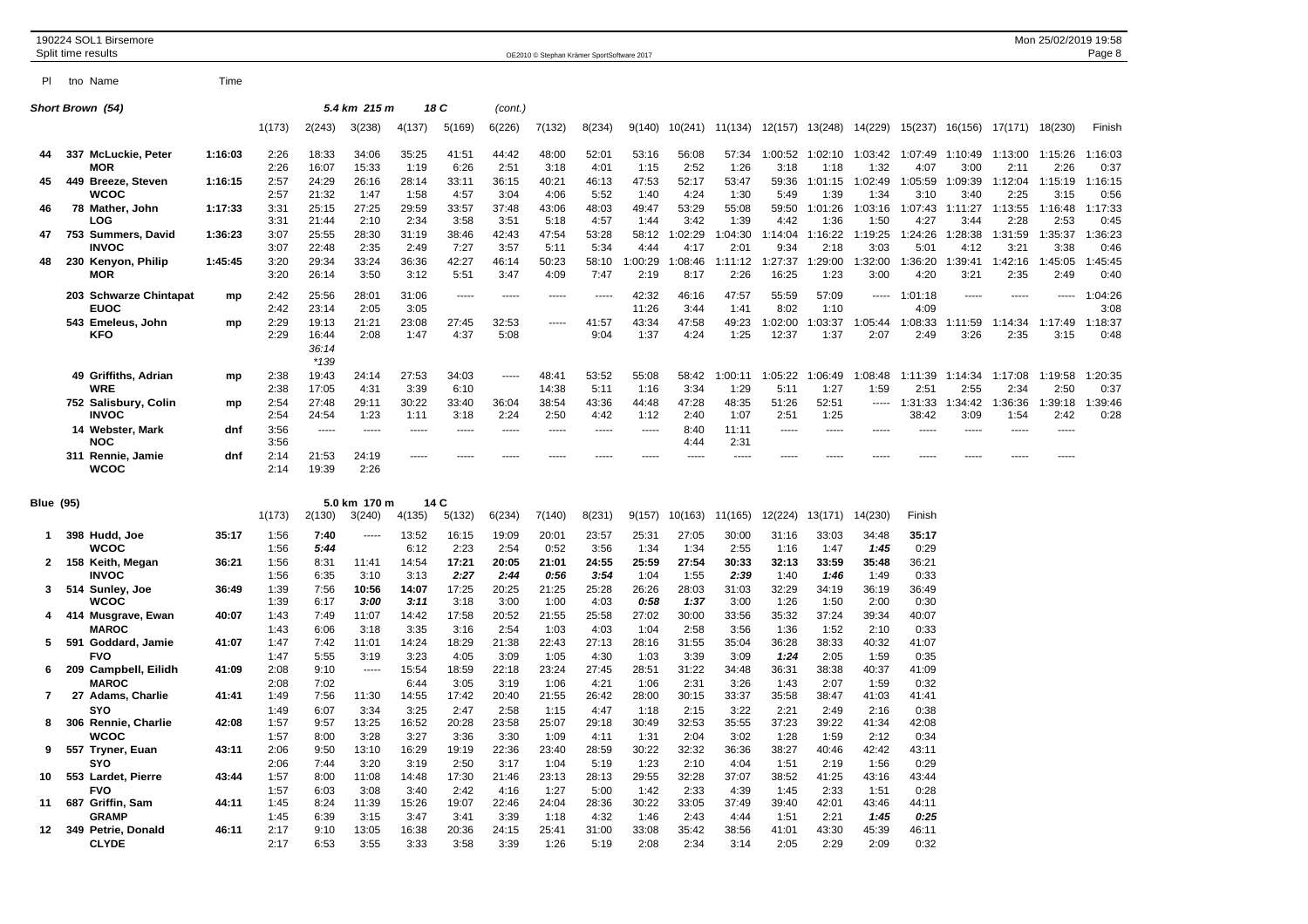|                  |     | 190224 SOL1 Birsemore<br>Split time results |         |              |                          |               |               |               |               | OE2010 © Stephan Krämer SportSoftware 2017 |               |                 |                 |                         |                 |                 |                 |                  |                 |                 | Mon 25/02/2019 19:58 | Page 8          |
|------------------|-----|---------------------------------------------|---------|--------------|--------------------------|---------------|---------------|---------------|---------------|--------------------------------------------|---------------|-----------------|-----------------|-------------------------|-----------------|-----------------|-----------------|------------------|-----------------|-----------------|----------------------|-----------------|
| PL               |     | tno Name                                    | Time    |              |                          |               |               |               |               |                                            |               |                 |                 |                         |                 |                 |                 |                  |                 |                 |                      |                 |
|                  |     | <b>Short Brown (54)</b>                     |         |              |                          | 5.4 km 215 m  |               | 18 C          | (cont.)       |                                            |               |                 |                 |                         |                 |                 |                 |                  |                 |                 |                      |                 |
|                  |     |                                             |         | 1(173)       | 2(243)                   | 3(238)        | 4(137)        | 5(169)        | 6(226)        | 7(132)                                     | 8(234)        | 9(140)          | 10(241)         | 11(134) 12(157) 13(248) |                 |                 | 14(229)         | 15(237)          | 16(156)         | 17(171) 18(230) |                      | Finish          |
| 44               |     | 337 McLuckie, Peter                         | 1:16:03 | 2:26         | 18:33                    | 34:06         | 35:25         | 41:51         | 44:42         | 48:00                                      | 52:01         | 53:16           | 56:08           | 57:34                   | 1:00:52         | 1:02:10         | 1:03:42         | 1:07:49          | 1:10:49         | 1:13:00         | 1:15:26              | 1:16:03         |
|                  |     | MOR                                         |         | 2:26         | 16:07                    | 15:33         | 1:19          | 6:26          | 2:51          | 3:18                                       | 4:01          | 1:15            | 2:52            | 1:26                    | 3:18            | 1:18            | 1:32            | 4:07             | 3:00            | 2:11            | 2:26                 | 0:37            |
| 45               |     | 449 Breeze, Steven<br><b>WCOC</b>           | 1:16:15 | 2:57<br>2:57 | 24:29<br>21:32           | 26:16<br>1:47 | 28:14<br>1:58 | 33:11<br>4:57 | 36:15<br>3:04 | 40:21<br>4:06                              | 46:13<br>5:52 | 47:53<br>1:40   | 52:17<br>4:24   | 53:47<br>1:30           | 59:36<br>5:49   | 1:01:15<br>1:39 | 1:02:49<br>1:34 | 1:05:59<br>3:10  | 1:09:39<br>3:40 | 1:12:04<br>2:25 | 1:15:19<br>3:15      | 1:16:15<br>0:56 |
| 46               |     | 78 Mather, John                             | 1:17:33 | 3:31         | 25:15                    | 27:25         | 29:59         | 33:57         | 37:48         | 43:06                                      | 48:03         | 49:47           | 53:29           | 55:08                   | 59:50           | 1:01:26         | 1:03:16         | 1:07:43          | 1:11:27         | 1:13:55         | 1:16:48              | :17:33          |
|                  |     | LOG                                         |         | 3:31         | 21:44                    | 2:10          | 2:34          | 3:58          | 3:51          | 5:18                                       | 4:57          | 1:44            | 3:42            | 1:39                    | 4:42            | 1:36            | 1:50            | 4:27             | 3:44            | 2:28            | 2:53                 | 0:45            |
| 47               |     | 753 Summers, David                          | 1:36:23 | 3:07         | 25:55                    | 28:30         | 31:19         | 38:46         | 42:43         | 47:54                                      | 53:28         | 58:12           | 1:02:29         | 1:04:30                 | 1:14:04         | 1:16:22         | 1:19:25         | 1:24:26          | 1:28:38         | 1:31:59         | 1:35:37              | 1:36:23         |
|                  |     | <b>INVOC</b>                                |         | 3:07         | 22:48                    | 2:35          | 2:49          | 7:27          | 3:57          | 5:11                                       | 5:34<br>58:10 | 4:44            | 4:17            | 2:01                    | 9:34<br>1:27:37 | 2:18            | 3:03            | 5:01             | 4:12            | 3:21            | 3:38                 | 0:46            |
| 48               |     | 230 Kenyon, Philip<br><b>MOR</b>            | 1:45:45 | 3:20<br>3:20 | 29:34<br>26:14           | 33:24<br>3:50 | 36:36<br>3:12 | 42:27<br>5:51 | 46:14<br>3:47 | 50:23<br>4:09                              | 7:47          | 1:00:29<br>2:19 | 1:08:46<br>8:17 | 1:11:12<br>2:26         | 16:25           | 1:29:00<br>1:23 | :32:00<br>3:00  | 1:36:20<br>4:20  | 1:39:41<br>3:21 | 1:42:16<br>2:35 | 1:45:05<br>2:49      | 1:45:45<br>0:40 |
|                  |     | 203 Schwarze Chintapat<br><b>EUOC</b>       | mp      | 2:42<br>2:42 | 25:56<br>23:14           | 28:01<br>2:05 | 31:06<br>3:05 | -----         | -----         | -----                                      | -----         | 42:32<br>11:26  | 46:16<br>3:44   | 47:57<br>1:41           | 55:59<br>8:02   | 57:09<br>1:10   | -----           | 1:01:18<br>4:09  | 1.1.1.1         | -----           |                      | 1:04:26<br>3:08 |
|                  |     | 543 Emeleus, John                           | mp      | 2:29         | 19:13                    | 21:21         | 23:08         | 27:45         | 32:53         | -----                                      | 41:57         | 43:34           | 47:58           | 49:23                   | 1:02:00         | :03:37          | 1:05:44         | 1:08:33          | 1:11:59         | 1:14:34         | 1:17:49              | 1:18:37         |
|                  |     | <b>KFO</b>                                  |         | 2:29         | 16:44<br>36:14<br>$*139$ | 2:08          | 1:47          | 4:37          | 5:08          |                                            | 9:04          | 1:37            | 4:24            | 1:25                    | 12:37           | 1:37            | 2:07            | 2:49             | 3:26            | 2:35            | 3:15                 | 0:48            |
|                  |     | 49 Griffiths, Adrian                        | mp      | 2:38         | 19:43                    | 24:14         | 27:53         | 34:03         | -----         | 48:41                                      | 53:52         | 55:08           | 58:42           | 1:00:11                 | 1:05:22         | 1:06:49         | 1:08:48         | 1:11:39          | 1:14:34         | 1:17:08         | 1:19:58              | 1:20:35         |
|                  |     | <b>WRE</b>                                  |         | 2:38         | 17:05                    | 4:31          | 3:39          | 6:10          |               | 14:38                                      | 5:11          | 1:16            | 3:34            | 1:29                    | 5:11            | 1:27            | 1:59            | 2:51             | 2:55            | 2:34            | 2:50                 | 0:37            |
|                  |     | 752 Salisbury, Colin<br><b>INVOC</b>        | mp      | 2:54<br>2:54 | 27:48<br>24:54           | 29:11<br>1:23 | 30:22<br>1:11 | 33:40<br>3:18 | 36:04<br>2:24 | 38:54<br>2:50                              | 43:36<br>4:42 | 44:48<br>1:12   | 47:28<br>2:40   | 48:35<br>1:07           | 51:26<br>2:51   | 52:51<br>1:25   | -----           | 1:31:33<br>38:42 | 1:34:42<br>3:09 | 1:36:36<br>1:54 | 1:39:18<br>2:42      | 1:39:46<br>0:28 |
|                  |     | 14 Webster, Mark                            | dnf     | 3:56         | 1.1.1.1                  | -----         | -----         | -----         | 1.1.1.1       | -----                                      | -----         | -----           | 8:40            | 11:11                   | -----           | $- - - -$       | -----           | ----             | $- - - -$       | -----           | -----                |                 |
|                  |     | <b>NOC</b>                                  |         | 3:56         |                          |               |               |               |               |                                            |               |                 | 4:44            | 2:31                    |                 |                 |                 |                  |                 |                 |                      |                 |
|                  |     | 311 Rennie, Jamie<br><b>WCOC</b>            | dnf     | 2:14<br>2:14 | 21:53<br>19:39           | 24:19<br>2:26 | -----         |               |               |                                            |               | -----           |                 | -----                   |                 |                 |                 |                  |                 |                 |                      |                 |
| <b>Blue (95)</b> |     |                                             |         |              |                          | 5.0 km 170 m  |               | 14 C          |               |                                            |               |                 |                 |                         |                 |                 |                 |                  |                 |                 |                      |                 |
|                  |     |                                             |         | 1(173)       | 2(130)                   | 3(240)        | 4(135)        | 5(132)        | 6(234)        | 7(140)                                     | 8(231)        | 9(157)          | 10(163)         | 11(165)                 | 12(224)         | 13(171)         | 14(230)         | Finish           |                 |                 |                      |                 |
| 1                |     | 398 Hudd, Joe                               | 35:17   | 1:56         | 7:40                     | -----         | 13:52         | 16:15         | 19:09         | 20:01                                      | 23:57         | 25:31           | 27:05           | 30:00                   | 31:16           | 33:03           | 34:48           | 35:17            |                 |                 |                      |                 |
| $\mathbf{2}$     |     | <b>WCOC</b><br>158 Keith, Megan             | 36:21   | 1:56<br>1:56 | 5:44<br>8:31             | 11:41         | 6:12<br>14:54 | 2:23<br>17:21 | 2:54<br>20:05 | 0:52<br>21:01                              | 3:56<br>24:55 | 1:34<br>25:59   | 1:34<br>27:54   | 2:55<br>30:33           | 1:16<br>32:13   | 1:47<br>33:59   | 1:45<br>35:48   | 0:29<br>36:21    |                 |                 |                      |                 |
|                  |     | <b>INVOC</b>                                |         | 1:56         | 6:35                     | 3:10          | 3:13          | 2:27          | 2:44          | 0:56                                       | 3:54          | 1:04            | 1:55            | 2:39                    | 1:40            | 1:46            | 1:49            | 0:33             |                 |                 |                      |                 |
| 3                |     | 514 Sunley, Joe                             | 36:49   | 1:39         | 7:56                     | 10:56         | 14:07         | 17:25         | 20:25         | 21:25                                      | 25:28         | 26:26           | 28:03           | 31:03                   | 32:29           | 34:19           | 36:19           | 36:49            |                 |                 |                      |                 |
|                  |     | <b>WCOC</b>                                 |         | 1:39         | 6:17                     | 3:00          | 3:11          | 3:18          | 3:00          | 1:00                                       | 4:03          | 0.58            | 1:37            | 3:00                    | 1:26            | 1:50            | 2:00            | 0:30             |                 |                 |                      |                 |
|                  |     | 414 Musgrave, Ewan<br><b>MAROC</b>          | 40:07   | 1:43<br>1:43 | 7:49<br>6:06             | 11:07<br>3:18 | 14:42<br>3:35 | 17:58<br>3:16 | 20:52<br>2:54 | 21:55<br>1:03                              | 25:58<br>4:03 | 27:02<br>1:04   | 30:00<br>2:58   | 33:56<br>3:56           | 35:32<br>1:36   | 37:24<br>1:52   | 39:34<br>2:10   | 40:07<br>0:33    |                 |                 |                      |                 |
| 5                | 591 | Goddard, Jamie                              | 41:07   | 1:47         | 7:42                     | 11:01         | 14:24         | 18:29         | 21:38         | 22:43                                      | 27:13         | 28:16           | 31:55           | 35:04                   | 36:28           | 38:33           | 40:32           | 41:07            |                 |                 |                      |                 |
|                  |     | <b>FVO</b>                                  |         | 1:47         | 5:55                     | 3:19          | 3:23          | 4:05          | 3:09          | 1:05                                       | 4:30          | 1:03            | 3:39            | 3:09                    | 1:24            | 2:05            | 1:59            | 0:35             |                 |                 |                      |                 |
| 6                |     | 209 Campbell, Eilidh                        | 41:09   | 2:08         | 9:10                     | 1.1.1.1       | 15:54         | 18:59         | 22:18         | 23:24                                      | 27:45         | 28:51           | 31:22           | 34:48                   | 36:31           | 38:38           | 40:37           | 41:09            |                 |                 |                      |                 |
| $\overline{7}$   |     | <b>MAROC</b>                                | 41:41   | 2:08<br>1:49 | 7:02                     | 11:30         | 6:44          | 3:05          | 3:19          | 1:06                                       | 4:21<br>26:42 | 1:06            | 2:31<br>30:15   | 3:26                    | 1:43            | 2:07<br>38:47   | 1:59            | 0:32             |                 |                 |                      |                 |
|                  |     | 27 Adams, Charlie<br><b>SYO</b>             |         | 1:49         | 7:56<br>6:07             | 3:34          | 14:55<br>3:25 | 17:42<br>2:47 | 20:40<br>2:58 | 21:55<br>1:15                              | 4:47          | 28:00<br>1:18   | 2:15            | 33:37<br>3:22           | 35:58<br>2:21   | 2:49            | 41:03<br>2:16   | 41:41<br>0:38    |                 |                 |                      |                 |
| 8                |     | 306 Rennie, Charlie                         | 42:08   | 1:57         | 9:57                     | 13:25         | 16:52         | 20:28         | 23:58         | 25:07                                      | 29:18         | 30:49           | 32:53           | 35:55                   | 37:23           | 39:22           | 41:34           | 42:08            |                 |                 |                      |                 |
|                  |     | <b>WCOC</b>                                 |         | 1:57         | 8:00                     | 3:28          | 3:27          | 3:36          | 3:30          | 1:09                                       | 4:11          | 1:31            | 2:04            | 3:02                    | 1:28            | 1:59            | 2:12            | 0:34             |                 |                 |                      |                 |
| 9                |     | 557 Tryner, Euan                            | 43:11   | 2:06         | 9:50                     | 13:10         | 16:29         | 19:19         | 22:36         | 23:40                                      | 28:59         | 30:22           | 32:32           | 36:36                   | 38:27           | 40:46           | 42:42           | 43:11            |                 |                 |                      |                 |
| 10               |     | SYO<br>553 Lardet, Pierre                   | 43:44   | 2:06<br>1:57 | 7:44<br>8:00             | 3:20<br>11:08 | 3:19<br>14:48 | 2:50<br>17:30 | 3:17<br>21:46 | 1:04<br>23:13                              | 5:19<br>28:13 | 1:23<br>29:55   | 2:10<br>32:28   | 4:04<br>37:07           | 1:51<br>38:52   | 2:19<br>41:25   | 1:56<br>43:16   | 0:29<br>43:44    |                 |                 |                      |                 |
|                  |     | <b>FVO</b>                                  |         | 1:57         | 6:03                     | 3:08          | 3:40          | 2:42          | 4:16          | 1:27                                       | 5:00          | 1:42            | 2:33            | 4:39                    | 1:45            | 2:33            | 1:51            | 0:28             |                 |                 |                      |                 |
| 11               |     | 687 Griffin, Sam                            | 44:11   | 1:45         | 8:24                     | 11:39         | 15:26         | 19:07         | 22:46         | 24:04                                      | 28:36         | 30:22           | 33:05           | 37:49                   | 39:40           | 42:01           | 43:46           | 44:11            |                 |                 |                      |                 |
|                  |     | <b>GRAMP</b>                                |         | 1:45         | 6:39                     | 3:15          | 3:47          | 3:41          | 3:39          | 1:18                                       | 4:32          | 1:46            | 2:43            | 4:44                    | 1:51            | 2:21            | 1:45            | 0:25             |                 |                 |                      |                 |
|                  |     | 12 349 Petrie, Donald<br><b>CLYDE</b>       | 46:11   | 2:17<br>2:17 | 9:10<br>6:53             | 13:05<br>3:55 | 16:38         | 20:36<br>3:58 | 24:15<br>3:39 | 25:41<br>1:26                              | 31:00         | 33:08<br>2:08   | 35:42           | 38:56                   | 41:01<br>2:05   | 43:30<br>2:29   | 45:39           | 46:11<br>0:32    |                 |                 |                      |                 |
|                  |     |                                             |         |              |                          |               | 3:33          |               |               |                                            | 5:19          |                 | 2:34            | 3:14                    |                 |                 | 2:09            |                  |                 |                 |                      |                 |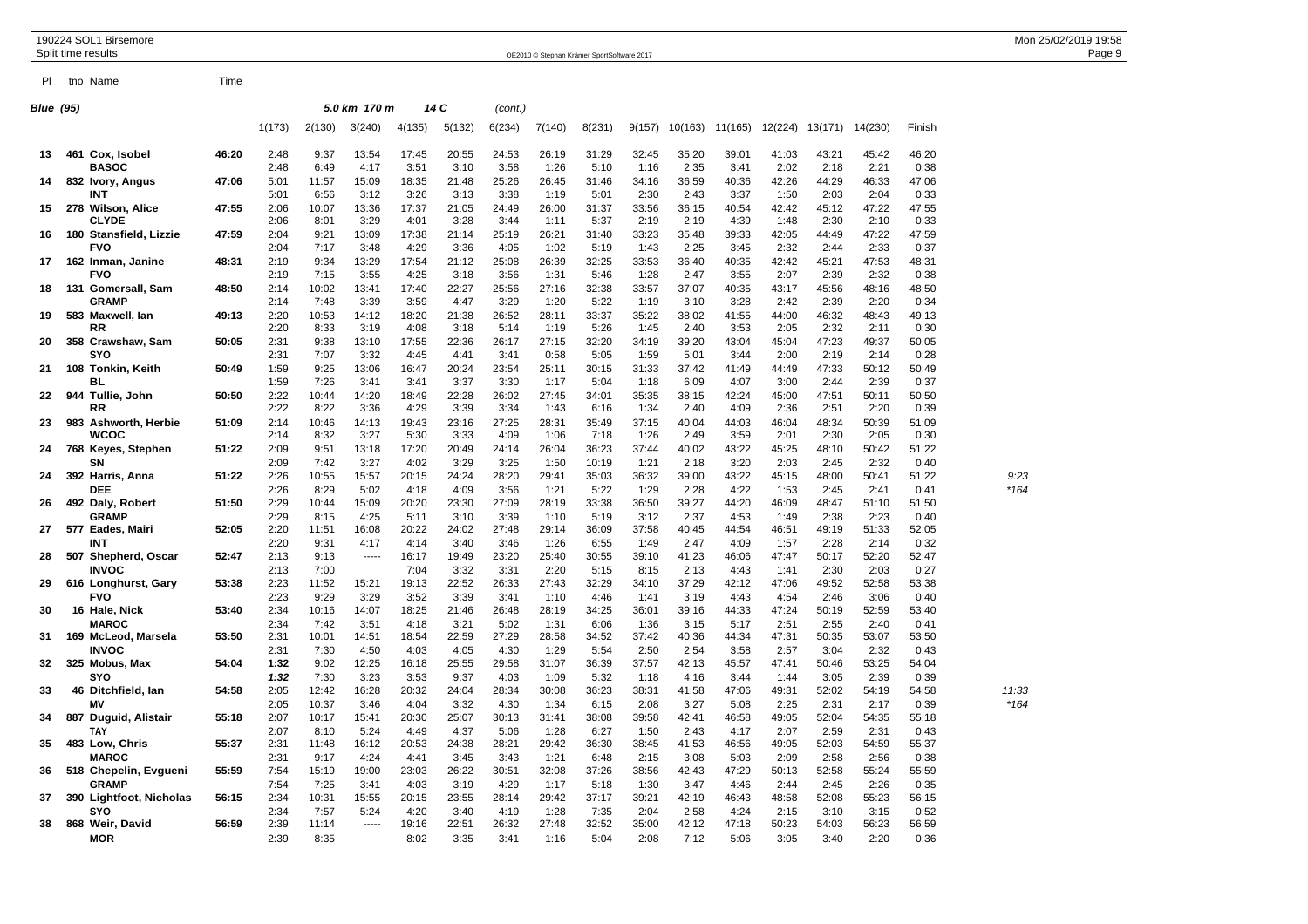| PI               | tno Name                              | Time  |              |                |               |               |               |               |               |                |               |               |                 |               |               |               |               |                 |
|------------------|---------------------------------------|-------|--------------|----------------|---------------|---------------|---------------|---------------|---------------|----------------|---------------|---------------|-----------------|---------------|---------------|---------------|---------------|-----------------|
| <b>Blue</b> (95) |                                       |       |              |                | 5.0 km 170 m  |               | 14 C          | (cont.)       |               |                |               |               |                 |               |               |               |               |                 |
|                  |                                       |       | 1(173)       | 2(130)         | 3(240)        | 4(135)        | 5(132)        | 6(234)        | 7(140)        | 8(231)         | 9(157)        |               | 10(163) 11(165) | 12(224)       | 13(171)       | 14(230)       | Finish        |                 |
| 13               | 461 Cox, Isobel<br><b>BASOC</b>       | 46:20 | 2:48<br>2:48 | 9:37<br>6:49   | 13:54<br>4:17 | 17:45<br>3:51 | 20:55<br>3:10 | 24:53<br>3:58 | 26:19<br>1:26 | 31:29<br>5:10  | 32:45<br>1:16 | 35:20<br>2:35 | 39:01<br>3:41   | 41:03<br>2:02 | 43:21<br>2:18 | 45:42<br>2:21 | 46:20<br>0:38 |                 |
| 14               | 832 Ivory, Angus<br>INT               | 47:06 | 5:01<br>5:01 | 11:57<br>6:56  | 15:09<br>3:12 | 18:35<br>3:26 | 21:48<br>3:13 | 25:26<br>3:38 | 26:45<br>1:19 | 31:46<br>5:01  | 34:16<br>2:30 | 36:59<br>2:43 | 40:36<br>3:37   | 42:26<br>1:50 | 44:29<br>2:03 | 46:33<br>2:04 | 47:06<br>0:33 |                 |
| 15               | 278 Wilson, Alice<br><b>CLYDE</b>     | 47:55 | 2:06<br>2:06 | 10:07<br>8:01  | 13:36<br>3:29 | 17:37<br>4:01 | 21:05<br>3:28 | 24:49<br>3:44 | 26:00<br>1:11 | 31:37<br>5:37  | 33:56<br>2:19 | 36:15<br>2:19 | 40:54<br>4:39   | 42:42<br>1:48 | 45:12<br>2:30 | 47:22<br>2:10 | 47:55<br>0:33 |                 |
| 16               | 180 Stansfield, Lizzie<br><b>FVO</b>  | 47:59 | 2:04<br>2:04 | 9:21<br>7:17   | 13:09<br>3:48 | 17:38<br>4:29 | 21:14<br>3:36 | 25:19<br>4:05 | 26:21<br>1:02 | 31:40<br>5:19  | 33:23<br>1:43 | 35:48<br>2:25 | 39:33<br>3:45   | 42:05<br>2:32 | 44:49<br>2:44 | 47:22<br>2:33 | 47:59<br>0:37 |                 |
| 17               | 162 Inman, Janine<br><b>FVO</b>       | 48:31 | 2:19<br>2:19 | 9:34<br>7:15   | 13:29<br>3:55 | 17:54<br>4:25 | 21:12<br>3:18 | 25:08<br>3:56 | 26:39<br>1:31 | 32:25<br>5:46  | 33:53<br>1:28 | 36:40<br>2:47 | 40:35<br>3:55   | 42:42<br>2:07 | 45:21<br>2:39 | 47:53<br>2:32 | 48:31<br>0:38 |                 |
| 18               | 131 Gomersall, Sam<br><b>GRAMP</b>    | 48:50 | 2:14<br>2:14 | 10:02<br>7:48  | 13:41<br>3:39 | 17:40<br>3:59 | 22:27<br>4:47 | 25:56<br>3:29 | 27:16<br>1:20 | 32:38<br>5:22  | 33:57<br>1:19 | 37:07<br>3:10 | 40:35<br>3:28   | 43:17<br>2:42 | 45:56<br>2:39 | 48:16<br>2:20 | 48:50<br>0:34 |                 |
| 19               | 583 Maxwell, lan<br>RR                | 49:13 | 2:20<br>2:20 | 10:53<br>8:33  | 14:12<br>3:19 | 18:20<br>4:08 | 21:38<br>3:18 | 26:52<br>5:14 | 28:11<br>1:19 | 33:37<br>5:26  | 35:22<br>1:45 | 38:02<br>2:40 | 41:55<br>3:53   | 44:00<br>2:05 | 46:32<br>2:32 | 48:43<br>2:11 | 49:13<br>0:30 |                 |
| 20               | 358 Crawshaw, Sam<br>SYO              | 50:05 | 2:31<br>2:31 | 9:38<br>7:07   | 13:10<br>3:32 | 17:55<br>4:45 | 22:36<br>4:41 | 26:17<br>3:41 | 27:15<br>0:58 | 32:20<br>5:05  | 34:19<br>1:59 | 39:20<br>5:01 | 43:04<br>3:44   | 45:04<br>2:00 | 47:23<br>2:19 | 49:37<br>2:14 | 50:05<br>0:28 |                 |
| 21               | 108 Tonkin, Keith<br>ВL               | 50:49 | 1:59<br>1:59 | 9:25<br>7:26   | 13:06<br>3:41 | 16:47<br>3:41 | 20:24<br>3:37 | 23:54<br>3:30 | 25:11<br>1:17 | 30:15<br>5:04  | 31:33<br>1:18 | 37:42<br>6:09 | 41:49<br>4:07   | 44:49<br>3:00 | 47:33<br>2:44 | 50:12<br>2:39 | 50:49<br>0:37 |                 |
| 22               | 944 Tullie, John<br>RR                | 50:50 | 2:22<br>2:22 | 10:44<br>8:22  | 14:20<br>3:36 | 18:49<br>4:29 | 22:28<br>3:39 | 26:02<br>3:34 | 27:45<br>1:43 | 34:01<br>6:16  | 35:35<br>1:34 | 38:15<br>2:40 | 42:24<br>4:09   | 45:00<br>2:36 | 47:51<br>2:51 | 50:11<br>2:20 | 50:50<br>0:39 |                 |
| 23               | 983 Ashworth, Herbie<br>wcoc          | 51:09 | 2:14<br>2:14 | 10:46<br>8:32  | 14:13<br>3:27 | 19:43<br>5:30 | 23:16<br>3:33 | 27:25<br>4:09 | 28:31<br>1:06 | 35:49<br>7:18  | 37:15<br>1:26 | 40:04<br>2:49 | 44:03<br>3:59   | 46:04<br>2:01 | 48:34<br>2:30 | 50:39<br>2:05 | 51:09<br>0:30 |                 |
| 24               | 768 Keyes, Stephen<br>SΝ              | 51:22 | 2:09<br>2:09 | 9:51<br>7:42   | 13:18<br>3:27 | 17:20<br>4:02 | 20:49<br>3:29 | 24:14<br>3:25 | 26:04<br>1:50 | 36:23<br>10:19 | 37:44<br>1:21 | 40:02<br>2:18 | 43:22<br>3:20   | 45:25<br>2:03 | 48:10<br>2:45 | 50:42<br>2:32 | 51:22<br>0:40 |                 |
| 24               | 392 Harris, Anna<br>DEE               | 51:22 | 2:26<br>2:26 | 10:55<br>8:29  | 15:57<br>5:02 | 20:15<br>4:18 | 24:24<br>4:09 | 28:20<br>3:56 | 29:41<br>1:21 | 35:03<br>5:22  | 36:32<br>1:29 | 39:00<br>2:28 | 43:22<br>4:22   | 45:15<br>1:53 | 48:00<br>2:45 | 50:41<br>2:41 | 51:22<br>0:41 | 9:23<br>$*164$  |
| 26               | 492 Daly, Robert<br><b>GRAMP</b>      | 51:50 | 2:29<br>2:29 | 10:44<br>8:15  | 15:09<br>4:25 | 20:20<br>5:11 | 23:30<br>3:10 | 27:09<br>3:39 | 28:19<br>1:10 | 33:38<br>5:19  | 36:50<br>3:12 | 39:27<br>2:37 | 44:20<br>4:53   | 46:09<br>1:49 | 48:47<br>2:38 | 51:10<br>2:23 | 51:50<br>0:40 |                 |
| 27               | 577 Eades, Mairi<br>INT               | 52:05 | 2:20<br>2:20 | 11:51<br>9:31  | 16:08<br>4:17 | 20:22<br>4:14 | 24:02<br>3:40 | 27:48<br>3:46 | 29:14<br>1:26 | 36:09<br>6:55  | 37:58<br>1:49 | 40:45<br>2:47 | 44:54<br>4:09   | 46:51<br>1:57 | 49:19<br>2:28 | 51:33<br>2:14 | 52:05<br>0:32 |                 |
| 28               | 507 Shepherd, Oscar<br><b>INVOC</b>   | 52:47 | 2:13<br>2:13 | 9:13<br>7:00   | -----         | 16:17<br>7:04 | 19:49<br>3:32 | 23:20<br>3:31 | 25:40<br>2:20 | 30:55<br>5:15  | 39:10<br>8:15 | 41:23<br>2:13 | 46:06<br>4:43   | 47:47<br>1:41 | 50:17<br>2:30 | 52:20<br>2:03 | 52:47<br>0:27 |                 |
| 29               | 616 Longhurst, Gary<br><b>FVO</b>     | 53:38 | 2:23<br>2:23 | 11:52<br>9:29  | 15:21<br>3:29 | 19:13<br>3:52 | 22:52<br>3:39 | 26:33<br>3:41 | 27:43<br>1:10 | 32:29<br>4:46  | 34:10<br>1:41 | 37:29<br>3:19 | 42:12<br>4:43   | 47:06<br>4:54 | 49:52<br>2:46 | 52:58<br>3:06 | 53:38<br>0:40 |                 |
| 30               | 16 Hale, Nick<br><b>MAROC</b>         | 53:40 | 2:34<br>2:34 | 10:16<br>7:42  | 14:07<br>3:51 | 18:25<br>4:18 | 21:46<br>3:21 | 26:48<br>5:02 | 28:19<br>1:31 | 34:25<br>6:06  | 36:01<br>1:36 | 39:16<br>3:15 | 44:33<br>5:17   | 47:24<br>2:51 | 50:19<br>2:55 | 52:59<br>2:40 | 53:40<br>0:41 |                 |
| 31               | 169 McLeod, Marsela<br><b>INVOC</b>   | 53:50 | 2:31<br>2:31 | 10:01<br>7:30  | 14:51<br>4:50 | 18:54<br>4:03 | 22:59<br>4:05 | 27:29<br>4:30 | 28:58<br>1:29 | 34:52<br>5:54  | 37:42<br>2:50 | 40:36<br>2:54 | 44:34<br>3:58   | 47:31<br>2:57 | 50:35<br>3:04 | 53:07<br>2:32 | 53:50<br>0:43 |                 |
| 32               | 325 Mobus, Max<br>SYO                 | 54:04 | 1:32<br>1:32 | 9:02<br>7:30   | 12:25<br>3:23 | 16:18<br>3:53 | 25:55<br>9:37 | 29:58<br>4:03 | 31:07<br>1:09 | 36:39<br>5:32  | 37:57<br>1:18 | 42:13<br>4:16 | 45:57<br>3:44   | 47:41<br>1:44 | 50:46<br>3:05 | 53:25<br>2:39 | 54:04<br>0:39 |                 |
| 33               | 46 Ditchfield, lan<br>Mν              | 54:58 | 2:05<br>2:05 | 12:42<br>10:37 | 16:28<br>3:46 | 20:32<br>4:04 | 24:04<br>3:32 | 28:34<br>4:30 | 30:08<br>1:34 | 36:23<br>6:15  | 38:31<br>2:08 | 41:58<br>3:27 | 47:06<br>5:08   | 49:31<br>2:25 | 52:02<br>2:31 | 54:19<br>2:17 | 54:58<br>0:39 | 11:33<br>$*164$ |
| 34               | 887 Duguid, Alistair<br>TAY           | 55:18 | 2:07<br>2:07 | 10:17<br>8:10  | 15:41<br>5:24 | 20:30<br>4:49 | 25:07<br>4:37 | 30:13<br>5:06 | 31:41<br>1:28 | 38:08<br>6:27  | 39:58<br>1:50 | 42:41<br>2:43 | 46:58<br>4:17   | 49:05<br>2:07 | 52:04<br>2:59 | 54:35<br>2:31 | 55:18<br>0:43 |                 |
| 35               | 483 Low, Chris<br><b>MAROC</b>        | 55:37 | 2:31<br>2:31 | 11:48<br>9:17  | 16:12<br>4:24 | 20:53<br>4:41 | 24:38<br>3:45 | 28:21<br>3:43 | 29:42<br>1:21 | 36:30<br>6:48  | 38:45<br>2:15 | 41:53<br>3:08 | 46:56<br>5:03   | 49:05<br>2:09 | 52:03<br>2:58 | 54:59<br>2:56 | 55:37<br>0:38 |                 |
| 36               | 518 Chepelin, Evgueni<br><b>GRAMP</b> | 55:59 | 7:54<br>7:54 | 15:19<br>7:25  | 19:00<br>3:41 | 23:03<br>4:03 | 26:22<br>3:19 | 30:51<br>4:29 | 32:08<br>1:17 | 37:26<br>5:18  | 38:56<br>1:30 | 42:43<br>3:47 | 47:29<br>4:46   | 50:13<br>2:44 | 52:58<br>2:45 | 55:24<br>2:26 | 55:59<br>0:35 |                 |

**37 390 Lightfoot, Nicholas 56:15** 2:34 10:31 15:55 20:15 23:55 28:14 29:42 37:17 39:21 42:19 46:43 48:58 52:08 55:23 56:15 **SYO** 2:34 7:57 5:24 4:20 3:40 4:19 1:28 7:35 2:04 2:58 4:24 2:15 3:10 3:15 0:52 **38 868 Weir, David 56:59** 2:39 11:14 ----- 19:16 22:51 26:32 27:48 32:52 35:00 42:12 47:18 50:23 54:03 56:23 56:59 **MOR** 2:39 8:35 8:02 3:35 3:41 1:16 5:04 2:08 7:12 5:06 3:05 3:40 2:20 0:36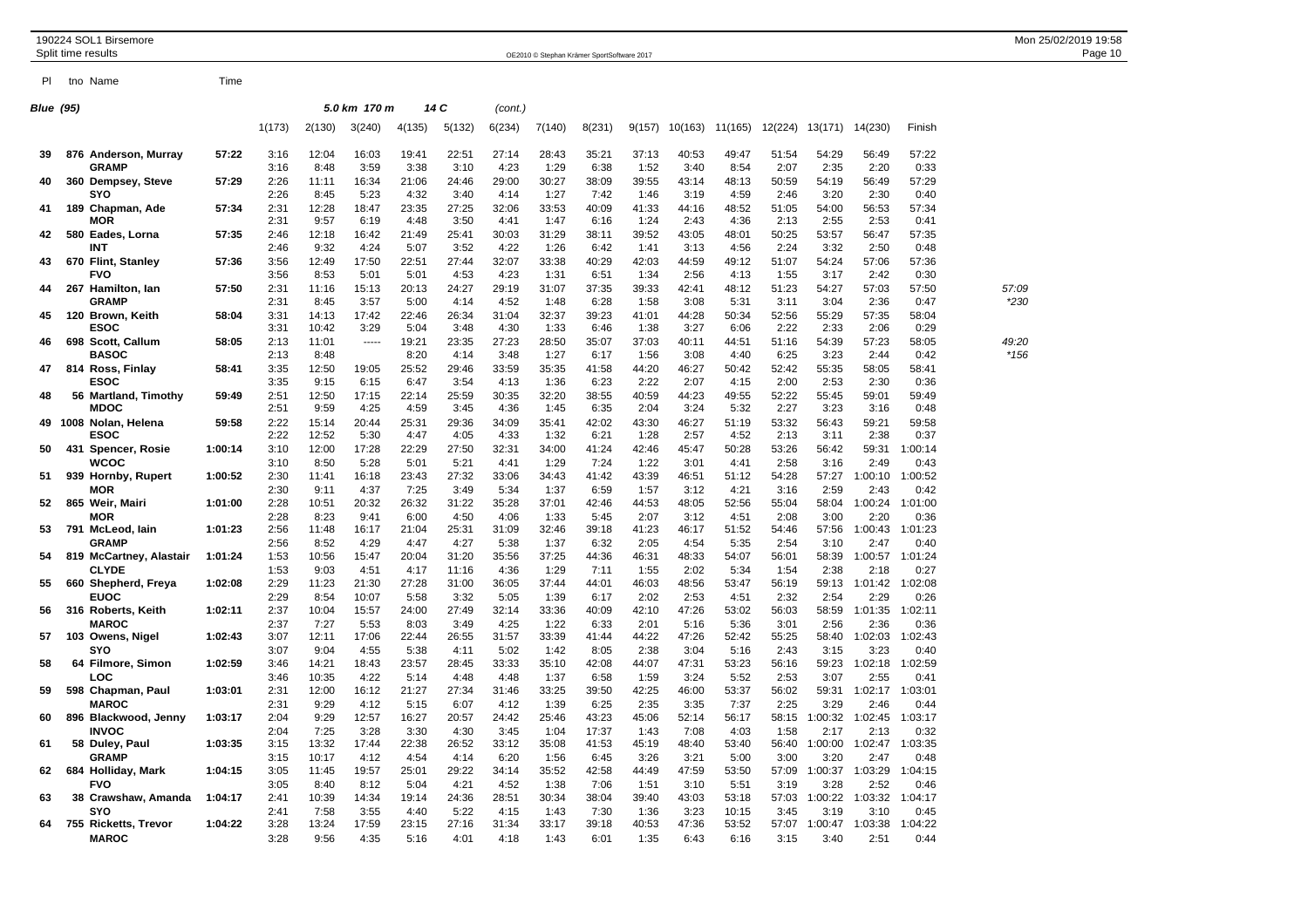| PI               | tno Name                                | Time    |              |                |                |               |                |               |               |                |               |                  |                |               |                 |                 |                 |                 |
|------------------|-----------------------------------------|---------|--------------|----------------|----------------|---------------|----------------|---------------|---------------|----------------|---------------|------------------|----------------|---------------|-----------------|-----------------|-----------------|-----------------|
| <b>Blue</b> (95) |                                         |         |              |                | 5.0 km 170 m   |               | 14 C           | (cont.)       |               |                |               |                  |                |               |                 |                 |                 |                 |
|                  |                                         |         | 1(173)       | 2(130)         | 3(240)         | 4(135)        | 5(132)         | 6(234)        | 7(140)        | 8(231)         |               | $9(157)$ 10(163) | 11(165)        | 12(224)       | 13(171)         | 14(230)         | Finish          |                 |
| 39               | 876 Anderson, Murray<br><b>GRAMP</b>    | 57:22   | 3:16<br>3:16 | 12:04<br>8:48  | 16:03<br>3:59  | 19:41<br>3:38 | 22:51<br>3:10  | 27:14<br>4:23 | 28:43<br>1:29 | 35:21<br>6:38  | 37:13<br>1:52 | 40:53<br>3:40    | 49:47<br>8:54  | 51:54<br>2:07 | 54:29<br>2:35   | 56:49<br>2:20   | 57:22<br>0:33   |                 |
| 40               | 360 Dempsey, Steve<br><b>SYO</b>        | 57:29   | 2:26<br>2:26 | 11:11<br>8:45  | 16:34<br>5:23  | 21:06<br>4:32 | 24:46<br>3:40  | 29:00<br>4:14 | 30:27<br>1:27 | 38:09<br>7:42  | 39:55<br>1:46 | 43:14<br>3:19    | 48:13<br>4:59  | 50:59<br>2:46 | 54:19<br>3:20   | 56:49<br>2:30   | 57:29<br>0:40   |                 |
| 41               | 189 Chapman, Ade<br><b>MOR</b>          | 57:34   | 2:31<br>2:31 | 12:28<br>9:57  | 18:47<br>6:19  | 23:35<br>4:48 | 27:25<br>3:50  | 32:06<br>4:41 | 33:53<br>1:47 | 40:09<br>6:16  | 41:33<br>1:24 | 44:16<br>2:43    | 48:52<br>4:36  | 51:05<br>2:13 | 54:00<br>2:55   | 56:53<br>2:53   | 57:34<br>0:41   |                 |
| 42               | 580 Eades, Lorna<br>INT                 | 57:35   | 2:46<br>2:46 | 12:18<br>9:32  | 16:42<br>4:24  | 21:49<br>5:07 | 25:41<br>3:52  | 30:03<br>4:22 | 31:29<br>1:26 | 38:11<br>6:42  | 39:52<br>1:41 | 43:05<br>3:13    | 48:01<br>4:56  | 50:25<br>2:24 | 53:57<br>3:32   | 56:47<br>2:50   | 57:35<br>0:48   |                 |
| 43               | 670 Flint, Stanley<br><b>FVO</b>        | 57:36   | 3:56<br>3:56 | 12:49<br>8:53  | 17:50<br>5:01  | 22:51<br>5:01 | 27:44<br>4:53  | 32:07<br>4:23 | 33:38<br>1:31 | 40:29<br>6:51  | 42:03<br>1:34 | 44:59<br>2:56    | 49:12<br>4:13  | 51:07<br>1:55 | 54:24<br>3:17   | 57:06<br>2:42   | 57:36<br>0:30   |                 |
| 44               | 267 Hamilton, lan<br><b>GRAMP</b>       | 57:50   | 2:31<br>2:31 | 11:16<br>8:45  | 15:13<br>3:57  | 20:13<br>5:00 | 24:27<br>4:14  | 29:19<br>4:52 | 31:07<br>1:48 | 37:35<br>6:28  | 39:33<br>1:58 | 42:41<br>3:08    | 48:12<br>5:31  | 51:23<br>3:11 | 54:27<br>3:04   | 57:03<br>2:36   | 57:50<br>0:47   | 57:09<br>$*230$ |
| 45               | 120 Brown, Keith<br><b>ESOC</b>         | 58:04   | 3:31<br>3:31 | 14:13<br>10:42 | 17:42<br>3:29  | 22:46<br>5:04 | 26:34<br>3:48  | 31:04<br>4:30 | 32:37<br>1:33 | 39:23<br>6:46  | 41:01<br>1:38 | 44:28<br>3:27    | 50:34<br>6:06  | 52:56<br>2:22 | 55:29<br>2:33   | 57:35<br>2:06   | 58:04<br>0:29   |                 |
| 46               | 698 Scott, Callum<br><b>BASOC</b>       | 58:05   | 2:13<br>2:13 | 11:01<br>8:48  | 1.1.1.1        | 19:21<br>8:20 | 23:35<br>4:14  | 27:23<br>3:48 | 28:50<br>1:27 | 35:07<br>6:17  | 37:03<br>1:56 | 40:11<br>3:08    | 44:51<br>4:40  | 51:16<br>6:25 | 54:39<br>3:23   | 57:23<br>2:44   | 58:05<br>0:42   | 49:20<br>*156   |
| 47               | 814 Ross, Finlay<br><b>ESOC</b>         | 58:41   | 3:35<br>3:35 | 12:50<br>9:15  | 19:05<br>6:15  | 25:52<br>6:47 | 29:46<br>3:54  | 33:59<br>4:13 | 35:35<br>1:36 | 41:58<br>6:23  | 44:20<br>2:22 | 46:27<br>2:07    | 50:42<br>4:15  | 52:42<br>2:00 | 55:35<br>2:53   | 58:05<br>2:30   | 58:41<br>0:36   |                 |
| 48               | 56 Martland, Timothy<br><b>MDOC</b>     | 59:49   | 2:51<br>2:51 | 12:50<br>9:59  | 17:15<br>4:25  | 22:14<br>4:59 | 25:59<br>3:45  | 30:35<br>4:36 | 32:20<br>1:45 | 38:55<br>6:35  | 40:59<br>2:04 | 44:23<br>3:24    | 49:55<br>5:32  | 52:22<br>2:27 | 55:45<br>3:23   | 59:01<br>3:16   | 59:49<br>0:48   |                 |
| 49               | 1008 Nolan, Helena<br>ESOC              | 59:58   | 2:22<br>2:22 | 15:14<br>12:52 | 20:44<br>5:30  | 25:31<br>4:47 | 29:36<br>4:05  | 34:09<br>4:33 | 35:41<br>1:32 | 42:02<br>6:21  | 43:30<br>1:28 | 46:27<br>2:57    | 51:19<br>4:52  | 53:32<br>2:13 | 56:43<br>3:11   | 59:21<br>2:38   | 59:58<br>0:37   |                 |
| 50               | 431 Spencer, Rosie<br><b>WCOC</b>       | 1:00:14 | 3:10<br>3:10 | 12:00<br>8:50  | 17:28<br>5:28  | 22:29<br>5:01 | 27:50<br>5:21  | 32:31<br>4:41 | 34:00<br>1:29 | 41:24<br>7:24  | 42:46<br>1:22 | 45:47<br>3:01    | 50:28<br>4:41  | 53:26<br>2:58 | 56:42<br>3:16   | 59:31<br>2:49   | 1:00:14<br>0:43 |                 |
| 51               | 939 Hornby, Rupert<br><b>MOR</b>        | 1:00:52 | 2:30<br>2:30 | 11:41<br>9:11  | 16:18<br>4:37  | 23:43<br>7:25 | 27:32<br>3:49  | 33:06<br>5:34 | 34:43<br>1:37 | 41:42<br>6:59  | 43:39<br>1:57 | 46:51<br>3:12    | 51:12<br>4:21  | 54:28<br>3:16 | 57:27<br>2:59   | 1:00:10<br>2:43 | 1:00:52<br>0:42 |                 |
| 52               | 865 Weir, Mairi<br><b>MOR</b>           | 1:01:00 | 2:28<br>2:28 | 10:51<br>8:23  | 20:32<br>9:41  | 26:32<br>6:00 | 31:22<br>4:50  | 35:28<br>4:06 | 37:01<br>1:33 | 42:46<br>5:45  | 44:53<br>2:07 | 48:05<br>3:12    | 52:56<br>4:51  | 55:04<br>2:08 | 58:04<br>3:00   | 1:00:24<br>2:20 | 1:01:00<br>0:36 |                 |
| 53               | 791 McLeod, lain<br><b>GRAMP</b>        | 1:01:23 | 2:56<br>2:56 | 11:48<br>8:52  | 16:17<br>4:29  | 21:04<br>4:47 | 25:31<br>4:27  | 31:09<br>5:38 | 32:46<br>1:37 | 39:18<br>6:32  | 41:23<br>2:05 | 46:17<br>4:54    | 51:52<br>5:35  | 54:46<br>2:54 | 57:56<br>3:10   | 1:00:43<br>2:47 | 1:01:23<br>0:40 |                 |
| 54               | 819 McCartney, Alastair<br><b>CLYDE</b> | 1:01:24 | 1:53<br>1:53 | 10:56<br>9:03  | 15:47<br>4:51  | 20:04<br>4:17 | 31:20<br>11:16 | 35:56<br>4:36 | 37:25<br>1:29 | 44:36<br>7:11  | 46:31<br>1:55 | 48:33<br>2:02    | 54:07<br>5:34  | 56:01<br>1:54 | 58:39<br>2:38   | 1:00:57<br>2:18 | 1:01:24<br>0:27 |                 |
| 55               | 660 Shepherd, Freya<br><b>EUOC</b>      | 1:02:08 | 2:29<br>2:29 | 11:23<br>8:54  | 21:30<br>10:07 | 27:28<br>5:58 | 31:00<br>3:32  | 36:05<br>5:05 | 37:44<br>1:39 | 44:01<br>6:17  | 46:03<br>2:02 | 48:56<br>2:53    | 53:47<br>4:51  | 56:19<br>2:32 | 59:13<br>2:54   | 1:01:42<br>2:29 | 1:02:08<br>0:26 |                 |
| 56               | 316 Roberts, Keith<br><b>MAROC</b>      | 1:02:11 | 2:37<br>2:37 | 10:04<br>7:27  | 15:57<br>5:53  | 24:00<br>8:03 | 27:49<br>3:49  | 32:14<br>4:25 | 33:36<br>1:22 | 40:09<br>6:33  | 42:10<br>2:01 | 47:26<br>5:16    | 53:02<br>5:36  | 56:03<br>3:01 | 58:59<br>2:56   | 1:01:35<br>2:36 | 1:02:11<br>0:36 |                 |
| 57               | 103 Owens, Nigel<br>SYO                 | 1:02:43 | 3:07<br>3:07 | 12:11<br>9:04  | 17:06<br>4:55  | 22:44<br>5:38 | 26:55<br>4:11  | 31:57<br>5:02 | 33:39<br>1:42 | 41:44<br>8:05  | 44:22<br>2:38 | 47:26<br>3:04    | 52:42<br>5:16  | 55:25<br>2:43 | 58:40<br>3:15   | 1:02:03<br>3:23 | 1:02:43<br>0:40 |                 |
| 58               | 64 Filmore, Simon<br>LOC                | 1:02:59 | 3:46<br>3:46 | 14:21<br>10:35 | 18:43<br>4:22  | 23:57<br>5:14 | 28:45<br>4:48  | 33:33<br>4:48 | 35:10<br>1:37 | 42:08<br>6:58  | 44:07<br>1:59 | 47:31<br>3:24    | 53:23<br>5:52  | 56:16<br>2:53 | 59:23<br>3:07   | 1:02:18<br>2:55 | 1:02:59<br>0:41 |                 |
| 59               | 598 Chapman, Paul<br><b>MAROC</b>       | 1:03:01 | 2:31<br>2:31 | 12:00<br>9:29  | 16:12<br>4:12  | 21:27<br>5:15 | 27:34<br>6:07  | 31:46<br>4:12 | 33:25<br>1:39 | 39:50<br>6:25  | 42:25<br>2:35 | 46:00<br>3:35    | 53:37<br>7:37  | 56:02<br>2:25 | 59:31<br>3:29   | 1:02:17<br>2:46 | 1:03:01<br>0:44 |                 |
| 60               | 896 Blackwood, Jenny<br><b>INVOC</b>    | 1:03:17 | 2:04<br>2:04 | 9:29<br>7:25   | 12:57<br>3:28  | 16:27<br>3:30 | 20:57<br>4:30  | 24:42<br>3:45 | 25:46<br>1:04 | 43:23<br>17:37 | 45:06<br>1:43 | 52:14<br>7:08    | 56:17<br>4:03  | 58:15<br>1:58 | 1:00:32<br>2:17 | 1:02:45<br>2:13 | 1:03:17<br>0:32 |                 |
| 61               | 58 Duley, Paul<br><b>GRAMP</b>          | 1:03:35 | 3:15<br>3:15 | 13:32<br>10:17 | 17:44<br>4:12  | 22:38<br>4:54 | 26:52<br>4:14  | 33:12<br>6:20 | 35:08<br>1:56 | 41:53<br>6:45  | 45:19<br>3:26 | 48:40<br>3:21    | 53:40<br>5:00  | 56:40<br>3:00 | 1:00:00<br>3:20 | 1:02:47<br>2:47 | 1:03:35<br>0:48 |                 |
| 62               | 684 Holliday, Mark<br><b>FVO</b>        | 1:04:15 | 3:05<br>3:05 | 11:45<br>8:40  | 19:57<br>8:12  | 25:01<br>5:04 | 29:22<br>4:21  | 34:14<br>4:52 | 35:52<br>1:38 | 42:58<br>7:06  | 44:49<br>1:51 | 47:59<br>3:10    | 53:50<br>5:51  | 57:09<br>3:19 | 1:00:37<br>3:28 | 1:03:29<br>2:52 | 1:04:15<br>0:46 |                 |
| 63               | 38 Crawshaw, Amanda<br>SYO              | 1:04:17 | 2:41<br>2:41 | 10:39<br>7:58  | 14:34<br>3:55  | 19:14<br>4:40 | 24:36<br>5:22  | 28:51<br>4:15 | 30:34<br>1:43 | 38:04<br>7:30  | 39:40<br>1:36 | 43:03<br>3:23    | 53:18<br>10:15 | 57:03<br>3:45 | 1:00:22<br>3:19 | 1:03:32<br>3:10 | 1:04:17<br>0:45 |                 |
| 64               | 755 Ricketts, Trevor<br><b>MAROC</b>    | 1:04:22 | 3:28<br>3:28 | 13:24<br>9:56  | 17:59<br>4:35  | 23:15<br>5:16 | 27:16<br>4:01  | 31:34<br>4:18 | 33:17<br>1:43 | 39:18<br>6:01  | 40:53<br>1:35 | 47:36<br>6:43    | 53:52<br>6:16  | 57:07<br>3:15 | 1:00:47<br>3:40 | 1:03:38<br>2:51 | 1:04:22<br>0:44 |                 |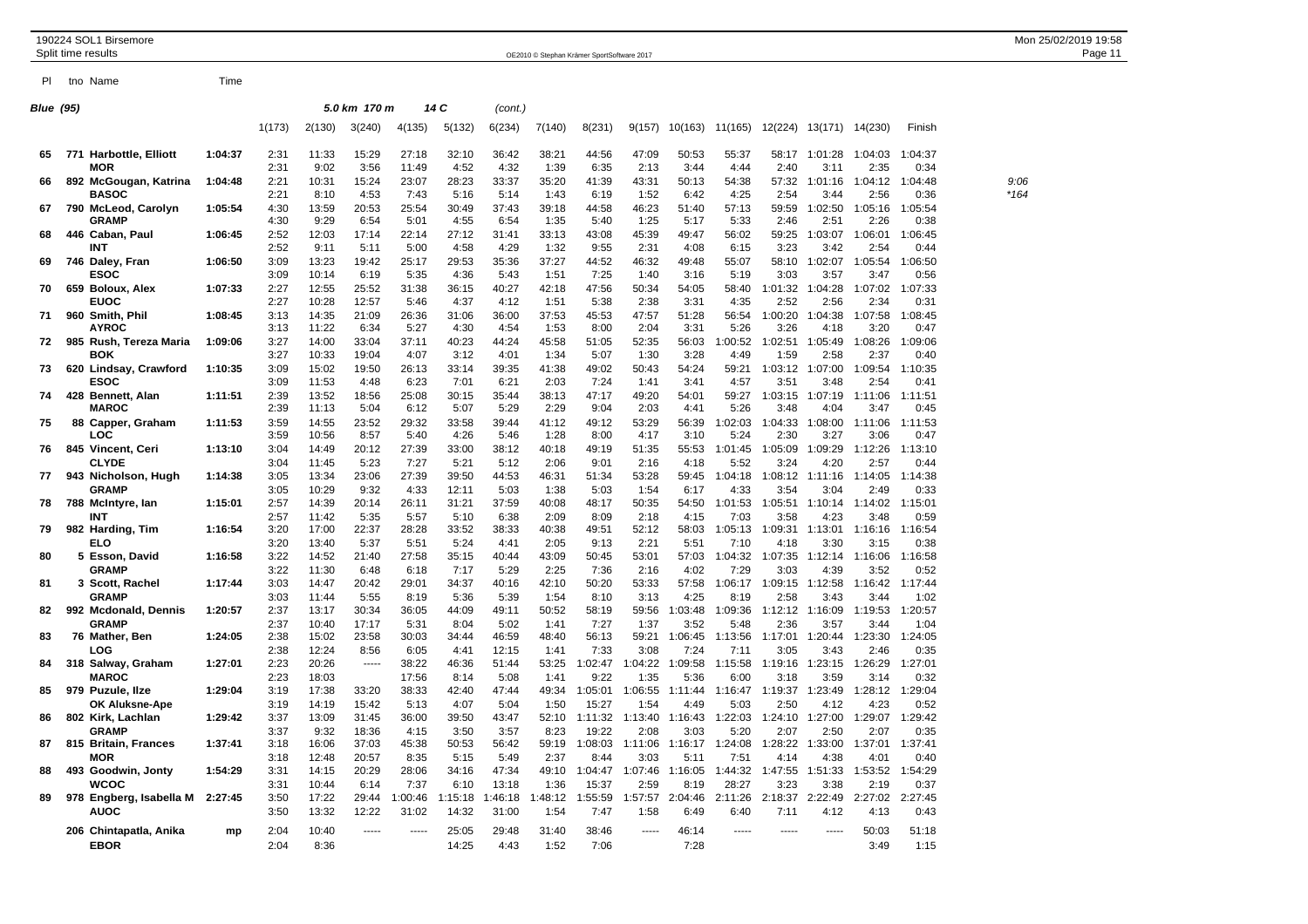Split time results OE2010 © Stephan Krämer SportSoftware 2017 Page 11

Pl tno Name Time *Blue (95) 5.0 km 170 m 14 C (cont.)* 1(173) 2(130) 3(240) 4(135) 5(132) 6(234) 7(140) 8(231) 9(157) 10(163) 11(165) 12(224) 13(171) 14(230) Finish **65 771 Harbottle, Elliott 1:04:37** 2:31 11:33 15:29 27:18 32:10 36:42 38:21 44:56 47:09 50:53 55:37 58:17 1:01:28 1:04:03 1:04:37 **MOR** 2:31 9:02 3:56 11:49 4:52 4:32 1:39 6:35 2:13 3:44 4:44 2:40 3:11 2:35 0:34 **66 892 McGougan, Katrina 1:04:48** 2:21 10:31 15:24 23:07 28:23 33:37 35:20 41:39 43:31 50:13 54:38 57:32 1:01:16 1:04:12 1:04:48 *9:06* **BASOC** 2:21 8:10 4:53 7:43 5:16 5:14 1:43 6:19 1:52 6:42 4:25 2:54 3:44 2:56 0:36 *\*164* **67 790 McLeod, Carolyn 1:05:54** 4:30 13:59 20:53 25:54 30:49 37:43 39:18 44:58 46:23 51:40 57:13 59:59 1:02:50 1:05:16 1:05:54 **GRAMP** 4:30 9:29 6:54 5:01 4:55 6:54 1:35 5:40 1:25 5:17 5:33 2:46 2:51 2:26 0:38 **68 446 Caban, Paul 1:06:45** 2:52 12:03 17:14 22:14 27:12 31:41 33:13 43:08 45:39 49:47 56:02 59:25 1:03:07 1:06:01 1:06:45 **INT** 2:52 9:11 5:11 5:00 4:58 4:29 1:32 9:55 2:31 4:08 6:15 3:23 3:42 2:54 0:44 **69 746 Daley, Fran 1:06:50** 3:09 13:23 19:42 25:17 29:53 35:36 37:27 44:52 46:32 49:48 55:07 58:10 1:02:07 1:05:54 1:06:50 **ESOC** 3:09 10:14 6:19 5:35 4:36 5:43 1:51 7:25 1:40 3:16 5:19 3:03 3:57 3:47 0:56 **70 659 Boloux, Alex 1:07:33** 2:27 12:55 25:52 31:38 36:15 40:27 42:18 47:56 50:34 54:05 58:40 1:01:32 1:04:28 1:07:02 1:07:33 **EUOC** 2:27 10:28 12:57 5:46 4:37 4:12 1:51 5:38 2:38 3:31 4:35 2:52 2:56 2:34 0:31 **71 960 Smith, Phil 1:08:45** 3:13 14:35 21:09 26:36 31:06 36:00 37:53 45:53 47:57 51:28 56:54 1:00:20 1:04:38 1:07:58 1:08:45 **AYROC** 3:13 11:22 6:34 5:27 4:30 4:54 1:53 8:00 2:04 3:31 5:26 3:26 4:18 3:20 0:47 **72 985 Rush, Tereza Maria 1:09:06** 3:27 14:00 33:04 37:11 40:23 44:24 45:58 51:05 52:35 56:03 1:00:52 1:02:51 1:05:49 1:08:26 1:09:06 **BOK** 3:27 10:33 19:04 4:07 3:12 4:01 1:34 5:07 1:30 3:28 4:49 1:59 2:58 2:37 0:40 **73 620 Lindsay, Crawford 1:10:35** 3:09 15:02 19:50 26:13 33:14 39:35 41:38 49:02 50:43 54:24 59:21 1:03:12 1:07:00 1:09:54 1:10:35 **ESOC** 3:09 11:53 4:48 6:23 7:01 6:21 2:03 7:24 1:41 3:41 4:57 3:51 3:48 2:54 0:41 **74 428 Bennett, Alan 1:11:51** 2:39 13:52 18:56 25:08 30:15 35:44 38:13 47:17 49:20 54:01 59:27 1:03:15 1:07:19 1:11:06 1:11:51 **MAROC** 2:39 11:13 5:04 6:12 5:07 5:29 2:29 9:04 2:03 4:41 5:26 3:48 4:04 3:47 0:45 **75 88 Capper, Graham 1:11:53** 3:59 14:55 23:52 29:32 33:58 39:44 41:12 49:12 53:29 56:39 1:02:03 1:04:33 1:08:00 1:11:06 1:11:53 **LOC** 3:59 10:56 8:57 5:40 4:26 5:46 1:28 8:00 4:17 3:10 5:24 2:30 3:27 3:06 0:47 **76 845 Vincent, Ceri 1:13:10** 3:04 14:49 20:12 27:39 33:00 38:12 40:18 49:19 51:35 55:53 1:01:45 1:05:09 1:09:29 1:12:26 1:13:10 **CLYDE** 3:04 11:45 5:23 7:27 5:21 5:12 2:06 9:01 2:16 4:18 5:52 3:24 4:20 2:57 0:44 **77 943 Nicholson, Hugh 1:14:38** 3:05 13:34 23:06 27:39 39:50 44:53 46:31 51:34 53:28 59:45 1:04:18 1:08:12 1:11:16 1:14:05 1:14:38 **GRAMP** 3:05 10:29 9:32 4:33 12:11 5:03 1:38 5:03 1:54 6:17 4:33 3:54 3:04 2:49 0:33 **78 788 McIntyre, Ian 1:15:01** 2:57 14:39 20:14 26:11 31:21 37:59 40:08 48:17 50:35 54:50 1:01:53 1:05:51 1:10:14 1:14:02 1:15:01 **INT** 2:57 11:42 5:35 5:57 5:10 6:38 2:09 8:09 2:18 4:15 7:03 3:58 4:23 3:48 0:59 **79 982 Harding, Tim 1:16:54** 3:20 17:00 22:37 28:28 33:52 38:33 40:38 49:51 52:12 58:03 1:05:13 1:09:31 1:13:01 1:16:16 1:16:54 **ELO** 3:20 13:40 5:37 5:51 5:24 4:41 2:05 9:13 2:21 5:51 7:10 4:18 3:30 3:15 0:38 **80 5 Esson, David 1:16:58** 3:22 14:52 21:40 27:58 35:15 40:44 43:09 50:45 53:01 57:03 1:04:32 1:07:35 1:12:14 1:16:06 1:16:58 **GRAMP** 3:22 11:30 6:48 6:18 7:17 5:29 2:25 7:36 2:16 4:02 7:29 3:03 4:39 3:52 0:52 **81 3 Scott, Rachel 1:17:44** 3:03 14:47 20:42 29:01 34:37 40:16 42:10 50:20 53:33 57:58 1:06:17 1:09:15 1:12:58 1:16:42 1:17:44 **GRAMP** 3:03 11:44 5:55 8:19 5:36 5:39 1:54 8:10 3:13 4:25 8:19 2:58 3:43 3:44 1:02 **82 992 Mcdonald, Dennis 1:20:57** 2:37 13:17 30:34 36:05 44:09 49:11 50:52 58:19 59:56 1:03:48 1:09:36 1:12:12 1:16:09 1:19:53 1:20:57 **GRAMP** 2:37 10:40 17:17 5:31 8:04 5:02 1:41 7:27 1:37 3:52 5:48 2:36 3:57 3:44 1:04 **83 76 Mather, Ben 1:24:05** 2:38 15:02 23:58 30:03 34:44 46:59 48:40 56:13 59:21 1:06:45 1:13:56 1:17:01 1:20:44 1:23:30 1:24:05 **LOG** 2:38 12:24 8:56 6:05 4:41 12:15 1:41 7:33 3:08 7:24 7:11 3:05 3:43 2:46 0:35 **84 318 Salway, Graham 1:27:01** 2:23 20:26 ----- 38:22 46:36 51:44 53:25 1:02:47 1:04:22 1:09:58 1:15:58 1:19:16 1:23:15 1:26:29 1:27:01 **MAROC** 2:23 18:03 17:56 8:14 5:08 1:41 9:22 1:35 5:36 6:00 3:18 3:59 3:14 0:32 **85 979 Puzule, Ilze 1:29:04** 3:19 17:38 33:20 38:33 42:40 47:44 49:34 1:05:01 1:06:55 1:11:44 1:16:47 1:19:37 1:23:49 1:28:12 1:29:04 **OK Aluksne-Ape** 3:19 14:19 15:42 5:13 4:07 5:04 1:50 15:27 1:54 4:49 5:03 2:50 4:12 4:23 0:52 **86 802 Kirk, Lachlan 1:29:42** 3:37 13:09 31:45 36:00 39:50 43:47 52:10 1:11:32 1:13:40 1:16:43 1:22:03 1:24:10 1:27:00 1:29:07 1:29:42 **GRAMP** 3:37 9:32 18:36 4:15 3:50 3:57 8:23 19:22 2:08 3:03 5:20 2:07 2:50 2:07 0:35 **87 815 Britain, Frances 1:37:41** 3:18 16:06 37:03 45:38 50:53 56:42 59:19 1:08:03 1:11:06 1:16:17 1:24:08 1:28:22 1:33:00 1:37:01 1:37:41 **MOR** 3:18 12:48 20:57 8:35 5:15 5:49 2:37 8:44 3:03 5:11 7:51 4:14 4:38 4:01 0:40 **88 493 Goodwin, Jonty 1:54:29** 3:31 14:15 20:29 28:06 34:16 47:34 49:10 1:04:47 1:07:46 1:16:05 1:44:32 1:47:55 1:51:33 1:53:52 1:54:29 **WCOC** 3:31 10:44 6:14 7:37 6:10 13:18 1:36 15:37 2:59 8:19 28:27 3:23 3:38 2:19 0:37 **89 978 Engberg, Isabella M 2:27:45** 3:50 17:22 29:44 1:00:46 1:15:18 1:46:18 1:48:12 1:55:59 1:57:57 2:04:46 2:11:26 2:18:37 2:22:49 2:27:02 2:27:45 **AUOC** 3:50 13:32 12:22 31:02 14:32 31:00 1:54 7:47 1:58 6:49 6:40 7:11 4:12 4:13 0:43

**206 Chintapatla, Anika mp** 2:04 10:40 ----- ----- 25:05 29:48 31:40 38:46 ----- 46:14 ----- ----- ----- 50:03 51:18 **EBOR** 2:04 8:36 14:25 4:43 1:52 7:06 7:28 3:49 1:15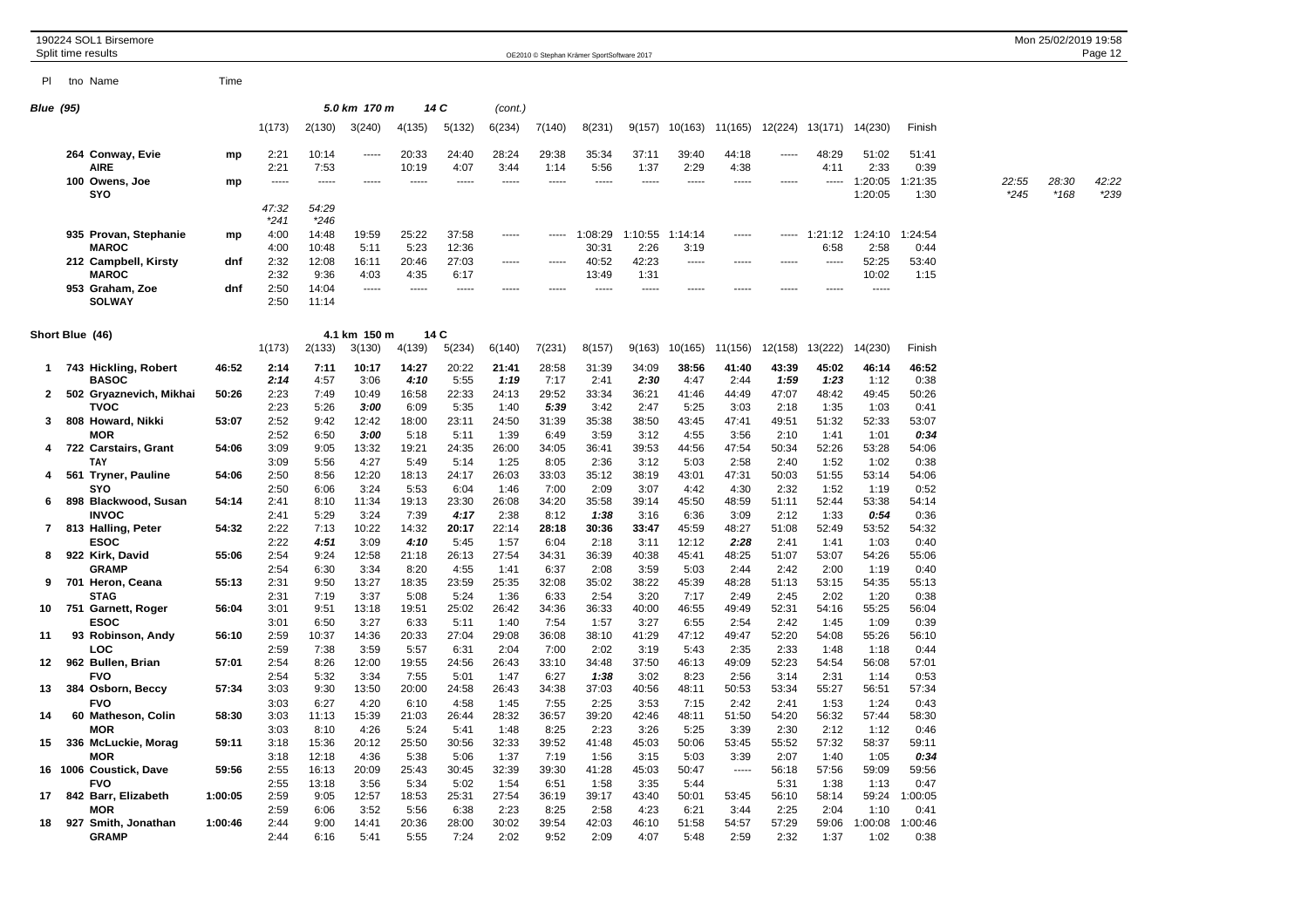|                  |                 | 190224 SOL1 Birsemore                  |         |                        |                          |               |                |                |               |               |                                            |                 |                 |               |               |                 |                    |                 |               | Mon 25/02/2019 19:58 |               |
|------------------|-----------------|----------------------------------------|---------|------------------------|--------------------------|---------------|----------------|----------------|---------------|---------------|--------------------------------------------|-----------------|-----------------|---------------|---------------|-----------------|--------------------|-----------------|---------------|----------------------|---------------|
|                  |                 | Split time results                     |         |                        |                          |               |                |                |               |               | OE2010 © Stephan Krämer SportSoftware 2017 |                 |                 |               |               |                 |                    |                 |               |                      | Page 12       |
| PL               |                 | tno Name                               | Time    |                        |                          |               |                |                |               |               |                                            |                 |                 |               |               |                 |                    |                 |               |                      |               |
| <b>Blue</b> (95) |                 |                                        |         |                        |                          | 5.0 km 170 m  |                | 14 C           | (cont.)       |               |                                            |                 |                 |               |               |                 |                    |                 |               |                      |               |
|                  |                 |                                        |         | 1(173)                 | 2(130)                   | 3(240)        | 4(135)         | 5(132)         | 6(234)        | 7(140)        | 8(231)                                     | 9(157)          | 10(163)         | 11(165)       | 12(224)       | 13(171)         | 14(230)            | Finish          |               |                      |               |
|                  |                 | 264 Conway, Evie<br><b>AIRE</b>        | mp      | 2:21<br>2:21           | 10:14<br>7:53            | -----         | 20:33<br>10:19 | 24:40<br>4:07  | 28:24<br>3:44 | 29:38<br>1:14 | 35:34<br>5:56                              | 37:11<br>1:37   | 39:40<br>2:29   | 44:18<br>4:38 |               | 48:29<br>4:11   | 51:02<br>2:33      | 51:41<br>0:39   |               |                      |               |
|                  |                 | 100 Owens, Joe<br><b>SYO</b>           | mp      | -----                  | -----                    | ----          | -----          | 1.1.1.1        | ----          | -----         | -----                                      | -----           | $- - - -$       | -----         |               | -----           | 1:20:05<br>1:20:05 | 1:21:35<br>1:30 | 22:55<br>*245 | 28:30<br>$*168$      | 42:22<br>*239 |
|                  |                 |                                        |         | 47:32                  | 54:29                    |               |                |                |               |               |                                            |                 |                 |               |               |                 |                    |                 |               |                      |               |
|                  |                 | 935 Provan, Stephanie<br><b>MAROC</b>  | mp      | $*241$<br>4:00<br>4:00 | $*246$<br>14:48<br>10:48 | 19:59<br>5:11 | 25:22<br>5:23  | 37:58<br>12:36 | -----         | -----         | 1:08:29<br>30:31                           | 1:10:55<br>2:26 | 1:14:14<br>3:19 | -----         | -----         | 1:21:12<br>6:58 | 1:24:10<br>2:58    | 1:24:54<br>0:44 |               |                      |               |
|                  |                 | 212 Campbell, Kirsty                   | dnf     | 2:32                   | 12:08                    | 16:11         | 20:46          | 27:03          |               |               | 40:52                                      | 42:23           | ----            |               |               | -----           | 52:25              | 53:40           |               |                      |               |
|                  |                 | <b>MAROC</b>                           |         | 2:32                   | 9:36                     | 4:03          | 4:35           | 6:17           |               |               | 13:49                                      | 1:31            |                 |               |               |                 | 10:02              | 1:15            |               |                      |               |
|                  |                 | 953 Graham, Zoe<br><b>SOLWAY</b>       | dnf     | 2:50<br>2:50           | 14:04<br>11:14           |               | -----          |                |               |               |                                            | -----           |                 |               |               |                 |                    |                 |               |                      |               |
|                  | Short Blue (46) |                                        |         |                        |                          | 4.1 km 150 m  |                | 14 C           |               |               |                                            |                 |                 |               |               |                 |                    |                 |               |                      |               |
|                  |                 |                                        |         | 1(173)                 | 2(133)                   | 3(130)        | 4(139)         | 5(234)         | 6(140)        | 7(231)        | 8(157)                                     | 9(163)          | 10(165)         | 11(156)       | 12(158)       | 13(222)         | 14(230)            | Finish          |               |                      |               |
| -1               |                 | 743 Hickling, Robert<br><b>BASOC</b>   | 46:52   | 2:14<br>2:14           | 7:11<br>4:57             | 10:17<br>3:06 | 14:27<br>4:10  | 20:22<br>5:55  | 21:41<br>1:19 | 28:58<br>7:17 | 31:39<br>2:41                              | 34:09<br>2:30   | 38:56<br>4:47   | 41:40<br>2:44 | 43:39<br>1:59 | 45:02<br>1:23   | 46:14<br>1:12      | 46:52<br>0:38   |               |                      |               |
| $\overline{2}$   |                 | 502 Gryaznevich, Mikhai<br><b>TVOC</b> | 50:26   | 2:23<br>2:23           | 7:49<br>5:26             | 10:49<br>3:00 | 16:58<br>6:09  | 22:33<br>5:35  | 24:13<br>1:40 | 29:52<br>5:39 | 33:34<br>3:42                              | 36:21<br>2:47   | 41:46<br>5:25   | 44:49<br>3:03 | 47:07<br>2:18 | 48:42<br>1:35   | 49:45<br>1:03      | 50:26<br>0:41   |               |                      |               |
| 3                |                 | 808 Howard, Nikki                      | 53:07   | 2:52                   | 9:42                     | 12:42         | 18:00          | 23:11          | 24:50         | 31:39         | 35:38                                      | 38:50           | 43:45           | 47:41         | 49:51         | 51:32           | 52:33              | 53:07           |               |                      |               |
|                  |                 | <b>MOR</b><br>722 Carstairs, Grant     | 54:06   | 2:52<br>3:09           | 6:50<br>9:05             | 3:00<br>13:32 | 5:18<br>19:21  | 5:11<br>24:35  | 1:39<br>26:00 | 6:49<br>34:05 | 3:59<br>36:41                              | 3:12<br>39:53   | 4:55<br>44:56   | 3:56<br>47:54 | 2:10<br>50:34 | 1:41<br>52:26   | 1:01<br>53:28      | 0:34<br>54:06   |               |                      |               |
|                  |                 | TAY                                    |         | 3:09                   | 5:56                     | 4:27          | 5:49           | 5:14           | 1:25          | 8:05          | 2:36                                       | 3:12            | 5:03            | 2:58          | 2:40          | 1:52            | 1:02               | 0:38            |               |                      |               |
| 4                |                 | 561 Tryner, Pauline                    | 54:06   | 2:50                   | 8:56                     | 12:20         | 18:13          | 24:17          | 26:03         | 33:03         | 35:12                                      | 38:19           | 43:01           | 47:31         | 50:03         | 51:55           | 53:14              | 54:06           |               |                      |               |
|                  |                 | <b>SYO</b>                             |         | 2:50<br>2:41           | 6:06                     | 3:24          | 5:53           | 6:04<br>23:30  | 1:46<br>26:08 | 7:00          | 2:09                                       | 3:07            | 4:42            | 4:30          | 2:32          | 1:52<br>52:44   | 1:19<br>53:38      | 0:52            |               |                      |               |
| 6                |                 | 898 Blackwood, Susan<br><b>INVOC</b>   | 54:14   | 2:41                   | 8:10<br>5:29             | 11:34<br>3:24 | 19:13<br>7:39  | 4:17           | 2:38          | 34:20<br>8:12 | 35:58<br>1:38                              | 39:14<br>3:16   | 45:50<br>6:36   | 48:59<br>3:09 | 51:11<br>2:12 | 1:33            | 0:54               | 54:14<br>0:36   |               |                      |               |
| 7                |                 | 813 Halling, Peter                     | 54:32   | 2:22                   | 7:13                     | 10:22         | 14:32          | 20:17          | 22:14         | 28:18         | 30:36                                      | 33:47           | 45:59           | 48:27         | 51:08         | 52:49           | 53:52              | 54:32           |               |                      |               |
|                  |                 | <b>ESOC</b>                            |         | 2:22                   | 4:51                     | 3:09          | 4:10           | 5:45           | 1:57          | 6:04          | 2:18                                       | 3:11            | 12:12           | 2:28          | 2:41          | 1:41            | 1:03               | 0:40            |               |                      |               |
| 8                |                 | 922 Kirk, David                        | 55:06   | 2:54                   | 9:24                     | 12:58         | 21:18          | 26:13          | 27:54         | 34:31         | 36:39                                      | 40:38           | 45:41           | 48:25         | 51:07         | 53:07           | 54:26              | 55:06           |               |                      |               |
| 9                |                 | <b>GRAMP</b><br>701 Heron, Ceana       | 55:13   | 2:54<br>2:31           | 6:30<br>9:50             | 3:34<br>13:27 | 8:20<br>18:35  | 4:55<br>23:59  | 1:41<br>25:35 | 6:37<br>32:08 | 2:08<br>35:02                              | 3:59<br>38:22   | 5:03<br>45:39   | 2:44<br>48:28 | 2:42<br>51:13 | 2:00<br>53:15   | 1:19<br>54:35      | 0:40<br>55:13   |               |                      |               |
|                  |                 | <b>STAG</b>                            |         | 2:31                   | 7:19                     | 3:37          | 5:08           | 5:24           | 1:36          | 6:33          | 2:54                                       | 3:20            | 7:17            | 2:49          | 2:45          | 2:02            | 1:20               | 0:38            |               |                      |               |
| 10               |                 | 751 Garnett, Roger                     | 56:04   | 3:01                   | 9:51                     | 13:18         | 19:51          | 25:02          | 26:42         | 34:36         | 36:33                                      | 40:00           | 46:55           | 49:49         | 52:31         | 54:16           | 55:25              | 56:04           |               |                      |               |
|                  |                 | <b>ESOC</b>                            |         | 3:01                   | 6:50                     | 3:27          | 6:33           | 5:11           | 1:40          | 7:54          | 1:57                                       | 3:27            | 6:55            | 2:54          | 2:42          | 1:45            | 1:09               | 0:39            |               |                      |               |
| 11               |                 | 93 Robinson, Andy                      | 56:10   | 2:59                   | 10:37                    | 14:36         | 20:33          | 27:04          | 29:08         | 36:08         | 38:10                                      | 41:29           | 47:12           | 49:47         | 52:20         | 54:08           | 55:26              | 56:10           |               |                      |               |
| 12               |                 | <b>LOC</b><br>962 Bullen, Brian        | 57:01   | 2:59<br>2:54           | 7:38<br>8:26             | 3:59<br>12:00 | 5:57<br>19:55  | 6:31<br>24:56  | 2:04<br>26:43 | 7:00<br>33:10 | 2:02<br>34:48                              | 3:19<br>37:50   | 5:43<br>46:13   | 2:35<br>49:09 | 2:33<br>52:23 | 1:48<br>54:54   | 1:18<br>56:08      | 0:44<br>57:01   |               |                      |               |
|                  |                 | <b>FVO</b>                             |         | 2:54                   | 5:32                     | 3:34          | 7:55           | 5:01           | 1:47          | 6:27          | 1:38                                       | 3:02            | 8:23            | 2:56          | 3:14          | 2:31            | 1:14               | 0:53            |               |                      |               |
| 13               |                 | 384 Osborn, Beccy                      | 57:34   | 3:03                   | 9:30                     | 13:50         | 20:00          | 24:58          | 26:43         | 34:38         | 37:03                                      | 40:56           | 48:11           | 50:53         | 53:34         | 55:27           | 56:51              | 57:34           |               |                      |               |
|                  |                 | <b>FVO</b>                             |         | 3:03                   | 6:27                     | 4:20          | 6:10           | 4:58           | 1:45          | 7:55          | 2:25                                       | 3:53            | 7:15            | 2:42          | 2:41          | 1:53            | 1:24               | 0:43            |               |                      |               |
| 14               |                 | 60 Matheson, Colin                     | 58:30   | 3:03                   | 11:13                    | 15:39         | 21:03          | 26:44          | 28:32         | 36:57         | 39:20                                      | 42:46           | 48:11           | 51:50         | 54:20         | 56:32           | 57:44              | 58:30           |               |                      |               |
| 15               |                 | MOR<br>336 McLuckie, Morag             | 59:11   | 3:03<br>3:18           | 8:10<br>15:36            | 4:26<br>20:12 | 5:24<br>25:50  | 5:41<br>30:56  | 1:48<br>32:33 | 8:25<br>39:52 | 2:23<br>41:48                              | 3:26<br>45:03   | 5:25<br>50:06   | 3:39<br>53:45 | 2:30<br>55:52 | 2:12<br>57:32   | 1:12<br>58:37      | 0:46<br>59:11   |               |                      |               |
|                  |                 | MOR                                    |         | 3:18                   | 12:18                    | 4:36          | 5:38           | 5:06           | 1:37          | 7:19          | 1:56                                       | 3:15            | 5:03            | 3:39          | 2:07          | 1:40            | 1:05               | 0:34            |               |                      |               |
|                  |                 | 16 1006 Coustick, Dave                 | 59:56   | 2:55                   | 16:13                    | 20:09         | 25:43          | 30:45          | 32:39         | 39:30         | 41:28                                      | 45:03           | 50:47           | $\cdots$      | 56:18         | 57:56           | 59:09              | 59:56           |               |                      |               |
|                  |                 | <b>FVO</b>                             |         | 2:55                   | 13:18                    | 3:56          | 5:34           | 5:02           | 1:54          | 6:51          | 1:58                                       | 3:35            | 5:44            |               | 5:31          | 1:38            | 1:13               | 0:47            |               |                      |               |
| 17               |                 | 842 Barr, Elizabeth                    | 1:00:05 | 2:59                   | 9:05                     | 12:57         | 18:53          | 25:31          | 27:54         | 36:19         | 39:17                                      | 43:40           | 50:01           | 53:45         | 56:10         | 58:14           | 59:24              | :00:05          |               |                      |               |
|                  |                 | MOR                                    | 1:00:46 | 2:59<br>2:44           | 6:06<br>9:00             | 3:52          | 5:56<br>20:36  | 6:38<br>28:00  | 2:23<br>30:02 | 8:25<br>39:54 | 2:58<br>42:03                              | 4:23<br>46:10   | 6:21<br>51:58   | 3:44<br>54:57 | 2:25<br>57:29 | 2:04<br>59:06   | 1:10<br>1:00:08    | 0:41<br>1:00:46 |               |                      |               |
| 18               |                 | 927 Smith, Jonathan<br><b>GRAMP</b>    |         | 2:44                   | 6:16                     | 14:41<br>5:41 | 5:55           | 7:24           | 2:02          | 9:52          | 2:09                                       | 4:07            | 5:48            | 2:59          | 2:32          | 1:37            | 1:02               | 0:38            |               |                      |               |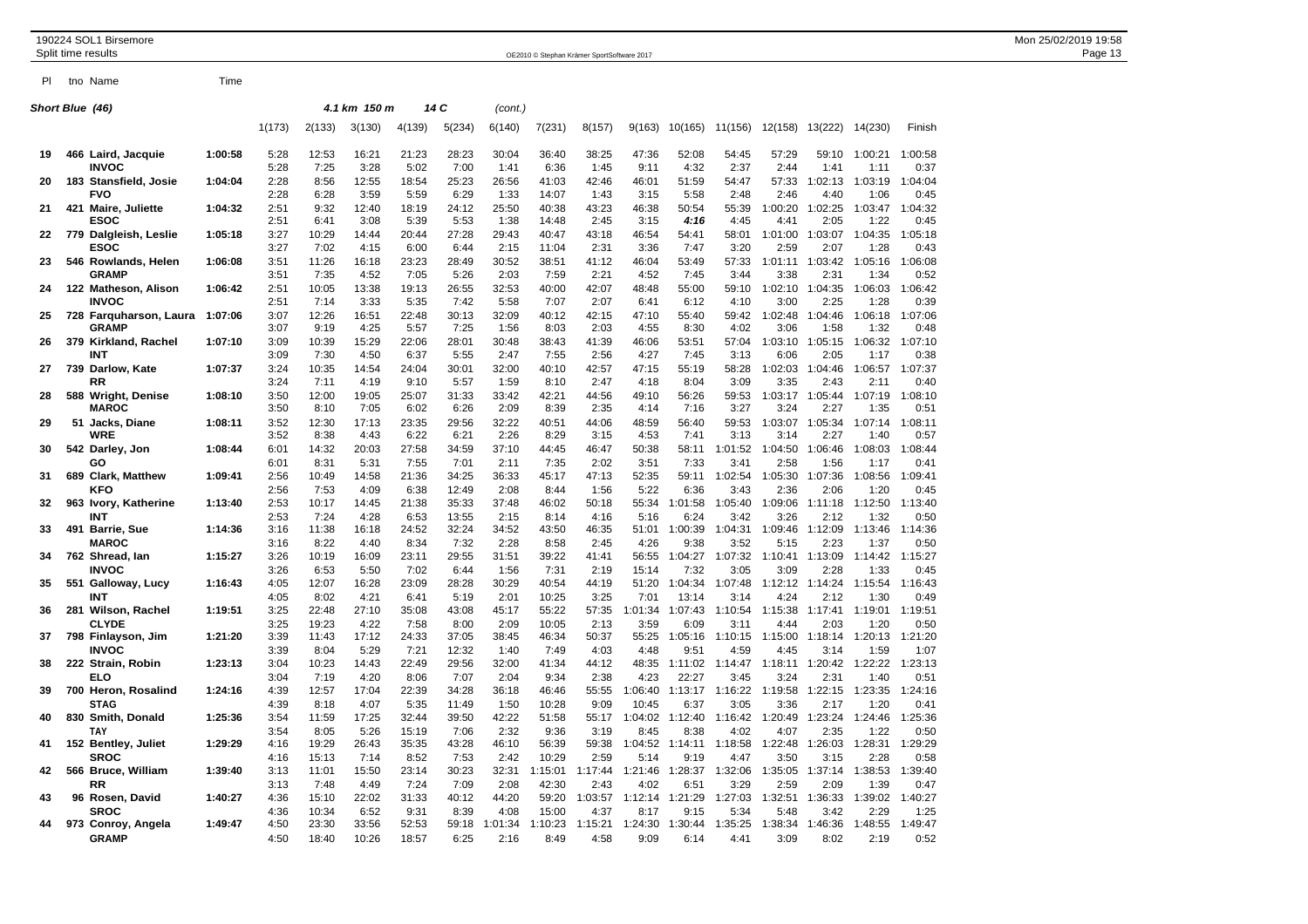Pl tno Name Time

| Short Blue (46) |                                                   |                    |                      |                         | 4.1 km 150 m           |                        | 14 C                    | (cont.)                 |                          |                         |                         |                            |                            |                            |                            |                            |                            |
|-----------------|---------------------------------------------------|--------------------|----------------------|-------------------------|------------------------|------------------------|-------------------------|-------------------------|--------------------------|-------------------------|-------------------------|----------------------------|----------------------------|----------------------------|----------------------------|----------------------------|----------------------------|
|                 |                                                   |                    | 1(173)               | 2(133)                  | 3(130)                 | 4(139)                 | 5(234)                  | 6(140)                  | 7(231)                   | 8(157)                  | 9(163)                  | 10(165)                    | 11(156)                    | 12(158)                    | 13(222)                    | 14(230)                    | Finish                     |
| 19              | 466 Laird, Jacquie<br><b>INVOC</b>                | 1:00:58            | 5:28<br>5:28         | 12:53<br>7:25           | 16:21<br>3:28          | 21:23<br>5:02          | 28:23<br>7:00           | 30:04<br>1:41           | 36:40<br>6:36            | 38:25<br>1:45           | 47:36<br>9:11           | 52:08<br>4:32              | 54:45<br>2:37              | 57:29<br>2:44              | 59:10<br>1:41              | 1:00:21<br>1:11            | 1:00:58<br>0:37            |
| 20              | 183 Stansfield, Josie<br>FVO                      | 1:04:04            | 2:28<br>2:28         | 8:56<br>6:28            | 12:55<br>3:59          | 18:54<br>5:59          | 25:23<br>6:29           | 26:56<br>1:33           | 41:03<br>14:07           | 42:46<br>1:43           | 46:01<br>3:15           | 51:59<br>5:58              | 54:47<br>2:48              | 57:33<br>2:46              | 1:02:13<br>4:40            | 1:03:19<br>1:06            | 1:04:04<br>0:45            |
| 21              | 421 Maire, Juliette<br><b>ESOC</b>                | 1:04:32            | 2:51<br>2:51         | 9:32<br>6:41            | 12:40<br>3:08          | 18:19<br>5:39          | 24:12<br>5:53           | 25:50<br>1:38           | 40:38<br>14:48           | 43:23<br>2:45           | 46:38<br>3:15           | 50:54<br>4:16              | 55:39<br>4:45              | 1:00:20<br>4:41            | 1:02:25<br>2:05            | 1:03:47<br>1:22            | 1:04:32<br>0:45            |
| 22              | 779 Dalgleish, Leslie<br><b>ESOC</b>              | 1:05:18            | 3:27<br>3:27         | 10:29<br>7:02           | 14:44<br>4:15          | 20:44<br>6:00          | 27:28<br>6:44           | 29:43<br>2:15           | 40:47<br>11:04           | 43:18<br>2:31           | 46:54<br>3:36           | 54:41<br>7:47              | 58:01<br>3:20              | 1:01:00<br>2:59            | 1:03:07<br>2:07            | 1:04:35<br>1:28            | 1:05:18<br>0:43            |
| 23              | 546 Rowlands, Helen<br><b>GRAMP</b>               | 1:06:08            | 3:51<br>3:51         | 11:26<br>7:35           | 16:18<br>4:52          | 23:23<br>7:05          | 28:49<br>5:26           | 30:52<br>2:03           | 38:51<br>7:59            | 41:12<br>2:21           | 46:04<br>4:52           | 53:49<br>7:45              | 57:33<br>3:44              | 1:01:11<br>3:38            | 1:03:42<br>2:31            | 1:05:16<br>1:34            | 1:06:08<br>0:52            |
| 24              | 122 Matheson, Alison<br><b>INVOC</b>              | 1:06:42            | 2:51<br>2:51         | 10:05<br>7:14           | 13:38<br>3:33          | 19:13<br>5:35          | 26:55<br>7:42           | 32:53<br>5:58           | 40:00<br>7:07            | 42:07<br>2:07           | 48:48<br>6:41           | 55:00<br>6:12              | 59:10<br>4:10              | 1:02:10<br>3:00            | 1:04:35<br>2:25            | 1:06:03<br>1:28            | 1:06:42<br>0:39            |
| 25              | 728 Farquharson, Laura<br><b>GRAMP</b>            | 1:07:06            | 3:07<br>3:07         | 12:26<br>9:19           | 16:51<br>4:25          | 22:48<br>5:57          | 30:13<br>7:25           | 32:09<br>1:56           | 40:12<br>8:03            | 42:15<br>2:03           | 47:10<br>4:55           | 55:40<br>8:30              | 59:42<br>4:02              | 1:02:48<br>3:06            | 1:04:46<br>1:58            | 1:06:18<br>1:32            | 1:07:06<br>0:48            |
| 26              | 379 Kirkland, Rachel<br>INT                       | 1:07:10            | 3:09<br>3:09         | 10:39<br>7:30           | 15:29<br>4:50          | 22:06<br>6:37          | 28:01<br>5:55           | 30:48<br>2:47           | 38:43<br>7:55            | 41:39<br>2:56           | 46:06<br>4:27           | 53:51<br>7:45              | 57:04<br>3:13              | 1:03:10<br>6:06            | 1:05:15<br>2:05            | 1:06:32<br>1:17            | 1:07:10<br>0:38            |
| 27              | 739 Darlow, Kate<br>RR                            | 1:07:37            | 3:24<br>3:24         | 10:35<br>7:11           | 14:54<br>4:19          | 24:04<br>9:10          | 30:01<br>5:57           | 32:00<br>1:59           | 40:10<br>8:10            | 42:57<br>2:47           | 47:15<br>4:18           | 55:19<br>8:04              | 58:28<br>3:09              | 1:02:03<br>3:35            | 1:04:46<br>2:43            | 1:06:57<br>2:11            | 1:07:37<br>0:40            |
| 28              | 588 Wright, Denise<br><b>MAROC</b>                | 1:08:10            | 3:50<br>3:50         | 12:00<br>8:10           | 19:05<br>7:05          | 25:07<br>6:02          | 31:33<br>6:26           | 33:42<br>2:09           | 42:21<br>8:39            | 44:56<br>2:35           | 49:10<br>4:14           | 56:26<br>7:16              | 59:53<br>3:27              | 1:03:17<br>3:24            | 1:05:44<br>2:27            | 1:07:19<br>1:35            | 1:08:10<br>0:51            |
| 29              | 51 Jacks, Diane<br>WRE                            | 1:08:11            | 3:52<br>3:52         | 12:30<br>8:38           | 17:13<br>4:43          | 23:35<br>6:22          | 29:56<br>6:21           | 32:22<br>2:26           | 40:51<br>8:29            | 44:06<br>3:15           | 48:59<br>4:53           | 56:40<br>7:41              | 59:53<br>3:13              | 1:03:07<br>3:14            | 1:05:34<br>2:27            | 1:07:14<br>1:40            | 1:08:11<br>0:57            |
| 30              | 542 Darley, Jon<br>GO                             | 1:08:44            | 6:01<br>6:01         | 14:32<br>8:31           | 20:03<br>5:31          | 27:58<br>7:55          | 34:59<br>7:01           | 37:10<br>2:11           | 44:45<br>7:35            | 46:47<br>2:02           | 50:38<br>3:51           | 58:11<br>7:33              | 1:01:52<br>3:41            | 1:04:50<br>2:58            | 1:06:46<br>1:56            | 1:08:03<br>1:17            | 1:08:44<br>0:41            |
| 31              | 689 Clark, Matthew<br><b>KFO</b>                  | 1:09:41            | 2:56<br>2:56         | 10:49<br>7:53           | 14:58<br>4:09          | 21:36<br>6:38          | 34:25<br>12:49          | 36:33<br>2:08           | 45:17<br>8:44            | 47:13<br>1:56           | 52:35<br>5:22           | 59:11<br>6:36              | 1:02:54<br>3:43            | 1:05:30<br>2:36            | 1:07:36<br>2:06            | 1:08:56<br>1:20            | 1:09:41<br>0:45            |
| 32<br>33        | 963 Ivory, Katherine<br>INT<br>491 Barrie, Sue    | 1:13:40<br>1:14:36 | 2:53<br>2:53<br>3:16 | 10:17<br>7:24<br>11:38  | 14:45<br>4:28<br>16:18 | 21:38<br>6:53<br>24:52 | 35:33<br>13:55<br>32:24 | 37:48<br>2:15<br>34:52  | 46:02<br>8:14<br>43:50   | 50:18<br>4:16<br>46:35  | 55:34<br>5:16<br>51:01  | 1:01:58<br>6:24<br>1:00:39 | 1:05:40<br>3:42<br>1:04:31 | 1:09:06<br>3:26<br>1:09:46 | 1:11:18<br>2:12<br>1:12:09 | 1:12:50<br>1:32<br>1:13:46 | 1:13:40<br>0:50<br>1:14:36 |
| 34              | <b>MAROC</b><br>762 Shread, Ian                   | 1:15:27            | 3:16<br>3:26         | 8:22<br>10:19           | 4:40<br>16:09          | 8:34<br>23:11          | 7:32<br>29:55           | 2:28<br>31:51           | 8:58<br>39:22            | 2:45<br>41:41           | 4:26<br>56:55           | 9:38<br>1:04:27            | 3:52<br>1:07:32            | 5:15<br>1:10:41            | 2:23<br>1:13:09            | 1:37<br>1:14:42            | 0:50<br>1:15:27            |
| 35              | <b>INVOC</b><br>551 Galloway, Lucy                | 1:16:43            | 3:26<br>4:05         | 6:53<br>12:07           | 5:50<br>16:28          | 7:02<br>23:09          | 6:44<br>28:28           | 1:56<br>30:29           | 7:31<br>40:54            | 2:19<br>44:19           | 15:14<br>51:20          | 7:32<br>1:04:34            | 3:05<br>1:07:48            | 3:09<br>1:12:12            | 2:28<br>1:14:24            | 1:33<br>1:15:54            | 0:45<br>1:16:43            |
| 36              | INT<br>281 Wilson, Rachel                         | 1:19:51            | 4:05<br>3:25         | 8:02<br>22:48           | 4:21<br>27:10          | 6:41<br>35:08          | 5:19<br>43:08           | 2:01<br>45:17           | 10:25<br>55:22           | 3:25<br>57:35           | 7:01<br>1:01:34         | 13:14<br>1:07:43           | 3:14<br>1:10:54            | 4:24<br>1:15:38            | 2:12<br>1:17:41            | 1:30<br>1:19:01            | 0:49<br>1:19:51            |
| 37              | <b>CLYDE</b><br>798 Finlayson, Jim                | 1:21:20            | 3:25<br>3:39         | 19:23<br>11:43          | 4:22<br>17:12          | 7:58<br>24:33          | 8:00<br>37:05           | 2:09<br>38:45           | 10:05<br>46:34           | 2:13<br>50:37           | 3:59<br>55:25           | 6:09<br>1:05:16            | 3:11<br>1:10:15            | 4:44<br>1:15:00            | 2:03<br>1:18:14            | 1:20<br>1:20:13            | 0:50<br>1:21:20            |
| 38              | <b>INVOC</b><br>222 Strain, Robin                 | 1:23:13            | 3:39<br>3:04         | 8:04<br>10:23           | 5:29<br>14:43          | 7:21<br>22:49          | 12:32<br>29:56          | 1:40<br>32:00           | 7:49<br>41:34            | 4:03<br>44:12           | 4:48<br>48:35           | 9:51<br>1:11:02            | 4:59<br>1:14:47            | 4:45<br>1:18:11            | 3:14<br>1:20:42            | 1:59<br>1:22:22            | 1:07<br>1:23:13            |
| 39              | ELO<br>700 Heron, Rosalind                        | 1:24:16            | 3:04<br>4:39         | 7:19<br>12:57           | 4:20<br>17:04          | 8:06<br>22:39          | 7:07<br>34:28           | 2:04<br>36:18           | 9:34<br>46:46            | 2:38<br>55:55           | 4:23<br>1:06:40         | 22:27<br>1:13:17           | 3:45<br>1:16:22            | 3:24<br>1:19:58            | 2:31<br>1:22:15            | 1:40<br>1:23:35            | 0:51<br>1:24:16            |
| 40              | STAG<br>830 Smith, Donald                         | 1:25:36            | 4:39<br>3:54         | 8:18<br>11:59           | 4:07<br>17:25          | 5:35<br>32:44          | 11:49<br>39:50          | 1:50<br>42:22           | 10:28<br>51:58           | 9:09<br>55:17           | 10:45<br>1:04:02        | 6:37<br>1:12:40            | 3:05<br>1:16:42            | 3:36<br>1:20:49            | 2:17<br>1:23:24            | 1:20<br>1:24:46            | 0:41<br>1:25:36            |
| 41              | <b>TAY</b><br>152 Bentley, Juliet                 | 1:29:29            | 3:54<br>4:16         | 8:05<br>19:29           | 5:26<br>26:43          | 15:19<br>35:35         | 7:06<br>43:28           | 2:32<br>46:10           | 9:36<br>56:39            | 3:19<br>59:38           | 8:45<br>1:04:52         | 8:38<br>1:14:11            | 4:02<br>1:18:58            | 4:07<br>1:22:48            | 2:35<br>1:26:03            | 1:22<br>1:28:31            | 0:50<br>1:29:29            |
| 42              | <b>SROC</b><br>566 Bruce, William                 | 1:39:40            | 4:16<br>3:13         | 15:13<br>11:01          | 7:14<br>15:50          | 8:52<br>23:14          | 7:53<br>30:23           | 2:42<br>32:31           | 10:29<br>1:15:01         | 2:59<br>1:17:44         | 5:14<br>1:21:46         | 9:19<br>1:28:37            | 4:47<br>1:32:06            | 3:50<br>1:35:05            | 3:15<br>1:37:14            | 2:28<br>1:38:53            | 0:58<br>1:39:40            |
| 43              | RR<br>96 Rosen, David                             | 1:40:27            | 3:13<br>4:36         | 7:48<br>15:10           | 4:49<br>22:02          | 7:24<br>31:33          | 7:09<br>40:12           | 2:08<br>44:20           | 42:30<br>59:20           | 2:43<br>1:03:57         | 4:02<br>1:12:14         | 6:51<br>1:21:29            | 3:29<br>1:27:03            | 2:59<br>1:32:51            | 2:09<br>1:36:33            | 1:39<br>1:39:02            | 0:47<br>1:40:27            |
| 44              | <b>SROC</b><br>973 Conroy, Angela<br><b>GRAMP</b> | 1:49:47            | 4:36<br>4:50<br>4:50 | 10:34<br>23:30<br>18:40 | 6:52<br>33:56<br>10:26 | 9:31<br>52:53<br>18:57 | 8:39<br>59:18<br>6:25   | 4:08<br>1:01:34<br>2:16 | 15:00<br>1:10:23<br>8:49 | 4:37<br>1:15:21<br>4:58 | 8:17<br>1:24:30<br>9:09 | 9:15<br>1:30:44<br>6:14    | 5:34<br>1:35:25<br>4:41    | 5:48<br>1:38:34<br>3:09    | 3:42<br>1:46:36<br>8:02    | 2:29<br>1:48:55<br>2:19    | 1:25<br>1:49:47<br>0:52    |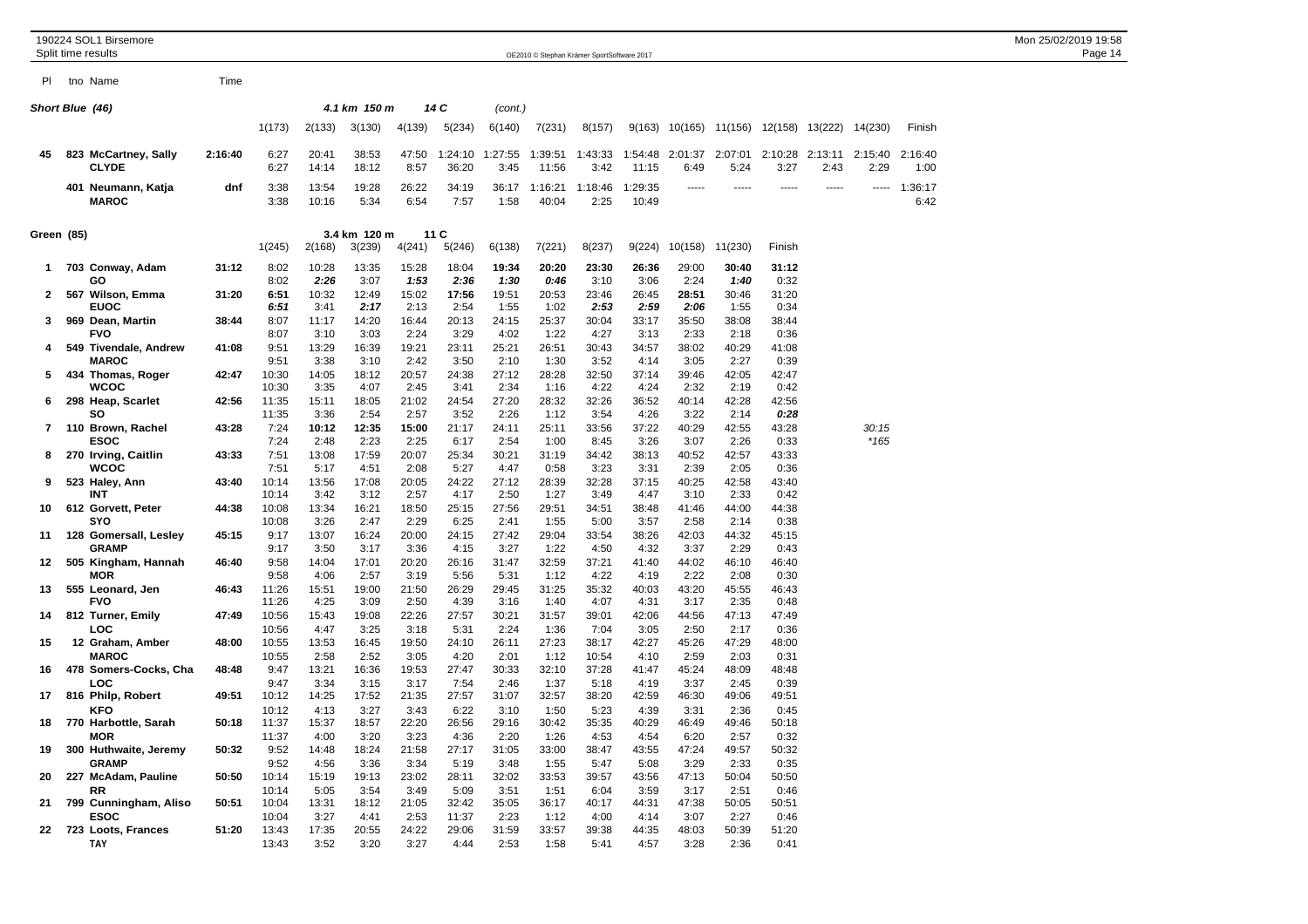|     |            | 190224 SOL1 Birsemore<br>Split time results |         |                |                |                |               |                  |                 |                  | OE2010 © Stephan Krämer SportSoftware 2017 |                  |                 |                              |               |                         |                 |                 | Mon 25/02/2019 19:58<br>Page 14 |
|-----|------------|---------------------------------------------|---------|----------------|----------------|----------------|---------------|------------------|-----------------|------------------|--------------------------------------------|------------------|-----------------|------------------------------|---------------|-------------------------|-----------------|-----------------|---------------------------------|
| PI. |            | tno Name                                    | Time    |                |                |                |               |                  |                 |                  |                                            |                  |                 |                              |               |                         |                 |                 |                                 |
|     |            | Short Blue (46)                             |         |                |                | 4.1 km 150 m   |               | 14 C             | (cont.)         |                  |                                            |                  |                 |                              |               |                         |                 |                 |                                 |
|     |            |                                             |         | 1(173)         | 2(133)         | 3(130)         | 4(139)        | 5(234)           | 6(140)          | 7(231)           | 8(157)                                     |                  |                 | $9(163)$ $10(165)$ $11(156)$ | 12(158)       | 13(222)                 | 14(230)         | Finish          |                                 |
| 45  |            | 823 McCartney, Sally<br><b>CLYDE</b>        | 2:16:40 | 6:27<br>6:27   | 20:41<br>14:14 | 38:53<br>18:12 | 47:50<br>8:57 | 1:24:10<br>36:20 | 1:27:55<br>3:45 | 1:39:51<br>11:56 | 1:43:33<br>3:42                            | 1:54:48<br>11:15 | 2:01:37<br>6:49 | 2:07:01<br>5:24              | 3:27          | 2:10:28 2:13:11<br>2:43 | 2:15:40<br>2:29 | 2:16:40<br>1:00 |                                 |
|     |            | 401 Neumann, Katja<br><b>MAROC</b>          | dnf     | 3:38<br>3:38   | 13:54<br>10:16 | 19:28<br>5:34  | 26:22<br>6:54 | 34:19<br>7:57    | 36:17<br>1:58   | 1:16:21<br>40:04 | 1:18:46<br>2:25                            | 1:29:35<br>10:49 | -----           | -----                        | -----         | -----                   | -----           | 1:36:17<br>6:42 |                                 |
|     | Green (85) |                                             |         |                |                | 3.4 km 120 m   |               | 11 C             |                 |                  |                                            |                  |                 |                              |               |                         |                 |                 |                                 |
|     |            |                                             |         | 1(245)         | 2(168)         | 3(239)         | 4(241)        | 5(246)           | 6(138)          | 7(221)           | 8(237)                                     | 9(224)           | 10(158)         | 11(230)                      | Finish        |                         |                 |                 |                                 |
| 1.  |            | 703 Conway, Adam<br>GO                      | 31:12   | 8:02<br>8:02   | 10:28<br>2:26  | 13:35<br>3:07  | 15:28<br>1:53 | 18:04<br>2:36    | 19:34<br>1:30   | 20:20<br>0:46    | 23:30<br>3:10                              | 26:36<br>3:06    | 29:00<br>2:24   | 30:40<br>1:40                | 31:12<br>0:32 |                         |                 |                 |                                 |
| 2   |            | 567 Wilson, Emma                            | 31:20   | 6:51           | 10:32          | 12:49          | 15:02         | 17:56            | 19:51           | 20:53            | 23:46                                      | 26:45            | 28:51           | 30:46                        | 31:20         |                         |                 |                 |                                 |
| 3   |            | <b>EUOC</b><br>969 Dean, Martin             | 38:44   | 6:51<br>8:07   | 3:41<br>11:17  | 2:17<br>14:20  | 2:13<br>16:44 | 2:54<br>20:13    | 1:55<br>24:15   | 1:02<br>25:37    | 2:53<br>30:04                              | 2:59<br>33:17    | 2:06<br>35:50   | 1:55<br>38:08                | 0:34<br>38:44 |                         |                 |                 |                                 |
|     |            | <b>FVO</b>                                  |         | 8:07           | 3:10           | 3:03           | 2:24          | 3:29             | 4:02            | 1:22             | 4:27                                       | 3:13             | 2:33            | 2:18                         | 0:36          |                         |                 |                 |                                 |
| 4   |            | 549 Tivendale, Andrew                       | 41:08   | 9:51           | 13:29          | 16:39          | 19:21         | 23:11            | 25:21           | 26:51            | 30:43                                      | 34:57            | 38:02           | 40:29                        | 41:08         |                         |                 |                 |                                 |
| 5   |            | <b>MAROC</b><br>434 Thomas, Roger           | 42:47   | 9:51<br>10:30  | 3:38<br>14:05  | 3:10<br>18:12  | 2:42<br>20:57 | 3:50<br>24:38    | 2:10<br>27:12   | 1:30<br>28:28    | 3:52<br>32:50                              | 4:14<br>37:14    | 3:05<br>39:46   | 2:27<br>42:05                | 0:39<br>42:47 |                         |                 |                 |                                 |
|     |            | <b>WCOC</b>                                 |         | 10:30          | 3:35           | 4:07           | 2:45          | 3:41             | 2:34            | 1:16             | 4:22                                       | 4:24             | 2:32            | 2:19                         | 0:42          |                         |                 |                 |                                 |
| 6   |            | 298 Heap, Scarlet<br>so                     | 42:56   | 11:35<br>11:35 | 15:11<br>3:36  | 18:05<br>2:54  | 21:02<br>2:57 | 24:54<br>3:52    | 27:20<br>2:26   | 28:32<br>1:12    | 32:26<br>3:54                              | 36:52<br>4:26    | 40:14<br>3:22   | 42:28<br>2:14                | 42:56<br>0:28 |                         |                 |                 |                                 |
|     |            | 7 110 Brown, Rachel                         | 43:28   | 7:24           | 10:12          | 12:35          | 15:00         | 21:17            | 24:11           | 25:11            | 33:56                                      | 37:22            | 40:29           | 42:55                        | 43:28         |                         | 30:15           |                 |                                 |
|     |            | <b>ESOC</b>                                 |         | 7:24           | 2:48           | 2:23           | 2:25          | 6:17             | 2:54            | 1:00             | 8:45                                       | 3:26             | 3:07            | 2:26                         | 0:33          |                         | $*165$          |                 |                                 |
| 8   |            | 270 Irving, Caitlin<br><b>WCOC</b>          | 43:33   | 7:51<br>7:51   | 13:08<br>5:17  | 17:59<br>4:51  | 20:07<br>2:08 | 25:34<br>5:27    | 30:21<br>4:47   | 31:19<br>0:58    | 34:42<br>3:23                              | 38:13<br>3:31    | 40:52<br>2:39   | 42:57<br>2:05                | 43:33<br>0:36 |                         |                 |                 |                                 |
| 9   |            | 523 Haley, Ann                              | 43:40   | 10:14          | 13:56          | 17:08          | 20:05         | 24:22            | 27:12           | 28:39            | 32:28                                      | 37:15            | 40:25           | 42:58                        | 43:40         |                         |                 |                 |                                 |
|     |            | INT                                         |         | 10:14          | 3:42           | 3:12           | 2:57          | 4:17             | 2:50            | 1:27             | 3:49                                       | 4:47             | 3:10            | 2:33                         | 0:42          |                         |                 |                 |                                 |
| 10  |            | 612 Gorvett, Peter<br><b>SYO</b>            | 44:38   | 10:08<br>10:08 | 13:34<br>3:26  | 16:21<br>2:47  | 18:50<br>2:29 | 25:15<br>6:25    | 27:56<br>2:41   | 29:51<br>1:55    | 34:51<br>5:00                              | 38:48<br>3:57    | 41:46<br>2:58   | 44:00<br>2:14                | 44:38<br>0:38 |                         |                 |                 |                                 |
| 11  |            | 128 Gomersall, Lesley                       | 45:15   | 9:17           | 13:07          | 16:24          | 20:00         | 24:15            | 27:42           | 29:04            | 33:54                                      | 38:26            | 42:03           | 44:32                        | 45:15         |                         |                 |                 |                                 |
| 12  |            | <b>GRAMP</b><br>505 Kingham, Hannah         | 46:40   | 9:17<br>9:58   | 3:50<br>14:04  | 3:17<br>17:01  | 3:36<br>20:20 | 4:15<br>26:16    | 3:27<br>31:47   | 1:22<br>32:59    | 4:50<br>37:21                              | 4:32<br>41:40    | 3:37<br>44:02   | 2:29<br>46:10                | 0:43<br>46:40 |                         |                 |                 |                                 |
|     |            | <b>MOR</b>                                  |         | 9:58           | 4:06           | 2:57           | 3:19          | 5:56             | 5:31            | 1:12             | 4:22                                       | 4:19             | 2:22            | 2:08                         | 0:30          |                         |                 |                 |                                 |
| 13  |            | 555 Leonard, Jen                            | 46:43   | 11:26          | 15:51          | 19:00          | 21:50         | 26:29            | 29:45           | 31:25            | 35:32                                      | 40:03            | 43:20           | 45:55                        | 46:43         |                         |                 |                 |                                 |
| 14  |            | <b>FVO</b><br>812 Turner, Emily             | 47:49   | 11:26<br>10:56 | 4:25<br>15:43  | 3:09<br>19:08  | 2:50<br>22:26 | 4:39<br>27:57    | 3:16<br>30:21   | 1:40<br>31:57    | 4:07<br>39:01                              | 4:31<br>42:06    | 3:17<br>44:56   | 2:35<br>47:13                | 0:48<br>47:49 |                         |                 |                 |                                 |
|     |            | <b>LOC</b>                                  |         | 10:56          | 4:47           | 3:25           | 3:18          | 5:31             | 2:24            | 1:36             | 7:04                                       | 3:05             | 2:50            | 2:17                         | 0:36          |                         |                 |                 |                                 |
| 15  |            | 12 Graham, Amber                            | 48:00   | 10:55          | 13:53          | 16:45          | 19:50         | 24:10            | 26:11           | 27:23            | 38:17                                      | 42:27            | 45:26           | 47:29                        | 48:00         |                         |                 |                 |                                 |
|     |            | <b>MAROC</b><br>478 Somers-Cocks, Cha       | 48:48   | 10:55<br>9:47  | 2:58<br>13:21  | 2:52<br>16:36  | 3:05<br>19:53 | 4:20<br>27:47    | 2:01<br>30:33   | 1:12<br>32:10    | 10:54<br>37:28                             | 4:10<br>41:47    | 2:59<br>45:24   | 2:03<br>48:09                | 0:31<br>48:48 |                         |                 |                 |                                 |
| 16  |            | <b>LOC</b>                                  |         | 9:47           | 3:34           | 3:15           | 3:17          | 7:54             | 2:46            | 1:37             | 5:18                                       | 4:19             | 3:37            | 2:45                         | 0:39          |                         |                 |                 |                                 |
| 17  |            | 816 Philp, Robert                           | 49:51   | 10:12          | 14:25          | 17:52          | 21:35         | 27:57            | 31:07           | 32:57            | 38:20                                      | 42:59            | 46:30           | 49:06                        | 49:51         |                         |                 |                 |                                 |
|     |            | <b>KFO</b>                                  | 50:18   | 10:12          | 4:13           | 3:27           | 3:43          | 6:22             | 3:10            | 1:50             | 5:23                                       | 4:39             | 3:31<br>46:49   | 2:36                         | 0:45          |                         |                 |                 |                                 |
| 18  |            | 770 Harbottle, Sarah<br><b>MOR</b>          |         | 11:37<br>11:37 | 15:37<br>4:00  | 18:57<br>3:20  | 22:20<br>3:23 | 26:56<br>4:36    | 29:16<br>2:20   | 30:42<br>1:26    | 35:35<br>4:53                              | 40:29<br>4:54    | 6:20            | 49:46<br>2:57                | 50:18<br>0:32 |                         |                 |                 |                                 |
| 19  |            | 300 Huthwaite, Jeremy                       | 50:32   | 9:52           | 14:48          | 18:24          | 21:58         | 27:17            | 31:05           | 33:00            | 38:47                                      | 43:55            | 47:24           | 49:57                        | 50:32         |                         |                 |                 |                                 |
|     |            | <b>GRAMP</b>                                |         | 9:52           | 4:56           | 3:36           | 3:34          | 5:19             | 3:48            | 1:55             | 5:47                                       | 5:08             | 3:29            | 2:33                         | 0:35          |                         |                 |                 |                                 |
| 20  |            | 227 McAdam, Pauline<br>RR.                  | 50:50   | 10:14<br>10:14 | 15:19<br>5:05  | 19:13<br>3:54  | 23:02<br>3:49 | 28:11<br>5:09    | 32:02<br>3:51   | 33:53<br>1:51    | 39:57<br>6:04                              | 43:56<br>3:59    | 47:13<br>3:17   | 50:04<br>2:51                | 50:50<br>0:46 |                         |                 |                 |                                 |
| 21  |            | 799 Cunningham, Aliso                       | 50:51   | 10:04          | 13:31          | 18:12          | 21:05         | 32:42            | 35:05           | 36:17            | 40:17                                      | 44:31            | 47:38           | 50:05                        | 50:51         |                         |                 |                 |                                 |
|     |            | <b>ESOC</b>                                 |         | 10:04          | 3:27           | 4:41           | 2:53          | 11:37            | 2:23            | 1:12             | 4:00                                       | 4:14             | 3:07            | 2:27                         | 0:46          |                         |                 |                 |                                 |
|     |            | 22 723 Loots, Frances<br><b>TAY</b>         | 51:20   | 13:43<br>13:43 | 17:35<br>3:52  | 20:55<br>3:20  | 24:22<br>3:27 | 29:06<br>4:44    | 31:59<br>2:53   | 33:57<br>1:58    | 39:38<br>5:41                              | 44:35<br>4:57    | 48:03<br>3:28   | 50:39<br>2:36                | 51:20<br>0:41 |                         |                 |                 |                                 |
|     |            |                                             |         |                |                |                |               |                  |                 |                  |                                            |                  |                 |                              |               |                         |                 |                 |                                 |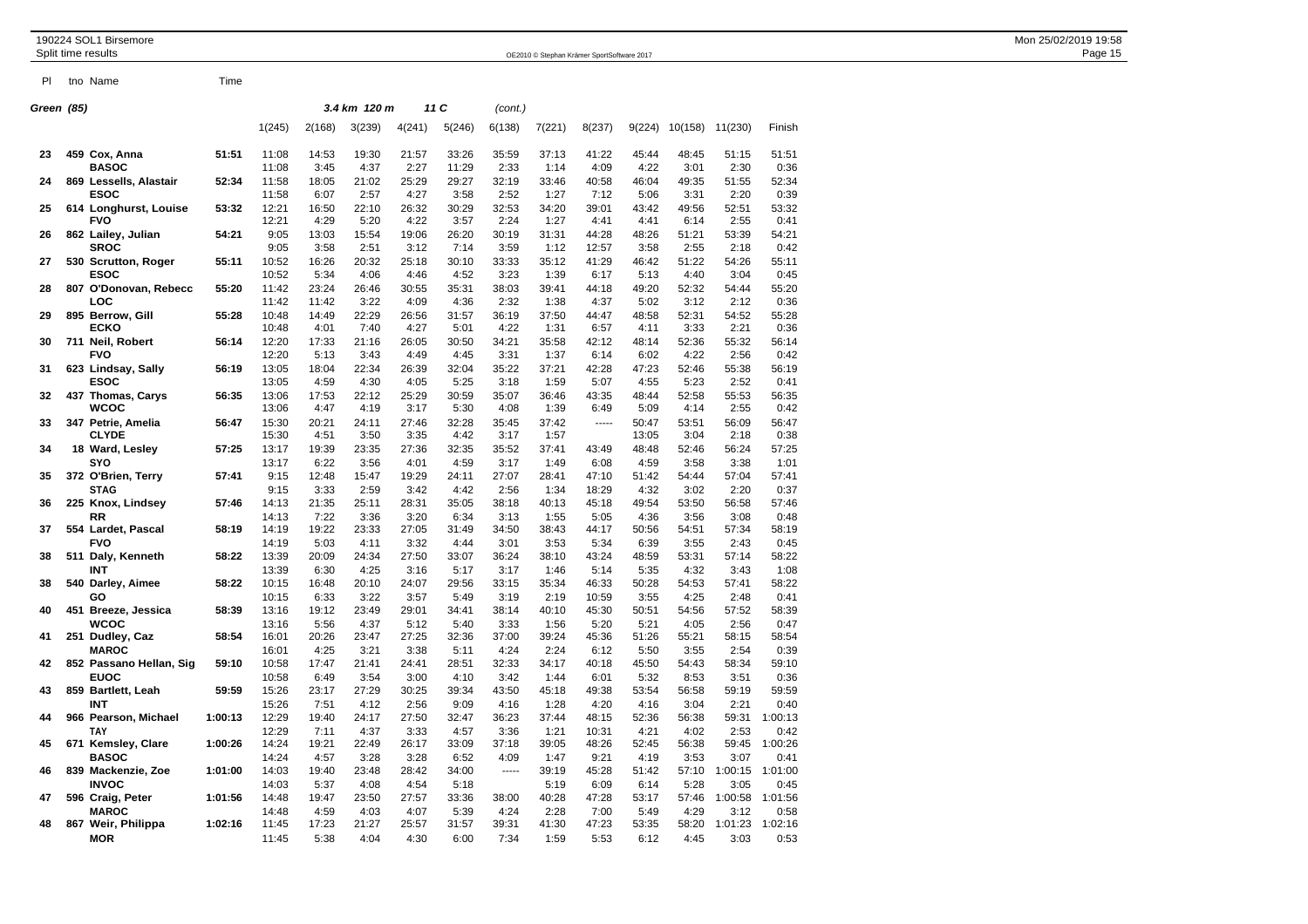| PI         |     | tno Name                              | Time         |                |                |               |               |                |               |               |                |               |               |               |               |
|------------|-----|---------------------------------------|--------------|----------------|----------------|---------------|---------------|----------------|---------------|---------------|----------------|---------------|---------------|---------------|---------------|
| Green (85) |     |                                       |              |                |                | 3.4 km 120 m  |               | 11 C           | (cont.)       |               |                |               |               |               |               |
|            |     |                                       |              | 1(245)         | 2(168)         | 3(239)        | 4(241)        | 5(246)         | 6(138)        | 7(221)        | 8(237)         | 9(224)        | 10(158)       | 11(230)       | Finish        |
| 23         |     | 459 Cox, Anna<br><b>BASOC</b>         | 51:51        | 11:08<br>11:08 | 14:53<br>3:45  | 19:30<br>4:37 | 21:57<br>2:27 | 33:26<br>11:29 | 35:59<br>2:33 | 37:13<br>1:14 | 41:22<br>4:09  | 45:44<br>4:22 | 48:45<br>3:01 | 51:15<br>2:30 | 51:51<br>0:36 |
| 24         |     | 869 Lessells, Alastair<br><b>ESOC</b> | 52:34        | 11:58<br>11:58 | 18:05<br>6:07  | 21:02<br>2:57 | 25:29<br>4:27 | 29:27<br>3:58  | 32:19<br>2:52 | 33:46<br>1:27 | 40:58<br>7:12  | 46:04<br>5:06 | 49:35<br>3:31 | 51:55<br>2:20 | 52:34<br>0:39 |
| 25         |     | 614 Longhurst, Louise<br><b>FVO</b>   | 53:32        | 12:21<br>12:21 | 16:50<br>4:29  | 22:10<br>5:20 | 26:32<br>4:22 | 30:29<br>3:57  | 32:53<br>2:24 | 34:20<br>1:27 | 39:01<br>4:41  | 43:42<br>4:41 | 49:56<br>6:14 | 52:51<br>2:55 | 53:32<br>0:41 |
| 26         |     | 862 Lailey, Julian<br><b>SROC</b>     | 54:21        | 9:05<br>9:05   | 13:03<br>3:58  | 15:54<br>2:51 | 19:06<br>3:12 | 26:20<br>7:14  | 30:19<br>3:59 | 31:31<br>1:12 | 44:28<br>12:57 | 48:26<br>3:58 | 51:21<br>2:55 | 53:39<br>2:18 | 54:21<br>0:42 |
| 27         |     | 530 Scrutton, Roger<br><b>ESOC</b>    | 55:11        | 10:52<br>10:52 | 16:26<br>5:34  | 20:32<br>4:06 | 25:18<br>4:46 | 30:10<br>4:52  | 33:33<br>3:23 | 35:12<br>1:39 | 41:29<br>6:17  | 46:42<br>5:13 | 51:22<br>4:40 | 54:26<br>3:04 | 55:11<br>0:45 |
| 28         | 807 | O'Donovan, Rebecc<br><b>LOC</b>       | 55:20        | 11:42<br>11:42 | 23:24<br>11:42 | 26:46<br>3:22 | 30:55<br>4:09 | 35:31<br>4:36  | 38:03<br>2:32 | 39:41<br>1:38 | 44:18<br>4:37  | 49:20<br>5:02 | 52:32<br>3:12 | 54:44<br>2:12 | 55:20<br>0:36 |
| 29         | 895 | <b>Berrow, Gill</b><br><b>ECKO</b>    | 55:28        | 10:48<br>10:48 | 14:49<br>4:01  | 22:29<br>7:40 | 26:56<br>4:27 | 31:57<br>5:01  | 36:19<br>4:22 | 37:50<br>1:31 | 44:47<br>6:57  | 48:58<br>4:11 | 52:31<br>3:33 | 54:52<br>2:21 | 55:28<br>0:36 |
| 30         | 711 | Neil, Robert<br><b>FVO</b>            | 56:14        | 12:20<br>12:20 | 17:33<br>5:13  | 21:16<br>3:43 | 26:05<br>4:49 | 30:50<br>4:45  | 34:21<br>3:31 | 35:58<br>1:37 | 42:12<br>6:14  | 48:14<br>6:02 | 52:36<br>4:22 | 55:32<br>2:56 | 56:14<br>0:42 |
| 31         |     | 623 Lindsay, Sally<br><b>ESOC</b>     | 56:19        | 13:05<br>13:05 | 18:04<br>4:59  | 22:34<br>4:30 | 26:39<br>4:05 | 32:04<br>5:25  | 35:22<br>3:18 | 37:21<br>1:59 | 42:28<br>5:07  | 47:23<br>4:55 | 52:46<br>5:23 | 55:38<br>2:52 | 56:19<br>0:41 |
| 32         | 437 | <b>Thomas, Carys</b><br><b>WCOC</b>   | 56:35        | 13:06<br>13:06 | 17:53<br>4:47  | 22:12<br>4:19 | 25:29<br>3:17 | 30:59<br>5:30  | 35:07<br>4:08 | 36:46<br>1:39 | 43:35<br>6:49  | 48:44<br>5:09 | 52:58<br>4:14 | 55:53<br>2:55 | 56:35<br>0:42 |
| າາ         |     | 247 Botric Amelic                     | <b>EC.47</b> | 15.20          | 20.21          | 0.4.44        | 27.10         | 00.00          | $2E \cdot AE$ | 27.10         |                | $E \cap A$    | E9.E4         | EQ:OO         | EC.17         |

| 30 | 711 Neil, Robert        | 56:14   | 12:20 | 17:33 | 21:16 | 26:05 | 30:50 | 34:21 | 35:58 | 42:12 | 48:14 | 52:36 | 55:32   | 56:14   |
|----|-------------------------|---------|-------|-------|-------|-------|-------|-------|-------|-------|-------|-------|---------|---------|
|    | <b>FVO</b>              |         | 12:20 | 5:13  | 3:43  | 4:49  | 4:45  | 3:31  | 1:37  | 6:14  | 6:02  | 4:22  | 2:56    | 0:42    |
| 31 | 623 Lindsay, Sally      | 56:19   | 13:05 | 18:04 | 22:34 | 26:39 | 32:04 | 35:22 | 37:21 | 42:28 | 47:23 | 52:46 | 55:38   | 56:19   |
|    | <b>ESOC</b>             |         | 13:05 | 4:59  | 4:30  | 4:05  | 5:25  | 3:18  | 1:59  | 5:07  | 4:55  | 5:23  | 2:52    | 0:41    |
| 32 | 437 Thomas, Carys       | 56:35   | 13:06 | 17:53 | 22:12 | 25:29 | 30:59 | 35:07 | 36:46 | 43:35 | 48:44 | 52:58 | 55:53   | 56:35   |
|    | <b>WCOC</b>             |         | 13:06 | 4:47  | 4:19  | 3:17  | 5:30  | 4:08  | 1:39  | 6:49  | 5:09  | 4:14  | 2:55    | 0:42    |
| 33 | 347 Petrie, Amelia      | 56:47   | 15:30 | 20:21 | 24:11 | 27:46 | 32:28 | 35:45 | 37:42 | ----- | 50:47 | 53:51 | 56:09   | 56:47   |
|    | <b>CLYDE</b>            |         | 15:30 | 4:51  | 3:50  | 3:35  | 4:42  | 3:17  | 1:57  |       | 13:05 | 3:04  | 2:18    | 0:38    |
| 34 | 18 Ward, Lesley         | 57:25   | 13:17 | 19:39 | 23:35 | 27:36 | 32:35 | 35:52 | 37:41 | 43:49 | 48:48 | 52:46 | 56:24   | 57:25   |
|    | SYO                     |         | 13:17 | 6:22  | 3:56  | 4:01  | 4:59  | 3:17  | 1:49  | 6:08  | 4:59  | 3:58  | 3:38    | 1:01    |
| 35 | 372 O'Brien, Terry      | 57:41   | 9:15  | 12:48 | 15:47 | 19:29 | 24:11 | 27:07 | 28:41 | 47:10 | 51:42 | 54:44 | 57:04   | 57:41   |
|    | <b>STAG</b>             |         | 9:15  | 3:33  | 2:59  | 3:42  | 4:42  | 2:56  | 1:34  | 18:29 | 4:32  | 3:02  | 2:20    | 0:37    |
| 36 | 225 Knox, Lindsey       | 57:46   | 14:13 | 21:35 | 25:11 | 28:31 | 35:05 | 38:18 | 40:13 | 45:18 | 49:54 | 53:50 | 56:58   | 57:46   |
|    | <b>RR</b>               |         | 14:13 | 7:22  | 3:36  | 3:20  | 6:34  | 3:13  | 1:55  | 5:05  | 4:36  | 3:56  | 3:08    | 0:48    |
| 37 | 554 Lardet, Pascal      | 58:19   | 14:19 | 19:22 | 23:33 | 27:05 | 31:49 | 34:50 | 38:43 | 44:17 | 50:56 | 54:51 | 57:34   | 58:19   |
|    | <b>FVO</b>              |         | 14:19 | 5:03  | 4:11  | 3:32  | 4:44  | 3:01  | 3:53  | 5:34  | 6:39  | 3:55  | 2:43    | 0:45    |
| 38 | 511 Daly, Kenneth       | 58:22   | 13:39 | 20:09 | 24:34 | 27:50 | 33:07 | 36:24 | 38:10 | 43:24 | 48:59 | 53:31 | 57:14   | 58:22   |
|    | <b>INT</b>              |         | 13:39 | 6:30  | 4:25  | 3:16  | 5:17  | 3:17  | 1:46  | 5:14  | 5:35  | 4:32  | 3:43    | 1:08    |
| 38 | 540 Darley, Aimee       | 58:22   | 10:15 | 16:48 | 20:10 | 24:07 | 29:56 | 33:15 | 35:34 | 46:33 | 50:28 | 54:53 | 57:41   | 58:22   |
|    | GO                      |         | 10:15 | 6:33  | 3:22  | 3:57  | 5:49  | 3:19  | 2:19  | 10:59 | 3:55  | 4:25  | 2:48    | 0:41    |
| 40 | 451 Breeze, Jessica     | 58:39   | 13:16 | 19:12 | 23:49 | 29:01 | 34:41 | 38:14 | 40:10 | 45:30 | 50:51 | 54:56 | 57:52   | 58:39   |
|    | <b>WCOC</b>             |         | 13:16 | 5:56  | 4:37  | 5:12  | 5:40  | 3:33  | 1:56  | 5:20  | 5:21  | 4:05  | 2:56    | 0:47    |
| 41 | 251 Dudley, Caz         | 58:54   | 16:01 | 20:26 | 23:47 | 27:25 | 32:36 | 37:00 | 39:24 | 45:36 | 51:26 | 55:21 | 58:15   | 58:54   |
|    | <b>MAROC</b>            |         | 16:01 | 4:25  | 3:21  | 3:38  | 5:11  | 4:24  | 2:24  | 6:12  | 5:50  | 3:55  | 2:54    | 0:39    |
| 42 | 852 Passano Hellan, Sig | 59:10   | 10:58 | 17:47 | 21:41 | 24:41 | 28:51 | 32:33 | 34:17 | 40:18 | 45:50 | 54:43 | 58:34   | 59:10   |
|    | <b>EUOC</b>             |         | 10:58 | 6:49  | 3:54  | 3:00  | 4:10  | 3:42  | 1:44  | 6:01  | 5:32  | 8:53  | 3:51    | 0:36    |
| 43 | 859 Bartlett, Leah      | 59:59   | 15:26 | 23:17 | 27:29 | 30:25 | 39:34 | 43:50 | 45:18 | 49:38 | 53:54 | 56:58 | 59:19   | 59:59   |
|    | <b>INT</b>              |         | 15:26 | 7:51  | 4:12  | 2:56  | 9:09  | 4:16  | 1:28  | 4:20  | 4:16  | 3:04  | 2:21    | 0:40    |
| 44 | 966 Pearson, Michael    | 1:00:13 | 12:29 | 19:40 | 24:17 | 27:50 | 32:47 | 36:23 | 37:44 | 48:15 | 52:36 | 56:38 | 59:31   | 1:00:13 |
|    | <b>TAY</b>              |         | 12:29 | 7:11  | 4:37  | 3:33  | 4:57  | 3:36  | 1:21  | 10:31 | 4:21  | 4:02  | 2:53    | 0:42    |
| 45 | 671 Kemsley, Clare      | 1:00:26 | 14:24 | 19:21 | 22:49 | 26:17 | 33:09 | 37:18 | 39:05 | 48:26 | 52:45 | 56:38 | 59:45   | 1:00:26 |
|    | <b>BASOC</b>            |         | 14:24 | 4:57  | 3:28  | 3:28  | 6:52  | 4:09  | 1:47  | 9:21  | 4:19  | 3:53  | 3:07    | 0:41    |
| 46 | 839 Mackenzie, Zoe      | 1:01:00 | 14:03 | 19:40 | 23:48 | 28:42 | 34:00 | ----- | 39:19 | 45:28 | 51:42 | 57:10 | 1:00:15 | 1:01:00 |
|    | <b>INVOC</b>            |         | 14:03 | 5:37  | 4:08  | 4:54  | 5:18  |       | 5:19  | 6:09  | 6:14  | 5:28  | 3:05    | 0:45    |
| 47 | 596 Craig, Peter        | 1:01:56 | 14:48 | 19:47 | 23:50 | 27:57 | 33:36 | 38:00 | 40:28 | 47:28 | 53:17 | 57:46 | 1:00:58 | 1:01:56 |
|    | <b>MAROC</b>            |         | 14:48 | 4:59  | 4:03  | 4:07  | 5:39  | 4:24  | 2:28  | 7:00  | 5:49  | 4:29  | 3:12    | 0:58    |
| 48 | 867 Weir, Philippa      | 1:02:16 | 11:45 | 17:23 | 21:27 | 25:57 | 31:57 | 39:31 | 41:30 | 47:23 | 53:35 | 58:20 | 1:01:23 | 1:02:16 |
|    | <b>MOR</b>              |         | 11:45 | 5:38  | 4:04  | 4:30  | 6:00  | 7:34  | 1:59  | 5:53  | 6:12  | 4:45  | 3:03    | 0:53    |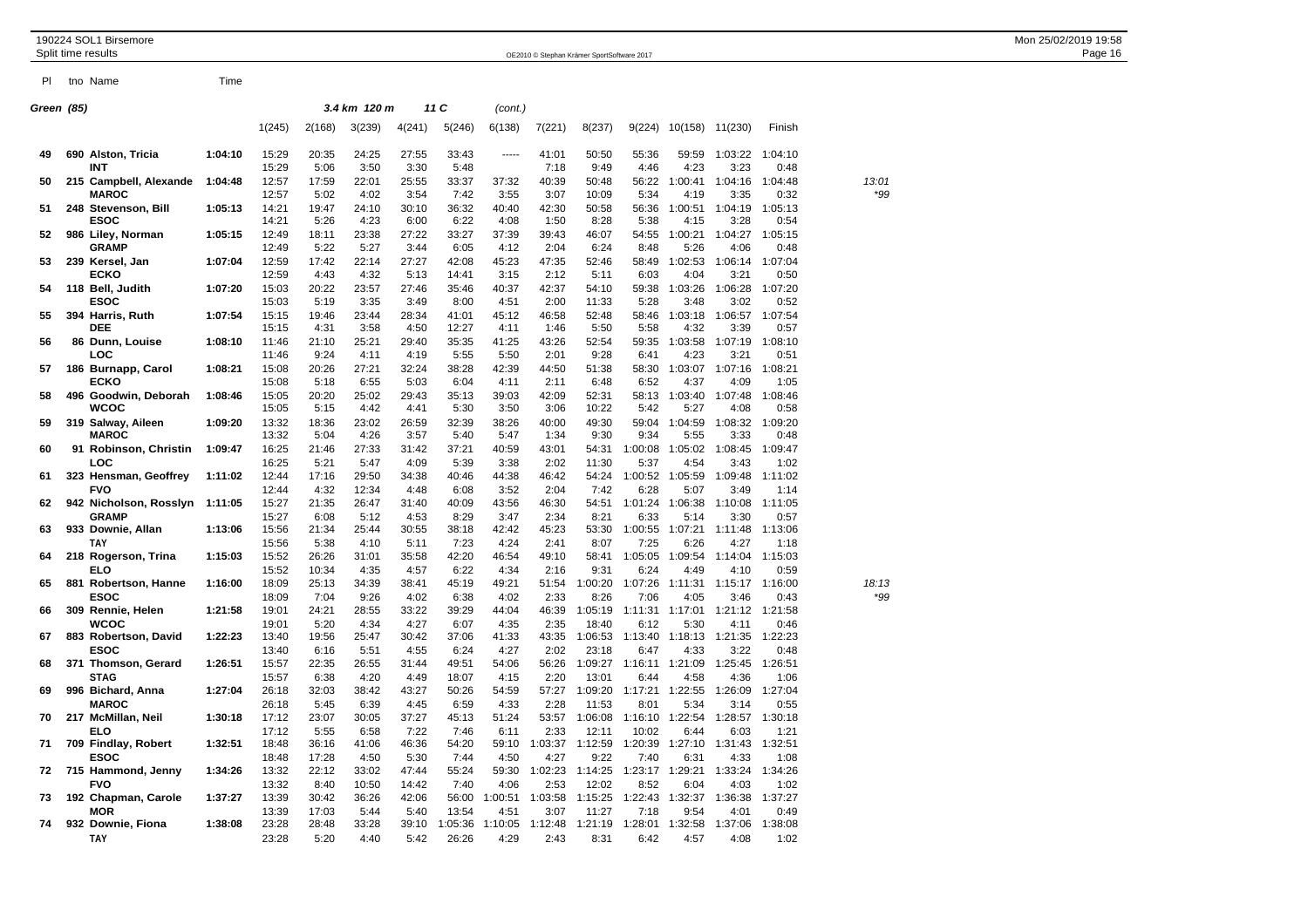Pl tno Name Time

| Green (85) |                                                             |                    |                         |                        | 3.4 km 120 m           |                        | 11 C                   | (cont.)                 |                         |                             |                            |                            |                            |                            |              |
|------------|-------------------------------------------------------------|--------------------|-------------------------|------------------------|------------------------|------------------------|------------------------|-------------------------|-------------------------|-----------------------------|----------------------------|----------------------------|----------------------------|----------------------------|--------------|
|            |                                                             |                    | 1(245)                  | 2(168)                 | 3(239)                 | 4(241)                 | 5(246)                 | 6(138)                  | 7(221)                  | 8(237)                      |                            | 9(224) 10(158) 11(230)     |                            | Finish                     |              |
| 49         | 690 Alston, Tricia<br>INT                                   | 1:04:10            | 15:29<br>15:29          | 20:35<br>5:06          | 24:25<br>3:50          | 27:55<br>3:30          | 33:43<br>5:48          | -----                   | 41:01<br>7:18           | 50:50<br>9:49               | 55:36<br>4:46              | 59:59<br>4:23              | 1:03:22<br>3:23            | 1:04:10<br>0:48            |              |
| 50         | 215 Campbell, Alexande<br><b>MAROC</b>                      | 1:04:48            | 12:57<br>12:57          | 17:59<br>5:02          | 22:01<br>4:02          | 25:55<br>3:54          | 33:37<br>7:42          | 37:32<br>3:55           | 40:39<br>3:07           | 50:48<br>10:09              | 56:22<br>5:34              | 1:00:41<br>4:19            | 1:04:16<br>3:35            | 1:04:48<br>0:32            | 13:01<br>*99 |
| 51         | 248 Stevenson, Bill<br><b>ESOC</b>                          | 1:05:13            | 14:21<br>14:21          | 19:47<br>5:26          | 24:10<br>4:23          | 30:10<br>6:00          | 36:32<br>6:22          | 40:40<br>4:08           | 42:30<br>1:50           | 50:58<br>8:28               | 56:36<br>5:38              | 1:00:51<br>4:15            | 1:04:19<br>3:28            | 1:05:13<br>0:54            |              |
| 52         | 986 Liley, Norman<br><b>GRAMP</b>                           | 1:05:15            | 12:49<br>12:49          | 18:11<br>5:22          | 23:38<br>5:27          | 27:22<br>3:44          | 33:27<br>6:05          | 37:39<br>4:12           | 39:43<br>2:04           | 46:07<br>6:24               | 54:55<br>8:48              | 1:00:21<br>5:26            | 1:04:27<br>4:06            | 1:05:15<br>0:48            |              |
| 53         | 239 Kersel, Jan<br><b>ECKO</b>                              | 1:07:04            | 12:59<br>12:59          | 17:42<br>4:43          | 22:14<br>4:32          | 27:27<br>5:13          | 42:08<br>14:41         | 45:23<br>3:15           | 47:35<br>2:12           | 52:46<br>5:11               | 58:49<br>6:03              | 1:02:53<br>4:04            | 1:06:14<br>3:21            | 1:07:04<br>0:50            |              |
| 54         | 118 Bell, Judith<br><b>ESOC</b>                             | 1:07:20            | 15:03<br>15:03          | 20:22<br>5:19          | 23:57<br>3:35          | 27:46<br>3:49          | 35:46<br>8:00          | 40:37<br>4:51           | 42:37<br>2:00           | 54:10<br>11:33              | 59:38<br>5:28              | 1:03:26<br>3:48            | 1:06:28<br>3:02            | 1:07:20<br>0:52            |              |
| 55         | 394 Harris, Ruth<br><b>DEE</b>                              | 1:07:54            | 15:15<br>15:15          | 19:46<br>4:31          | 23:44<br>3:58          | 28:34<br>4:50          | 41:01<br>12:27         | 45:12<br>4:11           | 46:58<br>1:46           | 52:48<br>5:50               | 58:46<br>5:58              | 1:03:18<br>4:32            | 1:06:57<br>3:39            | 1:07:54<br>0:57            |              |
| 56         | 86 Dunn, Louise<br>LOC                                      | 1:08:10            | 11:46<br>11:46          | 21:10<br>9:24          | 25:21<br>4:11          | 29:40<br>4:19          | 35:35<br>5:55          | 41:25<br>5:50           | 43:26<br>2:01           | 52:54<br>9:28               | 59:35<br>6:41              | 1:03:58<br>4:23            | 1:07:19<br>3:21            | 1:08:10<br>0:51            |              |
| 57         | 186 Burnapp, Carol<br><b>ECKO</b>                           | 1:08:21            | 15:08<br>15:08          | 20:26<br>5:18          | 27:21<br>6:55          | 32:24<br>5:03          | 38:28<br>6:04          | 42:39<br>4:11           | 44:50<br>2:11           | 51:38<br>6:48               | 58:30<br>6:52              | 1:03:07<br>4:37            | 1:07:16<br>4:09            | 1:08:21<br>1:05            |              |
| 58         | 496 Goodwin, Deborah<br><b>WCOC</b>                         | 1:08:46            | 15:05<br>15:05          | 20:20<br>5:15          | 25:02<br>4:42          | 29:43<br>4:41          | 35:13<br>5:30          | 39:03<br>3:50           | 42:09<br>3:06           | 52:31<br>10:22              | 58:13<br>5:42              | 1:03:40<br>5:27            | 1:07:48<br>4:08            | 1:08:46<br>0:58            |              |
| 59         | 319 Salway, Aileen<br><b>MAROC</b>                          | 1:09:20            | 13:32<br>13:32          | 18:36<br>5:04          | 23:02<br>4:26          | 26:59<br>3:57          | 32:39<br>5:40          | 38:26<br>5:47           | 40:00<br>1:34           | 49:30<br>9:30               | 59:04<br>9:34              | 1:04:59<br>5:55            | 1:08:32<br>3:33            | 1:09:20<br>0:48            |              |
| 60         | 91 Robinson, Christin<br>LOC                                | 1:09:47            | 16:25<br>16:25          | 21:46<br>5:21          | 27:33<br>5:47          | 31:42<br>4:09          | 37:21<br>5:39          | 40:59<br>3:38           | 43:01<br>2:02           | 54:31<br>11:30              | 1:00:08<br>5:37            | 1:05:02<br>4:54            | 1:08:45<br>3:43            | 1:09:47<br>1:02            |              |
| 61         | 323 Hensman, Geoffrey<br><b>FVO</b>                         | 1:11:02            | 12:44<br>12:44          | 17:16<br>4:32          | 29:50<br>12:34         | 34:38<br>4:48          | 40:46<br>6:08          | 44:38<br>3:52           | 46:42<br>2:04           | 54:24<br>7:42               | 1:00:52<br>6:28            | 1:05:59<br>5:07            | 1:09:48<br>3:49            | 1:11:02<br>1:14            |              |
| 62<br>63   | 942 Nicholson, Rosslyn<br><b>GRAMP</b><br>933 Downie, Allan | 1:11:05<br>1:13:06 | 15:27<br>15:27<br>15:56 | 21:35<br>6:08<br>21:34 | 26:47<br>5:12<br>25:44 | 31:40<br>4:53<br>30:55 | 40:09<br>8:29<br>38:18 | 43:56<br>3:47<br>42:42  | 46:30<br>2:34<br>45:23  | 54:51<br>8:21<br>53:30      | 1:01:24<br>6:33<br>1:00:55 | 1:06:38<br>5:14<br>1:07:21 | 1:10:08<br>3:30<br>1:11:48 | 1:11:05<br>0:57<br>1:13:06 |              |
| 64         | TAY<br>218 Rogerson, Trina                                  | 1:15:03            | 15:56<br>15:52          | 5:38<br>26:26          | 4:10<br>31:01          | 5:11<br>35:58          | 7:23<br>42:20          | 4:24<br>46:54           | 2:41<br>49:10           | 8:07<br>58:41               | 7:25<br>1:05:05            | 6:26<br>1:09:54            | 4:27<br>1:14:04            | 1:18<br>1:15:03            |              |
| 65         | <b>ELO</b><br>881 Robertson, Hanne<br><b>ESOC</b>           | 1:16:00            | 15:52<br>18:09<br>18:09 | 10:34<br>25:13<br>7:04 | 4:35<br>34:39<br>9:26  | 4:57<br>38:41<br>4:02  | 6:22<br>45:19<br>6:38  | 4:34<br>49:21<br>4:02   | 2:16<br>51:54<br>2:33   | 9:31<br>1:00:20<br>8:26     | 6:24<br>1:07:26<br>7:06    | 4:49<br>1:11:31<br>4:05    | 4:10<br>1:15:17<br>3:46    | 0:59<br>1:16:00<br>0:43    | 18:13<br>*99 |
| 66         | 309 Rennie, Helen<br><b>WCOC</b>                            | 1:21:58            | 19:01<br>19:01          | 24:21<br>5:20          | 28:55<br>4:34          | 33:22<br>4:27          | 39:29<br>6:07          | 44:04<br>4:35           | 46:39<br>2:35           | 1:05:19<br>18:40            | 1:11:31<br>6:12            | 1:17:01<br>5:30            | 1:21:12<br>4:11            | 1:21:58<br>0:46            |              |
| 67         | 883 Robertson, David<br><b>ESOC</b>                         | 1:22:23            | 13:40<br>13:40          | 19:56<br>6:16          | 25:47<br>5:51          | 30:42<br>4:55          | 37:06<br>6:24          | 41:33<br>4:27           | 43:35<br>2:02           | 1:06:53<br>23:18            | 1:13:40<br>6:47            | 1:18:13<br>4:33            | 1:21:35<br>3:22            | 1:22:23<br>0:48            |              |
| 68         | 371 Thomson, Gerard<br><b>STAG</b>                          | 1:26:51            | 15:57<br>15:57          | 22:35<br>6:38          | 26:55<br>4:20          | 31:44<br>4:49          | 49:51<br>18:07         | 54:06<br>4:15           | 56:26<br>2:20           | 1:09:27<br>13:01            | 1:16:11<br>6:44            | 1:21:09<br>4:58            | 1:25:45<br>4:36            | 1:26:51<br>1:06            |              |
| 69<br>70   | 996 Bichard, Anna<br><b>MAROC</b><br>217 McMillan, Neil     | 1:27:04<br>1:30:18 | 26:18<br>26:18<br>17:12 | 32:03<br>5:45<br>23:07 | 38:42<br>6:39<br>30:05 | 43:27<br>4:45<br>37:27 | 50:26<br>6:59<br>45:13 | 54:59<br>4:33<br>51:24  | 57:27<br>2:28<br>53:57  | 1:09:20<br>11:53<br>1:06:08 | 1:17:21<br>8:01<br>1:16:10 | 1:22:55<br>5:34<br>1:22:54 | 1:26:09<br>3:14<br>1:28:57 | 1:27:04<br>0:55<br>1:30:18 |              |
| 71         | <b>ELO</b><br>709 Findlay, Robert                           | 1:32:51            | 17:12<br>18:48          | 5:55<br>36:16          | 6:58<br>41:06          | 7:22<br>46:36          | 7:46<br>54:20          | 6:11<br>59:10           | 2:33<br>1:03:37         | 12:11<br>1:12:59            | 10:02<br>1:20:39           | 6:44<br>1:27:10            | 6:03<br>1:31:43            | 1:21<br>1:32:51            |              |
| 72         | <b>ESOC</b><br>715 Hammond, Jenny                           | 1:34:26            | 18:48<br>13:32          | 17:28<br>22:12         | 4:50<br>33:02          | 5:30<br>47:44          | 7:44<br>55:24          | 4:50<br>59:30           | 4:27<br>1:02:23         | 9:22<br>1:14:25             | 7:40<br>1:23:17            | 6:31<br>1:29:21            | 4:33<br>1:33:24            | 1:08<br>1:34:26            |              |
| 73         | <b>FVO</b><br>192 Chapman, Carole<br><b>MOR</b>             | 1:37:27            | 13:32<br>13:39<br>13:39 | 8:40<br>30:42<br>17:03 | 10:50<br>36:26<br>5:44 | 14:42<br>42:06<br>5:40 | 7:40<br>56:00<br>13:54 | 4:06<br>1:00:51<br>4:51 | 2:53<br>1:03:58<br>3:07 | 12:02<br>1:15:25<br>11:27   | 8:52<br>1:22:43<br>7:18    | 6:04<br>1:32:37<br>9:54    | 4:03<br>1:36:38<br>4:01    | 1:02<br>1:37:27<br>0:49    |              |
| 74         | 932 Downie, Fiona<br>TAY                                    | 1:38:08            | 23:28<br>23:28          | 28:48<br>5:20          | 33:28<br>4:40          | 39:10<br>5:42          | 1:05:36<br>26:26       | 1:10:05<br>4:29         | 1:12:48<br>2:43         | 1:21:19<br>8:31             | 1:28:01<br>6:42            | 1:32:58<br>4:57            | 1:37:06<br>4:08            | 1:38:08<br>1:02            |              |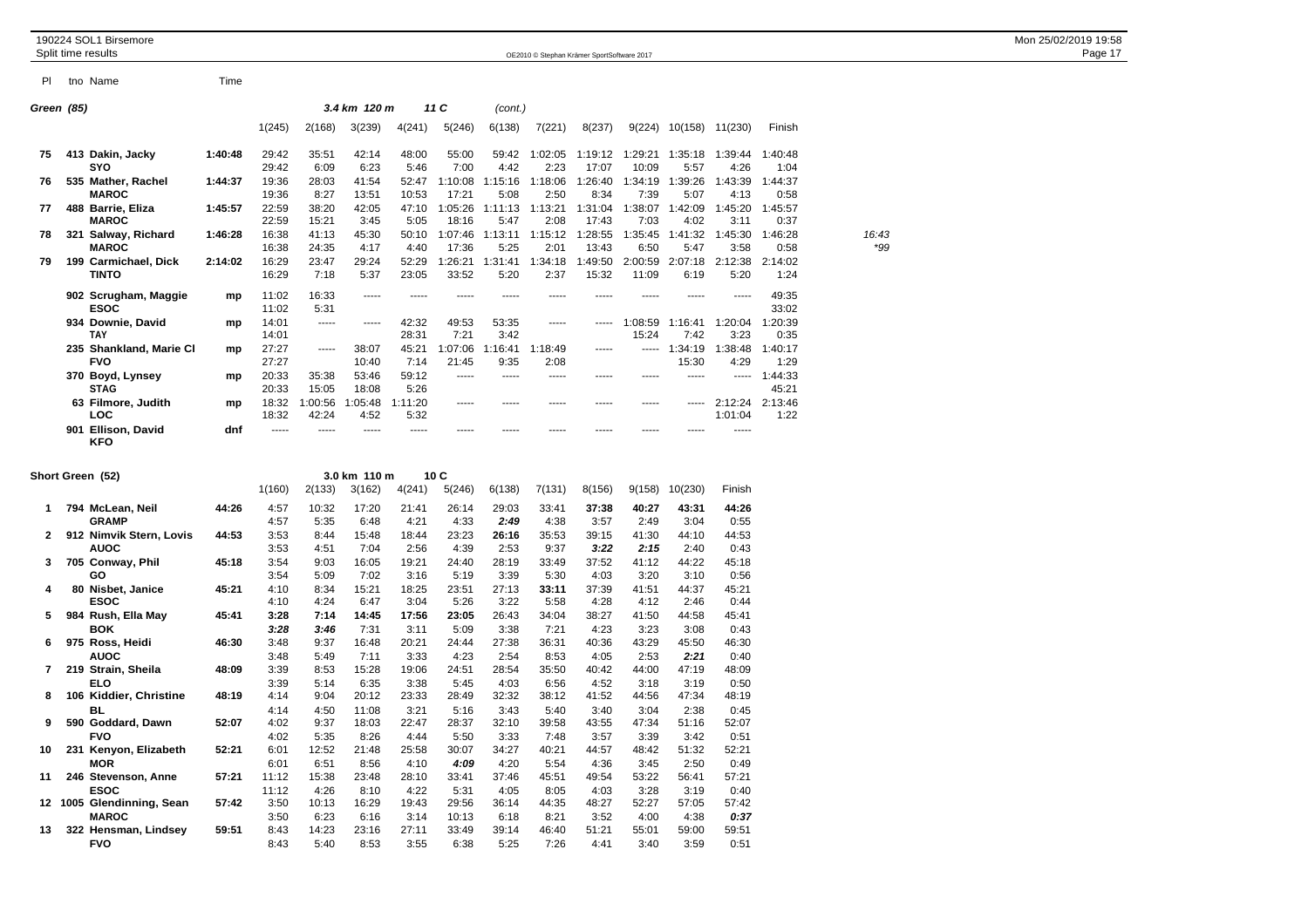| PI         |     | tno Name                              | Time    |                |                  |                 |                 |                  |                 |                 |                  |                  |                  |                    |                  |              |
|------------|-----|---------------------------------------|---------|----------------|------------------|-----------------|-----------------|------------------|-----------------|-----------------|------------------|------------------|------------------|--------------------|------------------|--------------|
| Green (85) |     |                                       |         |                |                  | 3.4 km 120 m    |                 | 11 C             | (cont.)         |                 |                  |                  |                  |                    |                  |              |
|            |     |                                       |         | 1(245)         | 2(168)           | 3(239)          | 4(241)          | 5(246)           | 6(138)          | 7(221)          | 8(237)           | 9(224)           | 10(158)          | 11(230)            | Finish           |              |
| 75         |     | 413 Dakin, Jacky<br><b>SYO</b>        | 1:40:48 | 29:42<br>29:42 | 35:51<br>6:09    | 42:14<br>6:23   | 48:00<br>5:46   | 55:00<br>7:00    | 59:42<br>4:42   | 1:02:05<br>2:23 | 1:19:12<br>17:07 | 1:29:21<br>10:09 | 1:35:18<br>5:57  | 1:39:44<br>4:26    | 1:40:48<br>1:04  |              |
| 76         |     | 535 Mather, Rachel<br><b>MAROC</b>    | 1:44:37 | 19:36<br>19:36 | 28:03<br>8:27    | 41:54<br>13:51  | 52:47<br>10:53  | 1:10:08<br>17:21 | 1:15:16<br>5:08 | 1:18:06<br>2:50 | 1:26:40<br>8:34  | 1:34:19<br>7:39  | :39:26<br>5:07   | 1:43:39<br>4:13    | 1:44:37<br>0:58  |              |
| 77         |     | 488 Barrie, Eliza<br><b>MAROC</b>     | 1:45:57 | 22:59<br>22:59 | 38:20<br>15:21   | 42:05<br>3:45   | 47:10<br>5:05   | 1:05:26<br>18:16 | 1:11:13<br>5:47 | 1:13:21<br>2:08 | 1:31:04<br>17:43 | 1:38:07<br>7:03  | :42:09<br>4:02   | 1:45:20<br>3:11    | 1:45:57<br>0:37  |              |
| 78         | 321 | Salway, Richard<br><b>MAROC</b>       | 1:46:28 | 16:38<br>16:38 | 41:13<br>24:35   | 45:30<br>4:17   | 50:10<br>4:40   | 1:07:46<br>17:36 | 1:13:11<br>5:25 | 1:15:12<br>2:01 | 1:28:55<br>13:43 | 1:35:45<br>6:50  | :41:32<br>5:47   | 1:45:30<br>3:58    | 1:46:28<br>0:58  | 16:43<br>*99 |
| 79         |     | 199 Carmichael, Dick<br><b>TINTO</b>  | 2:14:02 | 16:29<br>16:29 | 23:47<br>7:18    | 29:24<br>5:37   | 52:29<br>23:05  | 1:26:21<br>33:52 | 1:31:41<br>5:20 | 1:34:18<br>2:37 | :49:50<br>15:32  | 2:00:59<br>11:09 | 2:07:18<br>6:19  | 2:12:38<br>5:20    | 2:14:02<br>1:24  |              |
|            |     | 902 Scrugham, Maggie<br><b>ESOC</b>   | mp      | 11:02<br>11:02 | 16:33<br>5:31    | $- - - - -$     |                 |                  |                 |                 |                  |                  |                  | -----              | 49:35<br>33:02   |              |
|            |     | 934 Downie, David<br><b>TAY</b>       | mp      | 14:01<br>14:01 | $- - - - -$      | -----           | 42:32<br>28:31  | 49:53<br>7:21    | 53:35<br>3:42   | $- - - - -$     | $- - - - -$      | 1:08:59<br>15:24 | 1:16:41<br>7:42  | 1:20:04<br>3:23    | 1:20:39<br>0:35  |              |
|            |     | 235 Shankland, Marie Cl<br><b>FVO</b> | mp      | 27:27<br>27:27 | $- - - - -$      | 38:07<br>10:40  | 45:21<br>7:14   | 1:07:06<br>21:45 | 1:16:41<br>9:35 | 1:18:49<br>2:08 | -----            | -----            | 1:34:19<br>15:30 | 1:38:48<br>4:29    | 1:40:17<br>1:29  |              |
|            |     | 370 Boyd, Lynsey<br><b>STAG</b>       | mp      | 20:33<br>20:33 | 35:38<br>15:05   | 53:46<br>18:08  | 59:12<br>5:26   | -----            | -----           | -----           | -----            | -----            | -----            | -----              | 1:44:33<br>45:21 |              |
|            |     | 63 Filmore, Judith<br><b>LOC</b>      | mp      | 18:32<br>18:32 | 1:00:56<br>42:24 | 1:05:48<br>4:52 | 1:11:20<br>5:32 | -----            |                 |                 |                  |                  | -----            | 2:12:24<br>1:01:04 | 2:13:46<br>1:22  |              |
|            |     | 901 Ellison, David<br><b>KFO</b>      | dnf     | -----          | -----            | -----           | -----           |                  |                 |                 |                  |                  | -----            | -----              |                  |              |

|              |     | Short Green (52)        |       |        |        | 3.0 km 110 m |        | 10C    |        |        |        |        |         |        |
|--------------|-----|-------------------------|-------|--------|--------|--------------|--------|--------|--------|--------|--------|--------|---------|--------|
|              |     |                         |       | 1(160) | 2(133) | 3(162)       | 4(241) | 5(246) | 6(138) | 7(131) | 8(156) | 9(158) | 10(230) | Finish |
| 1            |     | 794 McLean, Neil        | 44:26 | 4:57   | 10:32  | 17:20        | 21:41  | 26:14  | 29:03  | 33:41  | 37:38  | 40:27  | 43:31   | 44:26  |
|              |     | <b>GRAMP</b>            |       | 4:57   | 5:35   | 6:48         | 4:21   | 4:33   | 2:49   | 4:38   | 3:57   | 2:49   | 3:04    | 0:55   |
| $\mathbf{2}$ |     | 912 Nimvik Stern, Lovis | 44:53 | 3:53   | 8:44   | 15:48        | 18:44  | 23:23  | 26:16  | 35:53  | 39:15  | 41:30  | 44:10   | 44:53  |
|              |     | <b>AUOC</b>             |       | 3:53   | 4:51   | 7:04         | 2:56   | 4:39   | 2:53   | 9:37   | 3:22   | 2:15   | 2:40    | 0:43   |
| 3            |     | 705 Conway, Phil        | 45:18 | 3:54   | 9:03   | 16:05        | 19:21  | 24:40  | 28:19  | 33:49  | 37:52  | 41:12  | 44:22   | 45:18  |
|              |     | GO                      |       | 3:54   | 5:09   | 7:02         | 3:16   | 5:19   | 3:39   | 5:30   | 4:03   | 3:20   | 3:10    | 0:56   |
| 4            |     | 80 Nisbet, Janice       | 45:21 | 4:10   | 8:34   | 15:21        | 18:25  | 23:51  | 27:13  | 33:11  | 37:39  | 41:51  | 44:37   | 45:21  |
|              |     | <b>ESOC</b>             |       | 4:10   | 4:24   | 6:47         | 3:04   | 5:26   | 3:22   | 5:58   | 4:28   | 4:12   | 2:46    | 0:44   |
| 5            |     | 984 Rush, Ella May      | 45:41 | 3:28   | 7:14   | 14:45        | 17:56  | 23:05  | 26:43  | 34:04  | 38:27  | 41:50  | 44:58   | 45:41  |
|              |     | <b>BOK</b>              |       | 3:28   | 3:46   | 7:31         | 3:11   | 5:09   | 3:38   | 7:21   | 4:23   | 3:23   | 3:08    | 0:43   |
| 6            |     | 975 Ross, Heidi         | 46:30 | 3:48   | 9:37   | 16:48        | 20:21  | 24:44  | 27:38  | 36:31  | 40:36  | 43:29  | 45:50   | 46:30  |
|              |     | <b>AUOC</b>             |       | 3:48   | 5:49   | 7:11         | 3:33   | 4:23   | 2:54   | 8:53   | 4:05   | 2:53   | 2:21    | 0:40   |
| 7            |     | 219 Strain, Sheila      | 48:09 | 3:39   | 8:53   | 15:28        | 19:06  | 24:51  | 28:54  | 35:50  | 40:42  | 44:00  | 47:19   | 48:09  |
|              |     | <b>ELO</b>              |       | 3:39   | 5:14   | 6:35         | 3:38   | 5:45   | 4:03   | 6:56   | 4:52   | 3:18   | 3:19    | 0:50   |
| 8            |     | 106 Kiddier, Christine  | 48:19 | 4:14   | 9:04   | 20:12        | 23:33  | 28:49  | 32:32  | 38:12  | 41:52  | 44:56  | 47:34   | 48:19  |
|              |     | BL                      |       | 4:14   | 4:50   | 11:08        | 3:21   | 5:16   | 3:43   | 5:40   | 3:40   | 3:04   | 2:38    | 0:45   |
| 9            |     | 590 Goddard, Dawn       | 52:07 | 4:02   | 9:37   | 18:03        | 22:47  | 28:37  | 32:10  | 39:58  | 43:55  | 47:34  | 51:16   | 52:07  |
|              |     | <b>FVO</b>              |       | 4:02   | 5:35   | 8:26         | 4:44   | 5:50   | 3:33   | 7:48   | 3:57   | 3:39   | 3:42    | 0:51   |
| 10           | 231 | Kenyon, Elizabeth       | 52:21 | 6:01   | 12:52  | 21:48        | 25:58  | 30:07  | 34:27  | 40:21  | 44:57  | 48:42  | 51:32   | 52:21  |
|              |     | <b>MOR</b>              |       | 6:01   | 6:51   | 8:56         | 4:10   | 4:09   | 4:20   | 5:54   | 4:36   | 3:45   | 2:50    | 0:49   |
| 11           |     | 246 Stevenson, Anne     | 57:21 | 11:12  | 15:38  | 23:48        | 28:10  | 33:41  | 37:46  | 45:51  | 49:54  | 53:22  | 56:41   | 57:21  |
|              |     | <b>ESOC</b>             |       | 11:12  | 4:26   | 8:10         | 4:22   | 5:31   | 4:05   | 8:05   | 4:03   | 3:28   | 3:19    | 0:40   |
| 12           |     | 1005 Glendinning, Sean  | 57:42 | 3:50   | 10:13  | 16:29        | 19:43  | 29:56  | 36:14  | 44:35  | 48:27  | 52:27  | 57:05   | 57:42  |
|              |     | <b>MAROC</b>            |       | 3:50   | 6:23   | 6:16         | 3:14   | 10:13  | 6:18   | 8:21   | 3:52   | 4:00   | 4:38    | 0:37   |
| 13           |     | 322 Hensman, Lindsey    | 59:51 | 8:43   | 14:23  | 23:16        | 27:11  | 33:49  | 39:14  | 46:40  | 51:21  | 55:01  | 59:00   | 59:51  |
|              |     | <b>FVO</b>              |       | 8:43   | 5:40   | 8:53         | 3:55   | 6:38   | 5:25   | 7:26   | 4:41   | 3:40   | 3:59    | 0:51   |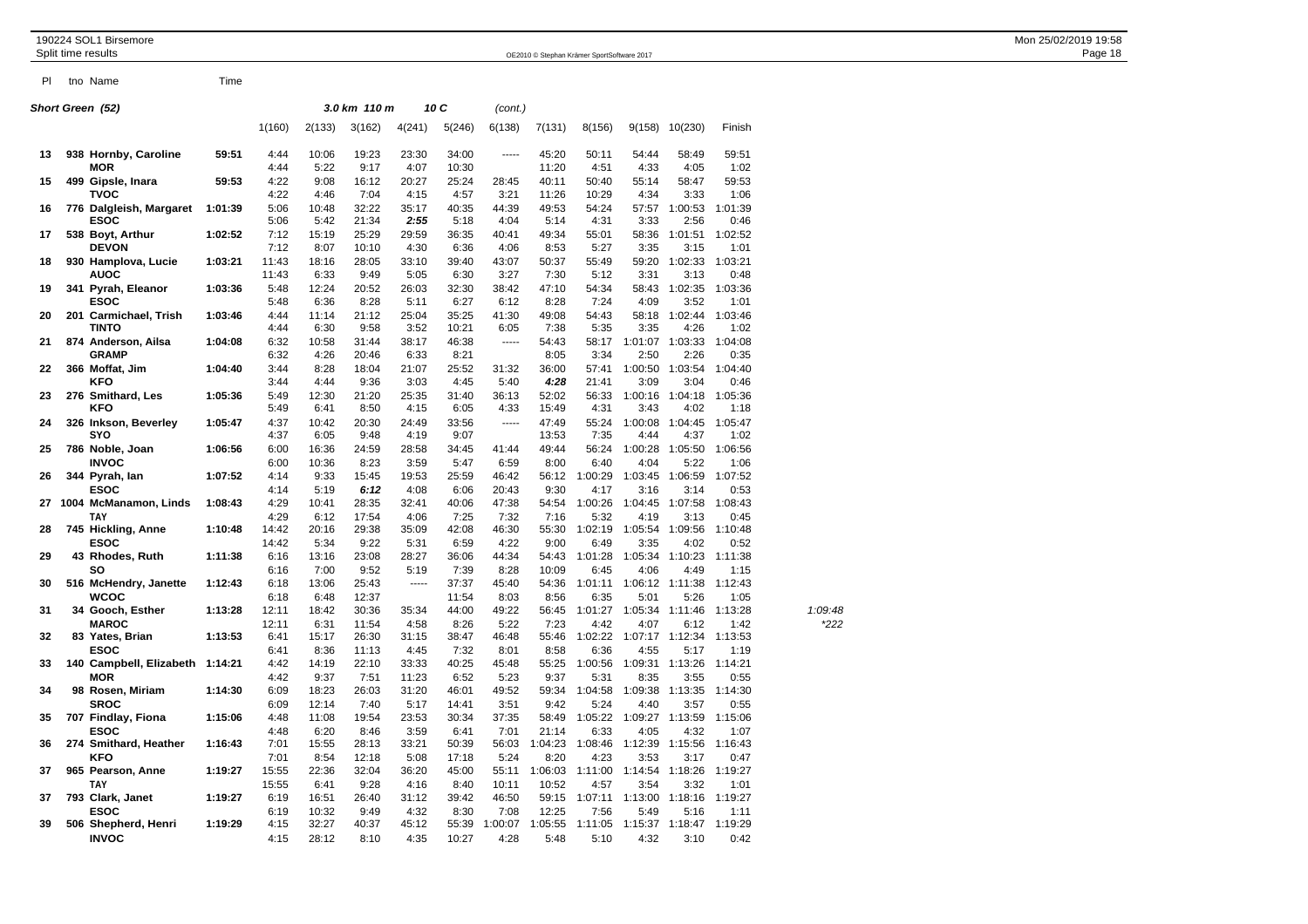Pl tno Name Time

|    | Short Green (52)                       |         |                |                | 3.0 km 110 m   |                | 10 C           | (cont.)        |                  |                 |                 |                 |                 |                 |
|----|----------------------------------------|---------|----------------|----------------|----------------|----------------|----------------|----------------|------------------|-----------------|-----------------|-----------------|-----------------|-----------------|
|    |                                        |         | 1(160)         | 2(133)         | 3(162)         | 4(241)         | 5(246)         | 6(138)         | 7(131)           | 8(156)          |                 | 9(158) 10(230)  | Finish          |                 |
| 13 | 938 Hornby, Caroline<br>MOR            | 59:51   | 4:44<br>4:44   | 10:06<br>5:22  | 19:23<br>9:17  | 23:30<br>4:07  | 34:00<br>10:30 | -----          | 45:20<br>11:20   | 50:11<br>4:51   | 54:44<br>4:33   | 58:49<br>4:05   | 59:51<br>1:02   |                 |
| 15 | 499 Gipsle, Inara<br>TVOC              | 59:53   | 4:22<br>4:22   | 9:08<br>4:46   | 16:12<br>7:04  | 20:27<br>4:15  | 25:24<br>4:57  | 28:45<br>3:21  | 40:11<br>11:26   | 50:40<br>10:29  | 55:14<br>4:34   | 58:47<br>3:33   | 59:53<br>1:06   |                 |
| 16 | 776 Dalgleish, Margaret<br><b>ESOC</b> | 1:01:39 | 5:06<br>5:06   | 10:48<br>5:42  | 32:22<br>21:34 | 35:17<br>2:55  | 40:35<br>5:18  | 44:39<br>4:04  | 49:53<br>5:14    | 54:24<br>4:31   | 57:57<br>3:33   | 1:00:53<br>2:56 | 1:01:39<br>0:46 |                 |
| 17 | 538 Boyt, Arthur<br><b>DEVON</b>       | 1:02:52 | 7:12<br>7:12   | 15:19<br>8:07  | 25:29<br>10:10 | 29:59<br>4:30  | 36:35<br>6:36  | 40:41<br>4:06  | 49:34<br>8:53    | 55:01<br>5:27   | 58:36<br>3:35   | 1:01:51<br>3:15 | 1:02:52<br>1:01 |                 |
| 18 | 930 Hamplova, Lucie<br>AUOC            | 1:03:21 | 11:43<br>11:43 | 18:16<br>6:33  | 28:05<br>9:49  | 33:10<br>5:05  | 39:40<br>6:30  | 43:07<br>3:27  | 50:37<br>7:30    | 55:49<br>5:12   | 59:20<br>3:31   | 1:02:33<br>3:13 | 1:03:21<br>0:48 |                 |
| 19 | 341 Pyrah, Eleanor<br>ESOC             | 1:03:36 | 5:48<br>5:48   | 12:24<br>6:36  | 20:52<br>8:28  | 26:03<br>5:11  | 32:30<br>6:27  | 38:42<br>6:12  | 47:10<br>8:28    | 54:34<br>7:24   | 58:43<br>4:09   | 1:02:35<br>3:52 | 1:03:36<br>1:01 |                 |
| 20 | 201 Carmichael, Trish<br>TINTO         | 1:03:46 | 4:44<br>4:44   | 11:14<br>6:30  | 21:12<br>9:58  | 25:04<br>3:52  | 35:25<br>10:21 | 41:30<br>6:05  | 49:08<br>7:38    | 54:43<br>5:35   | 58:18<br>3:35   | 1:02:44<br>4:26 | 1:03:46<br>1:02 |                 |
| 21 | 874 Anderson, Ailsa<br><b>GRAMP</b>    | 1:04:08 | 6:32<br>6:32   | 10:58<br>4:26  | 31:44<br>20:46 | 38:17<br>6:33  | 46:38<br>8:21  | 1.1.1.1        | 54:43<br>8:05    | 58:17<br>3:34   | 1:01:07<br>2:50 | 1:03:33<br>2:26 | 1:04:08<br>0:35 |                 |
| 22 | 366 Moffat, Jim<br>KFO                 | 1:04:40 | 3:44<br>3:44   | 8:28<br>4:44   | 18:04<br>9:36  | 21:07<br>3:03  | 25:52<br>4:45  | 31:32<br>5:40  | 36:00<br>4:28    | 57:41<br>21:41  | 1:00:50<br>3:09 | 1:03:54<br>3:04 | 1:04:40<br>0:46 |                 |
| 23 | 276 Smithard, Les<br>KFO               | 1:05:36 | 5:49<br>5:49   | 12:30<br>6:41  | 21:20<br>8:50  | 25:35<br>4:15  | 31:40<br>6:05  | 36:13<br>4:33  | 52:02<br>15:49   | 56:33<br>4:31   | 1:00:16<br>3:43 | 1:04:18<br>4:02 | 1:05:36<br>1:18 |                 |
| 24 | 326 Inkson, Beverley<br>SYO            | 1:05:47 | 4:37<br>4:37   | 10:42<br>6:05  | 20:30<br>9:48  | 24:49<br>4:19  | 33:56<br>9:07  | -----          | 47:49<br>13:53   | 55:24<br>7:35   | 1:00:08<br>4:44 | 1:04:45<br>4:37 | 1:05:47<br>1:02 |                 |
| 25 | 786 Noble, Joan<br><b>INVOC</b>        | 1:06:56 | 6:00<br>6:00   | 16:36<br>10:36 | 24:59<br>8:23  | 28:58<br>3:59  | 34:45<br>5:47  | 41:44<br>6:59  | 49:44<br>8:00    | 56:24<br>6:40   | 1:00:28<br>4:04 | 1:05:50<br>5:22 | 1:06:56<br>1:06 |                 |
| 26 | 344 Pyrah, lan<br><b>ESOC</b>          | 1:07:52 | 4:14<br>4:14   | 9:33<br>5:19   | 15:45<br>6:12  | 19:53<br>4:08  | 25:59<br>6:06  | 46:42<br>20:43 | 56:12<br>9:30    | 1:00:29<br>4:17 | 1:03:45<br>3:16 | 1:06:59<br>3:14 | 1:07:52<br>0:53 |                 |
| 27 | 1004 McManamon, Linds<br>TAY           | 1:08:43 | 4:29<br>4:29   | 10:41<br>6:12  | 28:35<br>17:54 | 32:41<br>4:06  | 40:06<br>7:25  | 47:38<br>7:32  | 54:54<br>7:16    | 1:00:26<br>5:32 | 1:04:45<br>4:19 | 1:07:58<br>3:13 | 1:08:43<br>0:45 |                 |
| 28 | 745 Hickling, Anne<br><b>ESOC</b>      | 1:10:48 | 14:42<br>14:42 | 20:16<br>5:34  | 29:38<br>9:22  | 35:09<br>5:31  | 42:08<br>6:59  | 46:30<br>4:22  | 55:30<br>9:00    | 1:02:19<br>6:49 | 1:05:54<br>3:35 | 1:09:56<br>4:02 | 1:10:48<br>0:52 |                 |
| 29 | 43 Rhodes, Ruth<br>SO                  | 1:11:38 | 6:16<br>6:16   | 13:16<br>7:00  | 23:08<br>9:52  | 28:27<br>5:19  | 36:06<br>7:39  | 44:34<br>8:28  | 54:43<br>10:09   | 1:01:28<br>6:45 | 1:05:34<br>4:06 | 1:10:23<br>4:49 | 1:11:38<br>1:15 |                 |
| 30 | 516 McHendry, Janette<br>WCOC          | 1:12:43 | 6:18<br>6:18   | 13:06<br>6:48  | 25:43<br>12:37 | -----          | 37:37<br>11:54 | 45:40<br>8:03  | 54:36<br>8:56    | 1:01:11<br>6:35 | 1:06:12<br>5:01 | 1:11:38<br>5:26 | 1:12:43<br>1:05 |                 |
| 31 | 34 Gooch, Esther<br><b>MAROC</b>       | 1:13:28 | 12:11<br>12:11 | 18:42<br>6:31  | 30:36<br>11:54 | 35:34<br>4:58  | 44:00<br>8:26  | 49:22<br>5:22  | 56:45<br>7:23    | 1:01:27<br>4:42 | 1:05:34<br>4:07 | 1:11:46<br>6:12 | 1:13:28<br>1:42 | 1:09:48<br>*222 |
| 32 | 83 Yates, Brian<br><b>ESOC</b>         | 1:13:53 | 6:41<br>6:41   | 15:17<br>8:36  | 26:30<br>11:13 | 31:15<br>4:45  | 38:47<br>7:32  | 46:48<br>8:01  | 55:46<br>8:58    | 1:02:22<br>6:36 | 1:07:17<br>4:55 | 1:12:34<br>5:17 | 1:13:53<br>1:19 |                 |
| 33 | 140 Campbell, Elizabeth<br>MOR         | 1:14:21 | 4:42<br>4:42   | 14:19<br>9:37  | 22:10<br>7:51  | 33:33<br>11:23 | 40:25<br>6:52  | 45:48<br>5:23  | 55:25<br>9:37    | 1:00:56<br>5:31 | 1:09:31<br>8:35 | 1:13:26<br>3:55 | 1:14:21<br>0:55 |                 |
| 34 | 98 Rosen, Miriam<br><b>SROC</b>        | 1:14:30 | 6:09<br>6:09   | 18:23<br>12:14 | 26:03<br>7:40  | 31:20<br>5:17  | 46:01<br>14:41 | 49:52<br>3:51  | 59:34<br>9:42    | 1:04:58<br>5:24 | 1:09:38<br>4:40 | 1:13:35<br>3:57 | 1:14:30<br>0:55 |                 |
| 35 | 707 Findlay, Fiona<br><b>ESOC</b>      | 1:15:06 | 4:48<br>4:48   | 11:08<br>6:20  | 19:54<br>8:46  | 23:53<br>3:59  | 30:34<br>6:41  | 37:35<br>7:01  | 58:49<br>21:14   | 1:05:22<br>6:33 | 1:09:27<br>4:05 | 1:13:59<br>4:32 | 1:15:06<br>1:07 |                 |
| 36 | 274 Smithard, Heather<br>KFO           | 1:16:43 | 7:01<br>7:01   | 15:55<br>8:54  | 28:13<br>12:18 | 33:21<br>5:08  | 50:39<br>17:18 | 56:03<br>5:24  | 1:04:23<br>8:20  | 1:08:46<br>4:23 | 1:12:39<br>3:53 | 1:15:56<br>3:17 | 1:16:43<br>0:47 |                 |
| 37 | 965 Pearson, Anne<br>TAY               | 1:19:27 | 15:55<br>15:55 | 22:36<br>6:41  | 32:04<br>9:28  | 36:20<br>4:16  | 45:00<br>8:40  | 55:11<br>10:11 | 1:06:03<br>10:52 | 1:11:00<br>4:57 | 1:14:54<br>3:54 | 1:18:26<br>3:32 | 1:19:27<br>1:01 |                 |
| 37 | 793 Clark, Janet<br><b>ESOC</b>        | 1:19:27 | 6:19<br>6:19   | 16:51<br>10:32 | 26:40<br>9:49  | 31:12<br>4:32  | 39:42<br>8:30  | 46:50<br>7:08  | 59:15<br>12:25   | 1:07:11<br>7:56 | 1:13:00<br>5:49 | 1:18:16<br>5:16 | 1:19:27<br>1:11 |                 |
| 39 | 506 Shepherd, Henri                    | 1:19:29 | 4:15           | 32:27          | 40:37          | 45:12          | 55:39          | 1:00:07        | 1:05:55          | 1:11:05         |                 |                 | 1:19:29         |                 |

**INVOC** 4:15 28:12 8:10 4:35 10:27 4:28 5:48 5:10 4:32 3:10 0:42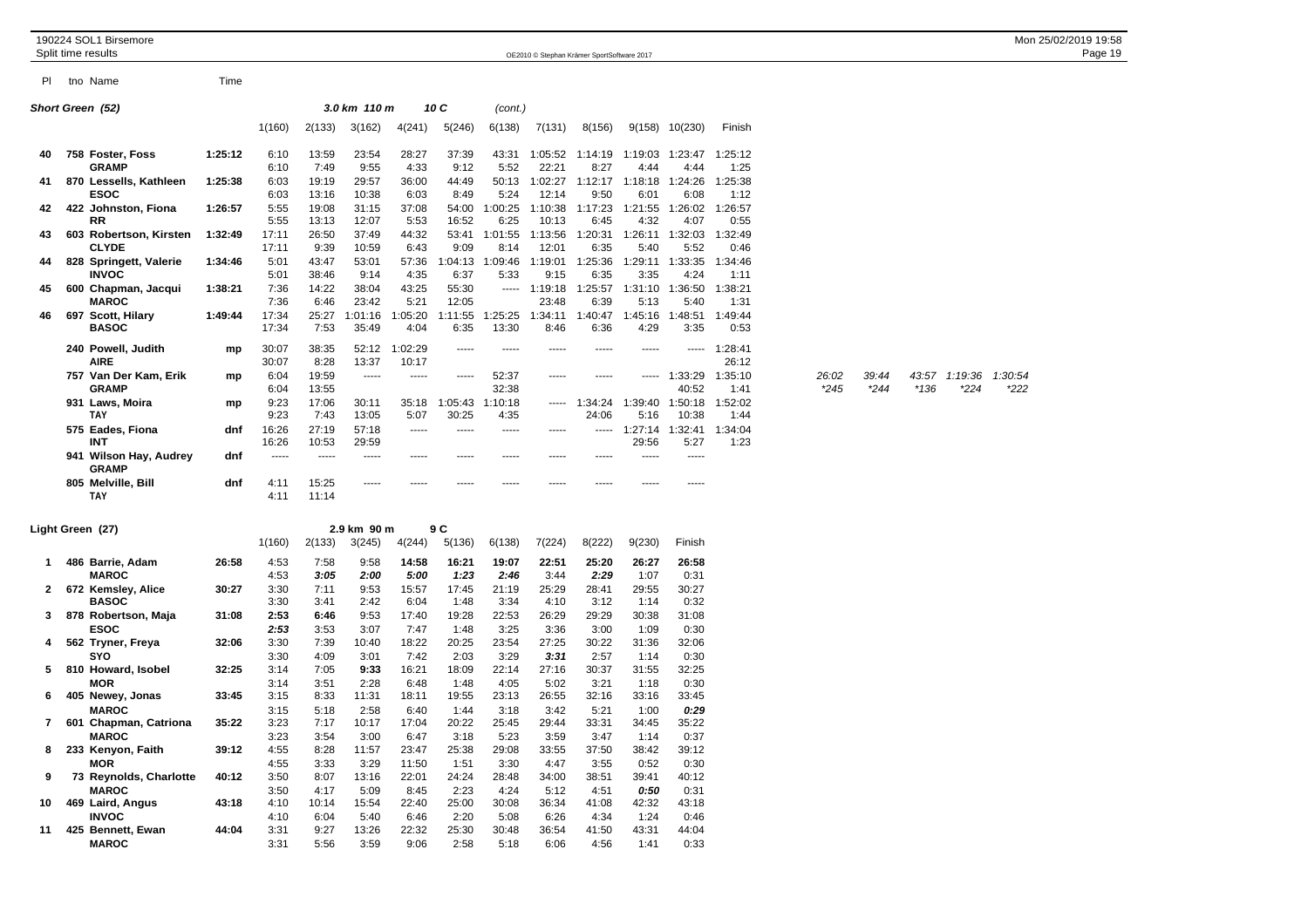| PI.          | tno Name                               | Time    |              |                |               |               |               |               |                  |                 |                 |                 |                 |        |        |        |         |         |
|--------------|----------------------------------------|---------|--------------|----------------|---------------|---------------|---------------|---------------|------------------|-----------------|-----------------|-----------------|-----------------|--------|--------|--------|---------|---------|
|              | Short Green (52)                       |         |              |                | 3.0 km 110 m  |               | 10 C          | (cont.)       |                  |                 |                 |                 |                 |        |        |        |         |         |
|              |                                        |         | 1(160)       | 2(133)         | 3(162)        | 4(241)        | 5(246)        | 6(138)        | 7(131)           | 8(156)          |                 | 9(158) 10(230)  | Finish          |        |        |        |         |         |
| 40           | 758 Foster, Foss                       | 1:25:12 | 6:10         | 13:59          | 23:54         | 28:27         | 37:39         | 43:31         | 1:05:52          | 1:14:19         | 1:19:03         | 1:23:47         | 1:25:12         |        |        |        |         |         |
|              | <b>GRAMP</b>                           | 1:25:38 | 6:10<br>6:03 | 7:49<br>19:19  | 9:55<br>29:57 | 4:33<br>36:00 | 9:12<br>44:49 | 5:52<br>50:13 | 22:21<br>1:02:27 | 8:27<br>1:12:17 | 4:44<br>1:18:18 | 4:44<br>1:24:26 | 1:25<br>1:25:38 |        |        |        |         |         |
| 41           | 870 Lessells, Kathleen<br><b>ESOC</b>  |         | 6:03         | 13:16          | 10:38         | 6:03          | 8:49          | 5:24          | 12:14            | 9:50            | 6:01            | 6:08            | 1:12            |        |        |        |         |         |
| 42           | 422 Johnston, Fiona                    | 1:26:57 | 5:55         | 19:08          | 31:15         | 37:08         | 54:00         | 1:00:25       | 1:10:38          | 1:17:23         | 1:21:55         | 1:26:02         | 1:26:57         |        |        |        |         |         |
|              | RR                                     |         | 5:55         | 13:13          | 12:07         | 5:53          | 16:52         | 6:25          | 10:13            | 6:45            | 4:32            | 4:07            | 0:55            |        |        |        |         |         |
| 43           | 603 Robertson, Kirsten                 | 1:32:49 | 17:11        | 26:50          | 37:49         | 44:32         | 53:41         | 1:01:55       | 1:13:56          | 1:20:31         | 1:26:11         | 1:32:03         | 1:32:49         |        |        |        |         |         |
|              | <b>CLYDE</b>                           |         | 17:11        | 9:39           | 10:59         | 6:43          | 9:09          | 8:14          | 12:01            | 6:35            | 5:40            | 5:52            | 0:46            |        |        |        |         |         |
| 44           | 828 Springett, Valerie                 | 1:34:46 | 5:01         | 43:47          | 53:01         | 57:36         | 1:04:13       | 1:09:46       | 1:19:01          | 1:25:36         | 1:29:11         | 1:33:35         | 1:34:46         |        |        |        |         |         |
|              | <b>INVOC</b>                           |         | 5:01         | 38:46          | 9:14          | 4:35          | 6:37          | 5:33          | 9:15             | 6:35            | 3:35            | 4:24            | 1:11            |        |        |        |         |         |
| 45           | 600 Chapman, Jacqui                    | 1:38:21 | 7:36         | 14:22          | 38:04         | 43:25         | 55:30         | -----         | 1:19:18          | 1:25:57         | 1:31:10         | 1:36:50         | 1:38:21         |        |        |        |         |         |
|              | <b>MAROC</b>                           |         | 7:36         | 6:46           | 23:42         | 5:21          | 12:05         |               | 23:48            | 6:39            | 5:13            | 5:40            | 1:31            |        |        |        |         |         |
| 46           | 697 Scott, Hilary                      | 1:49:44 | 17:34        | 25:27          | 1:01:16       | :05:20        | 1:11:55       | :25:25<br>-1  | 1:34:11          | 1:40:47         | 1:45:16         | 1:48:51         | 1:49:44         |        |        |        |         |         |
|              | <b>BASOC</b>                           |         | 17:34        | 7:53           | 35:49         | 4:04          | 6:35          | 13:30         | 8:46             | 6:36            | 4:29            | 3:35            | 0:53            |        |        |        |         |         |
|              | 240 Powell, Judith                     | mp      | 30:07        | 38:35          | 52:12         | 1:02:29       | 1.1.1.1       | -----         | -----            | -----           | -----           |                 | 1:28:41         |        |        |        |         |         |
|              | AIRE                                   |         | 30:07        | 8:28           | 13:37         | 10:17         |               |               |                  |                 |                 |                 | 26:12           |        |        |        |         |         |
|              | 757 Van Der Kam, Erik                  | mp      | 6:04         | 19:59          | 1.1.1.1       | 1.1.1.1       | $- - - - -$   | 52:37         | -----            | -----           | -----           | 1:33:29         | 1:35:10         | 26:02  | 39:44  | 43:57  | 1:19:36 | 1:30:54 |
|              | <b>GRAMP</b>                           |         | 6:04         | 13:55          |               |               |               | 32:38         |                  |                 |                 | 40:52           | 1:41            | $*245$ | $*244$ | $*136$ | $*224$  | *222    |
|              | 931 Laws, Moira                        | mp      | 9:23         | 17:06          | 30:11         | 35:18         | 1:05:43       | 1:10:18       | -----            | 1:34:24         | 1:39:40         | 1:50:18         | 1:52:02         |        |        |        |         |         |
|              | <b>TAY</b>                             |         | 9:23         | 7:43           | 13:05         | 5:07          | 30:25         | 4:35          |                  | 24:06           | 5:16            | 10:38           | 1:44            |        |        |        |         |         |
|              | 575 Eades, Fiona                       | dnf     | 16:26        | 27:19          | 57:18         | $- - - - -$   | 1.1.1.1       | -----         | -----            | -----           | 1:27:14         | 1:32:41         | 1:34:04         |        |        |        |         |         |
|              | INT                                    |         | 16:26        | 10:53          | 29:59         |               |               |               |                  |                 | 29:56           | 5:27            | 1:23            |        |        |        |         |         |
|              | 941 Wilson Hay, Audrey<br><b>GRAMP</b> | dnf     | -----        | -----          | -----         | -----         | -----         | -----         | -----            | -----           | -----           | $- - - - -$     |                 |        |        |        |         |         |
|              | 805 Melville, Bill<br><b>TAY</b>       | dnf     | 4:11<br>4:11 | 15:25<br>11:14 | -----         | -----         | -----         | -----         | -----            | -----           | -----           | -----           |                 |        |        |        |         |         |
|              |                                        |         |              |                |               |               |               |               |                  |                 |                 |                 |                 |        |        |        |         |         |
|              | Light Green (27)                       |         | 1(160)       | 2(133)         | 2.9 km 90 m   | 4(244)        | 9 C           |               | 7(224)           | 8(222)          | 9(230)          | Finish          |                 |        |        |        |         |         |
|              |                                        |         |              |                | 3(245)        |               | 5(136)        | 6(138)        |                  |                 |                 |                 |                 |        |        |        |         |         |
| 1.           | 486 Barrie, Adam<br><b>MAROC</b>       | 26:58   | 4:53<br>4:53 | 7:58<br>3:05   | 9:58<br>2:00  | 14:58<br>5:00 | 16:21<br>1:23 | 19:07<br>2:46 | 22:51<br>3:44    | 25:20<br>2:29   | 26:27<br>1:07   | 26:58<br>0:31   |                 |        |        |        |         |         |
| $\mathbf{2}$ | 672 Kemsley, Alice                     | 30:27   | 3:30         | 7:11           | 9:53          | 15:57         | 17:45         | 21:19         | 25:29            | 28:41           | 29:55           | 30:27           |                 |        |        |        |         |         |
|              | <b>BASOC</b>                           |         | 3:30         | 3:41           | 2:42          | 6:04          | 1:48          | 3:34          | 4:10             | 3:12            | 1:14            | 0:32            |                 |        |        |        |         |         |
| 3            | 878 Robertson, Maja                    | 31:08   | 2:53         | 6:46           | 9:53          | 17:40         | 19:28         | 22:53         | 26:29            | 29:29           | 30:38           | 31:08           |                 |        |        |        |         |         |
|              | ESOC                                   |         | 2:53         | 3:53           | 3:07          | 7:47          | 1:48          | 3:25          | 3:36             | 3:00            | 1:09            | 0:30            |                 |        |        |        |         |         |
| 4            | 562 Tryner, Freya                      | 32:06   | 3:30         | 7:39           | 10:40         | 18:22         | 20:25         | 23:54         | 27:25            | 30:22           | 31:36           | 32:06           |                 |        |        |        |         |         |
|              | SYO                                    |         | 3:30         | 4:09           | 3:01          | 7:42          | 2:03          | 3:29          | 3:31             | 2:57            | 1:14            | 0:30            |                 |        |        |        |         |         |
| 5            | 810 Howard, Isobel                     | 32:25   | 3:14         | 7:05           | 9:33          | 16:21         | 18:09         | 22:14         | 27:16            | 30:37           | 31:55           | 32:25           |                 |        |        |        |         |         |
|              | MOR                                    |         | 3:14         | 3:51           | 2:28          | 6:48          | 1:48          | 4:05          | 5:02             | 3:21            | 1:18            | 0:30            |                 |        |        |        |         |         |
| 6            | 405 Newey, Jonas                       | 33:45   | 3:15         | 8:33           | 11:31         | 18:11         | 19:55         | 23:13         | 26:55            | 32:16           | 33:16           | 33:45           |                 |        |        |        |         |         |
| 7            | <b>MAROC</b><br>601 Chapman, Catriona  | 35:22   | 3:15<br>3:23 | 5:18<br>7:17   | 2:58<br>10:17 | 6:40<br>17:04 | 1:44<br>20:22 | 3:18<br>25:45 | 3:42<br>29:44    | 5:21<br>33:31   | 1:00<br>34:45   | 0:29<br>35:22   |                 |        |        |        |         |         |
|              | <b>MAROC</b>                           |         | 3:23         | 3:54           | 3:00          | 6:47          | 3:18          | 5:23          | 3:59             | 3:47            | 1:14            | 0:37            |                 |        |        |        |         |         |
| 8            | 233 Kenyon, Faith                      | 39:12   | 4:55         | 8:28           | 11:57         | 23:47         | 25:38         | 29:08         | 33:55            | 37:50           | 38:42           | 39:12           |                 |        |        |        |         |         |
|              | <b>MOR</b>                             |         | 4:55         | 3:33           | 3:29          | 11:50         | 1:51          | 3:30          | 4:47             | 3:55            | 0:52            | 0:30            |                 |        |        |        |         |         |
|              |                                        |         |              |                |               |               |               |               |                  |                 |                 |                 |                 |        |        |        |         |         |

**9 73 Reynolds, Charlotte 40:12** 3:50 8:07 13:16 22:01 24:24 28:48 34:00 38:51 39:41 40:12 **MAROC** 3:50 4:17 5:09 8:45 2:23 4:24 5:12 4:51 *0:50* 0:31 **10 469 Laird, Angus 43:18** 4:10 10:14 15:54 22:40 25:00 30:08 36:34 41:08 42:32 43:18 **INVOC** 4:10 6:04 5:40 6:46 2:20 5:08 6:26 4:34 1:24 0:46 **11 425 Bennett, Ewan 44:04** 3:31 9:27 13:26 22:32 25:30 30:48 36:54 41:50 43:31 44:04 **MAROC** 3:31 5:56 3:59 9:06 2:58 5:18 6:06 4:56 1:41 0:33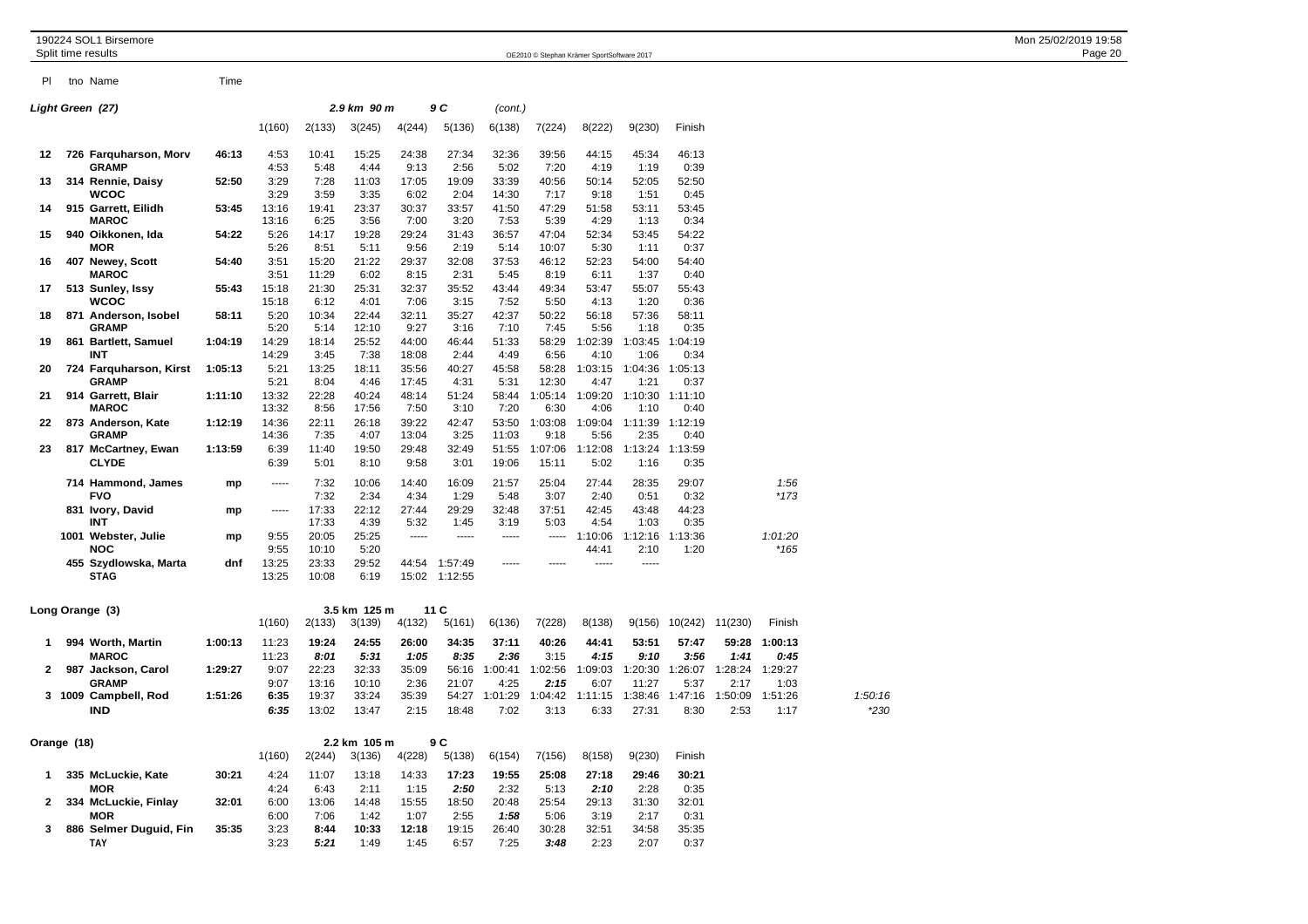| PI. |             | tno Name                             | Time    |                |                |               |                |                          |               |               |                 |                 |                 |         |         |         |
|-----|-------------|--------------------------------------|---------|----------------|----------------|---------------|----------------|--------------------------|---------------|---------------|-----------------|-----------------|-----------------|---------|---------|---------|
|     |             | Light Green (27)                     |         |                |                | 2.9 km 90 m   |                | 9 C                      | (cont.)       |               |                 |                 |                 |         |         |         |
|     |             |                                      |         | 1(160)         | 2(133)         | 3(245)        | 4(244)         | 5(136)                   | 6(138)        | 7(224)        | 8(222)          | 9(230)          | Finish          |         |         |         |
| 12  |             | 726 Farquharson, Morv                | 46:13   | 4:53           | 10:41          | 15:25         | 24:38          | 27:34                    | 32:36         | 39:56         | 44:15           | 45:34           | 46:13           |         |         |         |
|     |             | <b>GRAMP</b>                         |         | 4:53           | 5:48           | 4:44          | 9:13           | 2:56                     | 5:02          | 7:20          | 4:19            | 1:19            | 0:39            |         |         |         |
| 13  |             | 314 Rennie, Daisy                    | 52:50   | 3:29           | 7:28           | 11:03         | 17:05          | 19:09                    | 33:39         | 40:56         | 50:14           | 52:05           | 52:50           |         |         |         |
|     |             | WCOC                                 |         | 3:29           | 3:59           | 3:35          | 6:02           | 2:04                     | 14:30         | 7:17          | 9:18            | 1:51            | 0:45            |         |         |         |
| 14  |             | 915 Garrett, Eilidh                  | 53:45   | 13:16          | 19:41          | 23:37         | 30:37          | 33:57                    | 41:50         | 47:29         | 51:58           | 53:11           | 53:45           |         |         |         |
|     |             | <b>MAROC</b>                         |         | 13:16          | 6:25           | 3:56          | 7:00           | 3:20                     | 7:53          | 5:39          | 4:29            | 1:13            | 0:34            |         |         |         |
| 15  |             | 940 Oikkonen, Ida                    | 54:22   | 5:26           | 14:17          | 19:28         | 29:24          | 31:43                    | 36:57         | 47:04         | 52:34           | 53:45           | 54:22           |         |         |         |
|     |             | MOR                                  |         | 5:26           | 8:51           | 5:11          | 9:56           | 2:19                     | 5:14          | 10:07         | 5:30            | 1:11            | 0:37            |         |         |         |
| 16  |             | 407 Newey, Scott                     | 54:40   | 3:51           | 15:20          | 21:22         | 29:37          | 32:08                    | 37:53         | 46:12         | 52:23           | 54:00           | 54:40           |         |         |         |
|     |             | <b>MAROC</b>                         |         | 3:51           | 11:29          | 6:02          | 8:15           | 2:31                     | 5:45          | 8:19          | 6:11            | 1:37            | 0:40            |         |         |         |
| 17  |             | 513 Sunley, Issy                     | 55:43   | 15:18          | 21:30          | 25:31         | 32:37          | 35:52                    | 43:44         | 49:34         | 53:47           | 55:07           | 55:43           |         |         |         |
|     |             | WCOC                                 |         | 15:18          | 6:12           | 4:01          | 7:06           | 3:15                     | 7:52          | 5:50          | 4:13            | 1:20            | 0:36            |         |         |         |
| 18  |             | 871 Anderson, Isobel                 | 58:11   | 5:20<br>5:20   | 10:34          | 22:44         | 32:11          | 35:27                    | 42:37         | 50:22         | 56:18           | 57:36           | 58:11           |         |         |         |
|     |             | <b>GRAMP</b>                         |         |                | 5:14           | 12:10         | 9:27           | 3:16                     | 7:10          | 7:45          | 5:56            | 1:18            | 0:35            |         |         |         |
| 19  |             | 861 Bartlett, Samuel<br><b>INT</b>   | 1:04:19 | 14:29<br>14:29 | 18:14<br>3:45  | 25:52<br>7:38 | 44:00<br>18:08 | 46:44<br>2:44            | 51:33<br>4:49 | 58:29<br>6:56 | 1:02:39<br>4:10 | 1:03:45<br>1:06 | 1:04:19<br>0:34 |         |         |         |
| 20  |             | 724 Farquharson, Kirst               | 1:05:13 | 5:21           | 13:25          | 18:11         | 35:56          | 40:27                    | 45:58         | 58:28         | 1:03:15         | 1:04:36         | 1:05:13         |         |         |         |
|     |             | <b>GRAMP</b>                         |         | 5:21           | 8:04           | 4:46          | 17:45          | 4:31                     | 5:31          | 12:30         | 4:47            | 1:21            | 0:37            |         |         |         |
| 21  |             | 914 Garrett, Blair                   | 1:11:10 | 13:32          | 22:28          | 40:24         | 48:14          | 51:24                    | 58:44         | 1:05:14       | 1:09:20         | 1:10:30         | 1:11:10         |         |         |         |
|     |             | <b>MAROC</b>                         |         | 13:32          | 8:56           | 17:56         | 7:50           | 3:10                     | 7:20          | 6:30          | 4:06            | 1:10            | 0:40            |         |         |         |
| 22  |             | 873 Anderson, Kate                   | 1:12:19 | 14:36          | 22:11          | 26:18         | 39:22          | 42:47                    | 53:50         | 1:03:08       | 1:09:04         | 1:11:39         | 1:12:19         |         |         |         |
|     |             | <b>GRAMP</b>                         |         | 14:36          | 7:35           | 4:07          | 13:04          | 3:25                     | 11:03         | 9:18          | 5:56            | 2:35            | 0:40            |         |         |         |
| 23  |             | 817 McCartney, Ewan                  | 1:13:59 | 6:39           | 11:40          | 19:50         | 29:48          | 32:49                    | 51:55         | 1:07:06       | 1:12:08         | 1:13:24         | 1:13:59         |         |         |         |
|     |             | <b>CLYDE</b>                         |         | 6:39           | 5:01           | 8:10          | 9:58           | 3:01                     | 19:06         | 15:11         | 5:02            | 1:16            | 0:35            |         |         |         |
|     |             |                                      |         |                |                |               |                |                          |               |               |                 |                 |                 |         |         |         |
|     |             | 714 Hammond, James                   | mp      | -----          | 7:32           | 10:06         | 14:40          | 16:09                    | 21:57         | 25:04         | 27:44           | 28:35           | 29:07           |         | 1:56    |         |
|     |             | <b>FVO</b>                           |         |                | 7:32           | 2:34          | 4:34           | 1:29                     | 5:48          | 3:07          | 2:40            | 0:51            | 0:32            |         | $*173$  |         |
|     |             | 831 Ivory, David                     | mp      | -----          | 17:33          | 22:12         | 27:44          | 29:29                    | 32:48         | 37:51         | 42:45           | 43:48           | 44:23           |         |         |         |
|     |             | <b>INT</b>                           |         |                | 17:33          | 4:39          | 5:32           | 1:45                     | 3:19          | 5:03          | 4:54            | 1:03            | 0:35            |         |         |         |
|     |             | 1001 Webster, Julie                  | mp      | 9:55           | 20:05          | 25:25         | $- - - - -$    | $- - - - -$              | $- - - - -$   | -----         | 1:10:06         | 1:12:16         | 1:13:36         |         | 1:01:20 |         |
|     |             | NOC                                  |         | 9:55           | 10:10          | 5:20          |                |                          |               |               | 44:41           | 2:10            | 1:20            |         | $*165$  |         |
|     |             | 455 Szydlowska, Marta<br><b>STAG</b> | dnf     | 13:25<br>13:25 | 23:33<br>10:08 | 29:52<br>6:19 | 44:54          | 1:57:49<br>15:02 1:12:55 | -----         | -----         | -----           | -----           |                 |         |         |         |
|     |             |                                      |         |                |                |               |                |                          |               |               |                 |                 |                 |         |         |         |
|     |             | Long Orange (3)                      |         |                |                | 3.5 km 125 m  |                | 11 C                     |               |               |                 |                 |                 |         |         |         |
|     |             |                                      |         | 1(160)         | 2(133)         | 3(139)        | 4(132)         | 5(161)                   | 6(136)        | 7(228)        | 8(138)          | 9(156)          | 10(242)         | 11(230) | Finish  |         |
| 1   |             | 994 Worth, Martin                    | 1:00:13 | 11:23          | 19:24          | 24:55         | 26:00          | 34:35                    | 37:11         | 40:26         | 44:41           | 53:51           | 57:47           | 59:28   | 1:00:13 |         |
|     |             | <b>MAROC</b>                         |         | 11:23          | 8:01           | 5:31          | 1:05           | 8:35                     | 2:36          | 3:15          | 4:15            | 9:10            | 3:56            | 1:41    | 0:45    |         |
| 2   |             | 987 Jackson, Carol                   | 1:29:27 | 9:07           | 22:23          | 32:33         | 35:09          | 56:16                    | 1:00:41       | 1:02:56       | 1:09:03         | 1:20:30         | 1:26:07         | 1:28:24 | 1:29:27 |         |
|     |             | <b>GRAMP</b>                         |         | 9:07           | 13:16          | 10:10         | 2:36           | 21:07                    | 4:25          | 2:15          | 6:07            | 11:27           | 5:37            | 2:17    | 1:03    |         |
| 3   |             | 1009 Campbell, Rod                   | 1:51:26 | 6:35           | 19:37          | 33:24         | 35:39          | 54:27                    | 1:01:29       | 1:04:42       | 1:11:15         | 1:38:46         | 1:47:16         | 1:50:09 | 1:51:26 | 1:50:16 |
|     |             | <b>IND</b>                           |         | 6:35           | 13:02          | 13:47         | 2:15           | 18:48                    | 7:02          | 3:13          | 6:33            | 27:31           | 8:30            | 2:53    | 1:17    | *230    |
|     |             |                                      |         |                |                |               |                |                          |               |               |                 |                 |                 |         |         |         |
|     | Orange (18) |                                      |         |                |                | 2.2 km 105 m  |                | 9 C                      |               |               |                 |                 |                 |         |         |         |
|     |             |                                      |         | 1(160)         | 2(244)         | 3(136)        | 4(228)         | 5(138)                   | 6(154)        | 7(156)        | 8(158)          | 9(230)          | Finish          |         |         |         |
| 1   |             | 335 McLuckie, Kate                   | 30:21   | 4:24           | 11:07          | 13:18         | 14:33          | 17:23                    | 19:55         | 25:08         | 27:18           | 29:46           | 30:21           |         |         |         |

**MOR** 4:24 6:43 2:11 1:15 *2:50* 2:32 5:13 *2:10* 2:28 0:35 **2 334 McLuckie, Finlay 32:01** 6:00 13:06 14:48 15:55 18:50 20:48 25:54 29:13 31:30 32:01 **MOR** 6:00 7:06 1:42 1:07 2:55 *1:58* 5:06 3:19 2:17 0:31 **3 886 Selmer Duguid, Fin 35:35** 3:23 **8:44 10:33 12:18** 19:15 26:40 30:28 32:51 34:58 35:35 **TAY** 3:23 *5:21* 1:49 1:45 6:57 7:25 *3:48* 2:23 2:07 0:37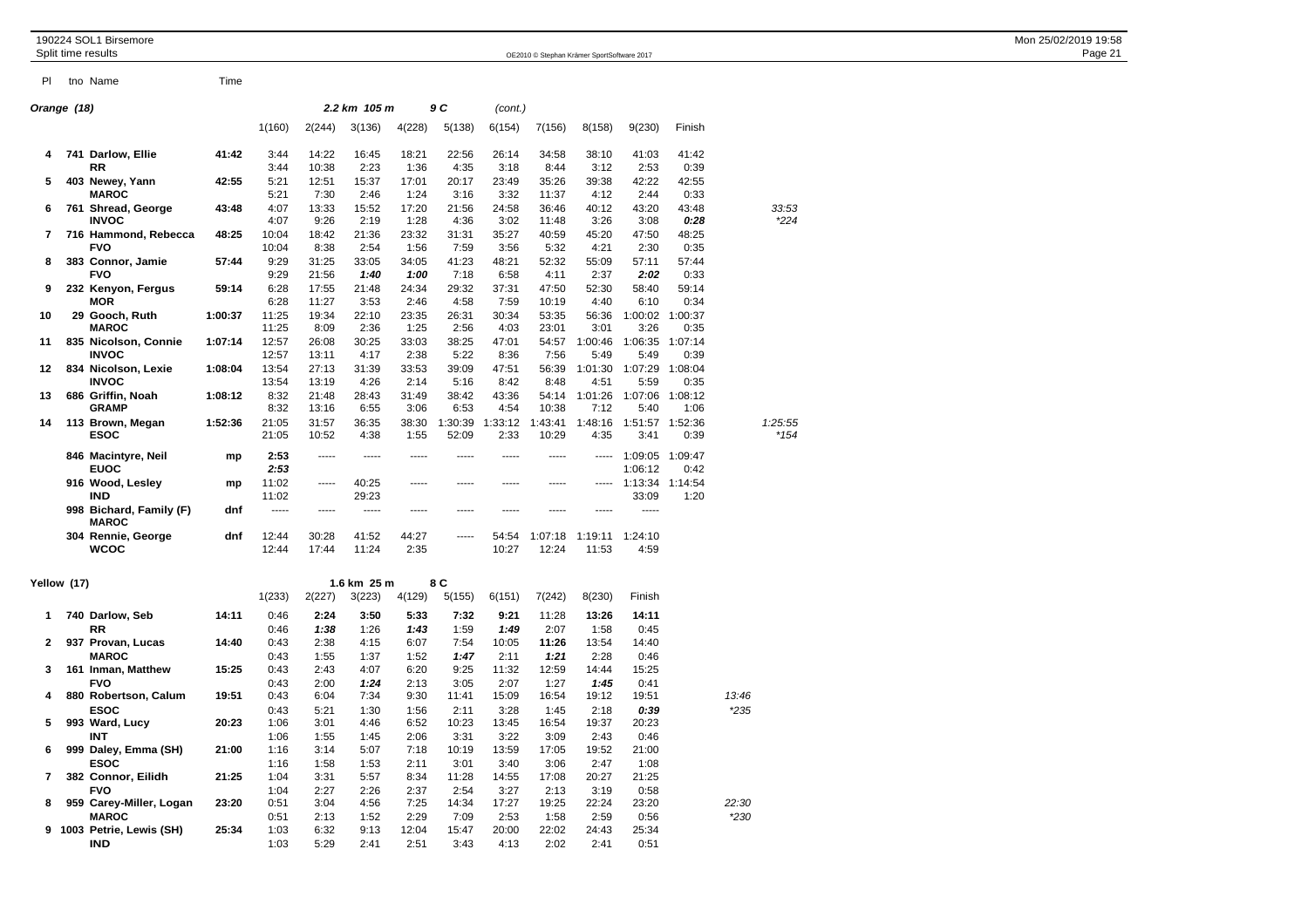| PI             | tno Name                                | Time    |                |                |                |                |                  |                 |                  |                  |                            |                 |        |                 |
|----------------|-----------------------------------------|---------|----------------|----------------|----------------|----------------|------------------|-----------------|------------------|------------------|----------------------------|-----------------|--------|-----------------|
| Orange (18)    |                                         |         |                |                | 2.2 km 105 m   |                | 9 C              | (cont.)         |                  |                  |                            |                 |        |                 |
|                |                                         |         | 1(160)         | 2(244)         | 3(136)         | 4(228)         | 5(138)           | 6(154)          | 7(156)           | 8(158)           | 9(230)                     | Finish          |        |                 |
| 4              | 741 Darlow, Ellie<br>RR                 | 41:42   | 3:44<br>3:44   | 14:22<br>10:38 | 16:45<br>2:23  | 18:21<br>1:36  | 22:56<br>4:35    | 26:14<br>3:18   | 34:58<br>8:44    | 38:10<br>3:12    | 41:03<br>2:53              | 41:42<br>0:39   |        |                 |
| 5              | 403 Newey, Yann<br><b>MAROC</b>         | 42:55   | 5:21<br>5:21   | 12:51<br>7:30  | 15:37<br>2:46  | 17:01<br>1:24  | 20:17<br>3:16    | 23:49<br>3:32   | 35:26<br>11:37   | 39:38<br>4:12    | 42:22<br>2:44              | 42:55<br>0:33   |        |                 |
| 6              | 761 Shread, George<br><b>INVOC</b>      | 43:48   | 4:07<br>4:07   | 13:33<br>9:26  | 15:52<br>2:19  | 17:20<br>1:28  | 21:56<br>4:36    | 24:58<br>3:02   | 36:46<br>11:48   | 40:12<br>3:26    | 43:20<br>3:08              | 43:48<br>0:28   |        | 33:53<br>*224   |
| 7              | 716 Hammond, Rebecca<br><b>FVO</b>      | 48:25   | 10:04<br>10:04 | 18:42<br>8:38  | 21:36<br>2:54  | 23:32<br>1:56  | 31:31<br>7:59    | 35:27<br>3:56   | 40:59<br>5:32    | 45:20<br>4:21    | 47:50<br>2:30              | 48:25<br>0:35   |        |                 |
| 8              | 383 Connor, Jamie<br><b>FVO</b>         | 57:44   | 9:29<br>9:29   | 31:25<br>21:56 | 33:05<br>1:40  | 34:05<br>1:00  | 41:23<br>7:18    | 48:21<br>6:58   | 52:32<br>4:11    | 55:09<br>2:37    | 57:11<br>2:02              | 57:44<br>0:33   |        |                 |
| 9              | 232 Kenyon, Fergus<br><b>MOR</b>        | 59:14   | 6:28<br>6:28   | 17:55<br>11:27 | 21:48<br>3:53  | 24:34<br>2:46  | 29:32<br>4:58    | 37:31<br>7:59   | 47:50<br>10:19   | 52:30<br>4:40    | 58:40<br>6:10              | 59:14<br>0:34   |        |                 |
| 10             | 29 Gooch, Ruth<br><b>MAROC</b>          | 1:00:37 | 11:25<br>11:25 | 19:34<br>8:09  | 22:10<br>2:36  | 23:35<br>1:25  | 26:31<br>2:56    | 30:34<br>4:03   | 53:35<br>23:01   | 56:36<br>3:01    | 1:00:02 1:00:37<br>3:26    | 0:35            |        |                 |
| 11             | 835 Nicolson, Connie<br><b>INVOC</b>    | 1:07:14 | 12:57<br>12:57 | 26:08<br>13:11 | 30:25<br>4:17  | 33:03<br>2:38  | 38:25<br>5:22    | 47:01<br>8:36   | 54:57<br>7:56    | 1:00:46<br>5:49  | 1:06:35 1:07:14<br>5:49    | 0:39            |        |                 |
| 12             | 834 Nicolson, Lexie<br><b>INVOC</b>     | 1:08:04 | 13:54<br>13:54 | 27:13<br>13:19 | 31:39<br>4:26  | 33:53<br>2:14  | 39:09<br>5:16    | 47:51<br>8:42   | 56:39<br>8:48    | 1:01:30<br>4:51  | 1:07:29<br>5:59            | 1:08:04<br>0:35 |        |                 |
| 13             | 686 Griffin, Noah<br><b>GRAMP</b>       | 1:08:12 | 8:32<br>8:32   | 21:48<br>13:16 | 28:43<br>6:55  | 31:49<br>3:06  | 38:42<br>6:53    | 43:36<br>4:54   | 54:14<br>10:38   | 1:01:26<br>7:12  | 1:07:06 1:08:12<br>5:40    | 1:06            |        |                 |
| 14             | 113 Brown, Megan<br><b>ESOC</b>         | 1:52:36 | 21:05<br>21:05 | 31:57<br>10:52 | 36:35<br>4:38  | 38:30<br>1:55  | 1:30:39<br>52:09 | 1:33:12<br>2:33 | 1:43:41<br>10:29 | 1:48:16<br>4:35  | 1:51:57 1:52:36<br>3:41    | 0:39            |        | 1:25:55<br>*154 |
|                | 846 Macintyre, Neil<br><b>EUOC</b>      | mp      | 2:53<br>2:53   | -----          | -----          | -----          | -----            | -----           | -----            | -----            | 1:09:05 1:09:47<br>1:06:12 | 0:42            |        |                 |
|                | 916 Wood, Lesley<br><b>IND</b>          | mp      | 11:02<br>11:02 | -----          | 40:25<br>29:23 | -----          | -----            |                 | -----            |                  | 1:13:34<br>33:09           | 1:14:54<br>1:20 |        |                 |
|                | 998 Bichard, Family (F)<br><b>MAROC</b> | dnf     | 1.1.1.1        | $- - - - -$    | -----          | -----          | -----            | $- - - - -$     | $- - - - -$      | -----            | -----                      |                 |        |                 |
|                | 304 Rennie, George<br><b>WCOC</b>       | dnf     | 12:44<br>12:44 | 30:28<br>17:44 | 41:52<br>11:24 | 44:27<br>2:35  | -----            | 54:54<br>10:27  | 1:07:18<br>12:24 | 1:19:11<br>11:53 | 1:24:10<br>4:59            |                 |        |                 |
| Yellow (17)    |                                         |         |                |                | 1.6 km 25 m    |                | 8 C              |                 |                  |                  |                            |                 |        |                 |
| 1              | 740 Darlow, Seb                         | 14:11   | 1(233)<br>0:46 | 2(227)<br>2:24 | 3(223)<br>3:50 | 4(129)<br>5:33 | 5(155)<br>7:32   | 6(151)<br>9:21  | 7(242)<br>11:28  | 8(230)<br>13:26  | Finish<br>14:11            |                 |        |                 |
| 2              | RR<br>937 Provan, Lucas                 | 14:40   | 0:46<br>0:43   | 1:38<br>2:38   | 1:26<br>4:15   | 1:43<br>6:07   | 1:59<br>7:54     | 1:49<br>10:05   | 2:07<br>11:26    | 1:58<br>13:54    | 0:45<br>14:40              |                 |        |                 |
| 3              | <b>MAROC</b><br>161 Inman, Matthew      | 15:25   | 0:43<br>0:43   | 1:55<br>2:43   | 1:37<br>4:07   | 1:52<br>6:20   | 1:47<br>9:25     | 2:11<br>11:32   | 1:21<br>12:59    | 2:28<br>14:44    | 0:46<br>15:25              |                 |        |                 |
| 4              | <b>FVO</b><br>880 Robertson, Calum      | 19:51   | 0:43<br>0:43   | 2:00<br>6:04   | 1:24<br>7:34   | 2:13<br>9:30   | 3:05<br>11:41    | 2:07<br>15:09   | 1:27<br>16:54    | 1:45<br>19:12    | 0:41<br>19:51              |                 | 13:46  |                 |
| 5              | <b>ESOC</b><br>993 Ward, Lucy           | 20:23   | 0:43<br>1:06   | 5:21<br>3:01   | 1:30<br>4:46   | 1:56<br>6:52   | 2:11<br>10:23    | 3:28<br>13:45   | 1:45<br>16:54    | 2:18<br>19:37    | 0:39<br>20:23              |                 | $*235$ |                 |
| 6              | INT<br>999 Daley, Emma (SH)             | 21:00   | 1:06<br>1:16   | 1:55<br>3:14   | 1:45<br>5:07   | 2:06<br>7:18   | 3:31<br>10:19    | 3:22<br>13:59   | 3:09<br>17:05    | 2:43<br>19:52    | 0:46<br>21:00              |                 |        |                 |
| $\overline{7}$ | <b>ESOC</b><br>382 Connor, Eilidh       | 21:25   | 1:16<br>1:04   | 1:58<br>3:31   | 1:53<br>5:57   | 2:11<br>8:34   | 3:01<br>11:28    | 3:40<br>14:55   | 3:06<br>17:08    | 2:47<br>20:27    | 1:08<br>21:25              |                 |        |                 |
| 8              | <b>FVO</b><br>959 Carey-Miller, Logan   | 23:20   | 1:04<br>0:51   | 2:27<br>3:04   | 2:26<br>4:56   | 2:37<br>7:25   | 2:54<br>14:34    | 3:27<br>17:27   | 2:13<br>19:25    | 3:19<br>22:24    | 0:58<br>23:20              |                 | 22:30  |                 |
| 9              | <b>MAROC</b><br>1003 Petrie, Lewis (SH) | 25:34   | 0:51<br>1:03   | 2:13<br>6:32   | 1:52<br>9:13   | 2:29<br>12:04  | 7:09<br>15:47    | 2:53<br>20:00   | 1:58<br>22:02    | 2:59<br>24:43    | 0:56<br>25:34              |                 | $*230$ |                 |

**IND** 1:03 5:29 2:41 2:51 3:43 4:13 2:02 2:41 0:51